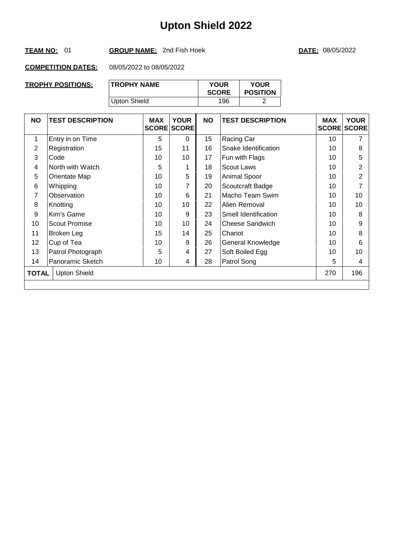#### TEAM NO: 01 **GROUP NAME:** 2nd Fish Hoek **DATE: 08/05/2022**

| TROPHY POSITIONS: | <b>TROPHY NAME</b> | <b>YOUR</b><br><b>SCORE</b> | <b>YOUR</b><br><b>POSITION</b> |
|-------------------|--------------------|-----------------------------|--------------------------------|
|                   | Upton Shield       | 196                         | ◠                              |

| <b>NO</b>                           | <b>TEST DESCRIPTION</b> | <b>MAX</b> | <b>YOUR</b><br><b>SCORE SCORE</b> | <b>NO</b> | <b>TEST DESCRIPTION</b> | <b>MAX</b><br><b>SCORE SCORE</b> | <b>YOUR</b> |
|-------------------------------------|-------------------------|------------|-----------------------------------|-----------|-------------------------|----------------------------------|-------------|
| 1                                   | Entry in on Time        | 5          | $\Omega$                          | 15        | Racing Car              | 10                               | 7           |
| 2                                   | Registration            | 15         | 11                                | 16        | Snake Identification    | 10                               | 8           |
| 3                                   | Code                    | 10         | 10 <sup>°</sup>                   | 17        | Fun with Flags          | 10                               | 5           |
| 4                                   | North with Watch        | 5          |                                   | 18        | <b>Scout Laws</b>       | 10                               | 2           |
| 5                                   | Orientate Map           | 10         | 5                                 | 19        | Animal Spoor            | 10                               | 2           |
| 6                                   | Whipping                | 10         | 7                                 | 20        | Scoutcraft Badge        | 10                               | 7           |
| 7                                   | Observation             | 10         | 6                                 | 21        | Macho Team Swim         | 10                               | 10          |
| 8                                   | Knotting                | 10         | 10                                | 22        | Alien Removal           | 10                               | 10          |
| 9                                   | Kim's Game              | 10         | 9                                 | 23        | Smell Identification    | 10                               | 8           |
| 10                                  | Scout Promise           | 10         | 10                                | 24        | Cheese Sandwich         | 10                               | 9           |
| 11                                  | Broken Leg              | 15         | 14                                | 25        | Chariot                 | 10                               | 8           |
| 12                                  | Cup of Tea              | 10         | 9                                 | 26        | General Knowledge       | 10                               | 6           |
| 13                                  | Patrol Photograph       | 5          | 4                                 | 27        | Soft Boiled Egg         | 10                               | 10          |
| 14                                  | Panoramic Sketch        | 10         | 4                                 | 28        | Patrol Song             | 5                                | 4           |
| 270<br><b>Upton Shield</b><br>TOTAL |                         |            |                                   |           |                         |                                  | 196         |
|                                     |                         |            |                                   |           |                         |                                  |             |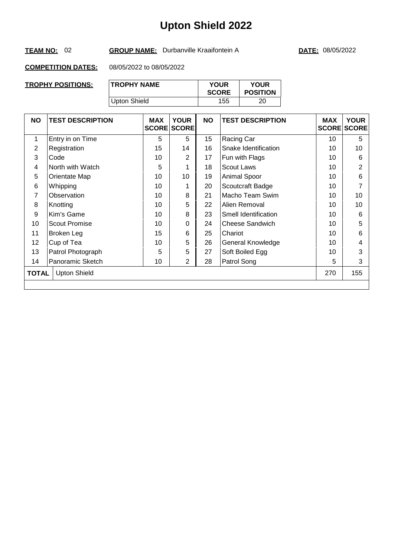#### **TEAM NO:** 02 **GROUP NAME:** Durbanville Kraaifontein A **DATE:** 08/05/2022

| <b>TROPHY POSITIONS:</b> | <b>TROPHY NAME</b> | <b>YOUR</b><br><b>SCORE</b> | <b>YOUR</b><br><b>POSITION</b> |
|--------------------------|--------------------|-----------------------------|--------------------------------|
|                          | Upton Shield       | 155                         | 20                             |

| <b>NO</b>                           | <b>TEST DESCRIPTION</b> | <b>MAX</b> | <b>YOUR</b><br><b>SCORE SCORE</b> | <b>NO</b> | <b>TEST DESCRIPTION</b> | <b>MAX</b> | <b>YOUR</b><br><b>SCORE SCORE</b> |
|-------------------------------------|-------------------------|------------|-----------------------------------|-----------|-------------------------|------------|-----------------------------------|
| 1                                   | Entry in on Time        | 5          | 5                                 | 15        | Racing Car              | 10         | 5                                 |
| 2                                   | Registration            | 15         | 14                                | 16        | Snake Identification    | 10         | 10                                |
| 3                                   | Code                    | 10         | $\overline{2}$                    | 17        | Fun with Flags          | 10         | 6                                 |
| 4                                   | North with Watch        | 5          |                                   | 18        | <b>Scout Laws</b>       | 10         | $\overline{2}$                    |
| 5                                   | Orientate Map           | 10         | 10                                | 19        | Animal Spoor            | 10         | 6                                 |
| 6                                   | Whipping                | 10         |                                   | 20        | Scoutcraft Badge        | 10         | 7                                 |
| 7                                   | Observation             | 10         | 8                                 | 21        | Macho Team Swim         | 10         | 10                                |
| 8                                   | Knotting                | 10         | 5                                 | 22        | Alien Removal           | 10         | 10                                |
| 9                                   | Kim's Game              | 10         | 8                                 | 23        | Smell Identification    | 10         | 6                                 |
| 10                                  | Scout Promise           | 10         | 0                                 | 24        | <b>Cheese Sandwich</b>  | 10         | 5                                 |
| 11                                  | Broken Leg              | 15         | 6                                 | 25        | Chariot                 | 10         | 6                                 |
| 12                                  | Cup of Tea              | 10         | 5                                 | 26        | General Knowledge       | 10         | 4                                 |
| 13                                  | Patrol Photograph       | 5          | 5                                 | 27        | Soft Boiled Egg         | 10         | 3                                 |
| 14                                  | Panoramic Sketch        | 10         | 2                                 | 28        | Patrol Song             | 5          | 3                                 |
| <b>Upton Shield</b><br><b>TOTAL</b> |                         |            |                                   |           |                         | 270        | 155                               |
|                                     |                         |            |                                   |           |                         |            |                                   |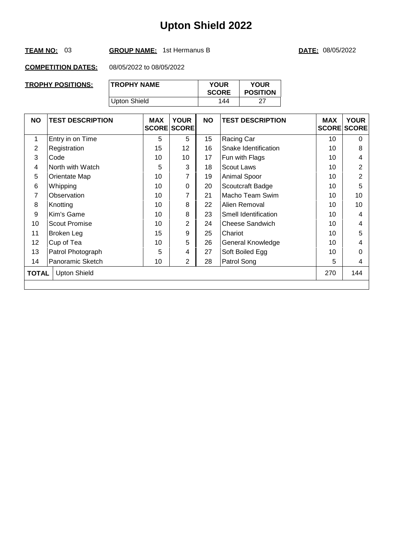#### **TEAM NO:** 03 **GROUP NAME:** 1st Hermanus B **DATE:** 08/05/2022

| TROPHY POSITIONS: | <b>TROPHY NAME</b> | <b>YOUR</b><br><b>SCORE</b> | <b>YOUR</b><br><b>POSITION</b> |
|-------------------|--------------------|-----------------------------|--------------------------------|
|                   | Upton Shield       | 144                         |                                |

| <b>NO</b>      | <b>TEST DESCRIPTION</b> | <b>MAX</b> | <b>YOUR</b><br><b>SCORE SCORE</b> | <b>NO</b> | <b>TEST DESCRIPTION</b> | <b>MAX</b> | <b>YOUR</b><br><b>SCORE SCORE</b> |
|----------------|-------------------------|------------|-----------------------------------|-----------|-------------------------|------------|-----------------------------------|
| 1              | Entry in on Time        | 5          | 5                                 | 15        | Racing Car              | 10         | $\Omega$                          |
| $\overline{2}$ | Registration            | 15         | 12                                | 16        | Snake Identification    | 10         | 8                                 |
| 3              | Code                    | 10         | 10                                | 17        | Fun with Flags          | 10         | 4                                 |
| 4              | North with Watch        | 5          | 3                                 | 18        | <b>Scout Laws</b>       | 10         | 2                                 |
| 5              | Orientate Map           | 10         | 7                                 | 19        | Animal Spoor            | 10         | $\overline{2}$                    |
| 6              | Whipping                | 10         | $\Omega$                          | 20        | Scoutcraft Badge        | 10         | 5                                 |
| 7              | Observation             | 10         | 7                                 | 21        | Macho Team Swim         | 10         | 10                                |
| 8              | Knotting                | 10         | 8                                 | 22        | Alien Removal           | 10         | 10                                |
| 9              | Kim's Game              | 10         | 8                                 | 23        | Smell Identification    | 10         | 4                                 |
| 10             | <b>Scout Promise</b>    | 10         | $\overline{2}$                    | 24        | <b>Cheese Sandwich</b>  | 10         | 4                                 |
| 11             | Broken Leg              | 15         | 9                                 | 25        | Chariot                 | 10         | 5                                 |
| 12             | Cup of Tea              | 10         | 5                                 | 26        | General Knowledge       | 10         | 4                                 |
| 13             | Patrol Photograph       | 5          | 4                                 | 27        | Soft Boiled Egg         | 10         | 0                                 |
| 14             | Panoramic Sketch        | 10         | $\overline{2}$                    | 28        | Patrol Song             | 5          | 4                                 |
| <b>TOTAL</b>   | <b>Upton Shield</b>     |            |                                   |           |                         | 270        | 144                               |
|                |                         |            |                                   |           |                         |            |                                   |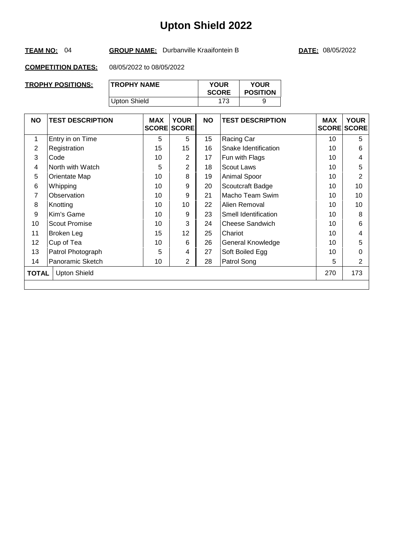#### **TEAM NO:** 04 **GROUP NAME:** Durbanville Kraaifontein B **DATE:** 08/05/2022

| TROPHY POSITIONS: | 'TROPHY NAME | <b>YOUR</b><br><b>SCORE</b> | <b>YOUR</b><br><b>POSITION</b> |
|-------------------|--------------|-----------------------------|--------------------------------|
|                   | Upton Shield | 173                         | a                              |

| <b>NO</b> | <b>TEST DESCRIPTION</b> | <b>MAX</b> | <b>YOUR</b><br><b>SCORE SCORE</b> | <b>NO</b> | <b>TEST DESCRIPTION</b> | <b>MAX</b> | <b>YOUR</b><br><b>SCORE SCORE</b> |
|-----------|-------------------------|------------|-----------------------------------|-----------|-------------------------|------------|-----------------------------------|
| 1         | Entry in on Time        | 5          | 5                                 | 15        | Racing Car              | 10         | 5                                 |
| 2         | Registration            | 15         | 15                                | 16        | Snake Identification    | 10         | 6                                 |
| 3         | Code                    | 10         | $\overline{2}$                    | 17        | Fun with Flags          | 10         | 4                                 |
| 4         | North with Watch        | 5          | $\overline{2}$                    | 18        | <b>Scout Laws</b>       | 10         | 5                                 |
| 5         | Orientate Map           | 10         | 8                                 | 19        | Animal Spoor            | 10         | $\overline{2}$                    |
| 6         | Whipping                | 10         | 9                                 | 20        | Scoutcraft Badge        | 10         | 10                                |
| 7         | Observation             | 10         | 9                                 | 21        | Macho Team Swim         | 10         | 10                                |
| 8         | Knotting                | 10         | 10                                | 22        | Alien Removal           | 10         | 10                                |
| 9         | Kim's Game              | 10         | 9                                 | 23        | Smell Identification    | 10         | 8                                 |
| 10        | <b>Scout Promise</b>    | 10         | 3                                 | 24        | <b>Cheese Sandwich</b>  | 10         | 6                                 |
| 11        | Broken Leg              | 15         | 12                                | 25        | Chariot                 | 10         | 4                                 |
| 12        | Cup of Tea              | 10         | 6                                 | 26        | General Knowledge       | 10         | 5                                 |
| 13        | Patrol Photograph       | 5          | 4                                 | 27        | Soft Boiled Egg         | 10         | 0                                 |
| 14        | Panoramic Sketch        | 10         | $\overline{2}$                    | 28        | Patrol Song             | 5          | $\overline{2}$                    |
| TOTAL     | <b>Upton Shield</b>     |            |                                   |           |                         | 270        | 173                               |
|           |                         |            |                                   |           |                         |            |                                   |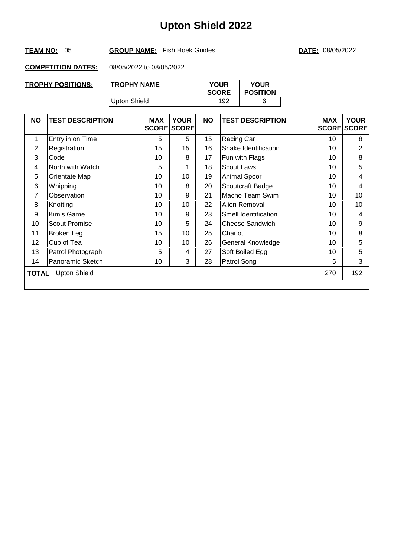#### **TEAM NO:** 05 **GROUP NAME:** Fish Hoek Guides **DATE:** 08/05/2022

| TROPHY POSITIONS: | 'TROPHY NAME | <b>YOUR</b><br><b>SCORE</b><br><b>POSITION</b> |   |  |  |  |
|-------------------|--------------|------------------------------------------------|---|--|--|--|
|                   | Upton Shield | 192                                            | 6 |  |  |  |

| <b>NO</b>                                  | <b>TEST DESCRIPTION</b> | <b>MAX</b> | <b>YOUR</b><br><b>SCORE SCORE</b> | <b>NO</b> | <b>TEST DESCRIPTION</b> | <b>MAX</b> | <b>YOUR</b><br><b>SCORE SCORE</b> |
|--------------------------------------------|-------------------------|------------|-----------------------------------|-----------|-------------------------|------------|-----------------------------------|
| 1                                          | Entry in on Time        | 5          | 5                                 | 15        | Racing Car              | 10         | 8                                 |
| 2                                          | Registration            | 15         | 15                                | 16        | Snake Identification    | 10         | $\overline{2}$                    |
| 3                                          | Code                    | 10         | 8                                 | 17        | Fun with Flags          | 10         | 8                                 |
| 4                                          | North with Watch        | 5          |                                   | 18        | <b>Scout Laws</b>       | 10         | 5                                 |
| 5                                          | Orientate Map           | 10         | 10                                | 19        | Animal Spoor            | 10         | 4                                 |
| 6                                          | Whipping                | 10         | 8                                 | 20        | Scoutcraft Badge        | 10         | 4                                 |
| 7                                          | Observation             | 10         | 9                                 | 21        | Macho Team Swim         | 10         | 10                                |
| 8                                          | Knotting                | 10         | 10                                | 22        | Alien Removal           | 10         | 10                                |
| 9                                          | Kim's Game              | 10         | 9                                 | 23        | Smell Identification    | 10         | 4                                 |
| 10                                         | <b>Scout Promise</b>    | 10         | 5                                 | 24        | <b>Cheese Sandwich</b>  | 10         | 9                                 |
| 11                                         | Broken Leg              | 15         | 10                                | 25        | Chariot                 | 10         | 8                                 |
| 12                                         | Cup of Tea              | 10         | 10                                | 26        | General Knowledge       | 10         | 5                                 |
| 13                                         | Patrol Photograph       | 5          | 4                                 | 27        | Soft Boiled Egg         | 10         | 5                                 |
| 14                                         | Panoramic Sketch        | 10         | 3                                 | 28        | Patrol Song             | 5          | 3                                 |
| 270<br><b>Upton Shield</b><br><b>TOTAL</b> |                         |            |                                   |           |                         | 192        |                                   |
|                                            |                         |            |                                   |           |                         |            |                                   |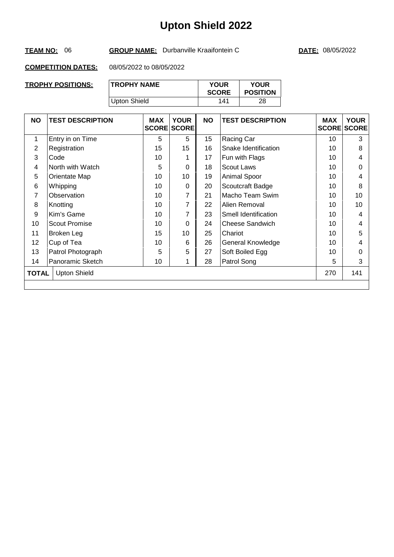#### **TEAM NO:** 06 **GROUP NAME:** Durbanville Kraaifontein C **DATE:** 08/05/2022

| <b>TROPHY POSITIONS:</b> | <b>TROPHY NAME</b> | <b>YOUR</b><br><b>SCORE</b> | <b>YOUR</b><br><b>POSITION</b> |
|--------------------------|--------------------|-----------------------------|--------------------------------|
|                          | Upton Shield       | 141                         | 28                             |

| <b>NO</b> | <b>TEST DESCRIPTION</b> | <b>MAX</b> | <b>YOUR</b><br><b>SCORE SCORE</b> | <b>NO</b> | <b>TEST DESCRIPTION</b> | <b>MAX</b> | <b>YOUR</b><br><b>SCORE SCORE</b> |
|-----------|-------------------------|------------|-----------------------------------|-----------|-------------------------|------------|-----------------------------------|
| 1         | Entry in on Time        | 5          | 5                                 | 15        | Racing Car              | 10         | 3                                 |
| 2         | Registration            | 15         | 15                                | 16        | Snake Identification    | 10         | 8                                 |
| 3         | Code                    | 10         |                                   | 17        | Fun with Flags          | 10         | 4                                 |
| 4         | North with Watch        | 5          | $\Omega$                          | 18        | <b>Scout Laws</b>       | 10         | 0                                 |
| 5         | Orientate Map           | 10         | 10                                | 19        | Animal Spoor            | 10         | 4                                 |
| 6         | Whipping                | 10         | $\Omega$                          | 20        | Scoutcraft Badge        | 10         | 8                                 |
| 7         | Observation             | 10         | 7                                 | 21        | Macho Team Swim         | 10         | 10                                |
| 8         | Knotting                | 10         | $\overline{7}$                    | 22        | Alien Removal           | 10         | 10                                |
| 9         | Kim's Game              | 10         | 7                                 | 23        | Smell Identification    | 10         | 4                                 |
| 10        | <b>Scout Promise</b>    | 10         | $\Omega$                          | 24        | <b>Cheese Sandwich</b>  | 10         | 4                                 |
| 11        | Broken Leg              | 15         | 10                                | 25        | Chariot                 | 10         | 5                                 |
| 12        | Cup of Tea              | 10         | 6                                 | 26        | General Knowledge       | 10         | 4                                 |
| 13        | Patrol Photograph       | 5          | 5                                 | 27        | Soft Boiled Egg         | 10         | 0                                 |
| 14        | Panoramic Sketch        | 10         |                                   | 28        | Patrol Song             | 5          | 3                                 |
| TOTAL     | <b>Upton Shield</b>     |            |                                   |           |                         | 270        | 141                               |
|           |                         |            |                                   |           |                         |            |                                   |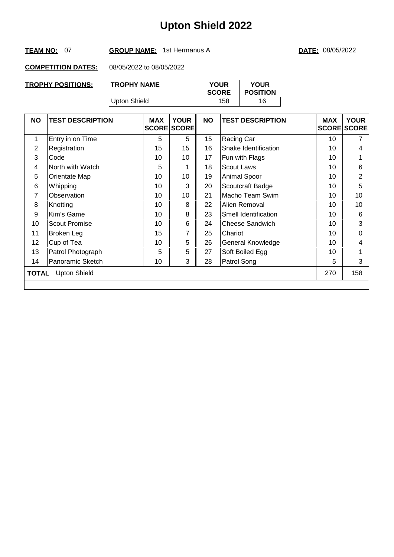#### **TEAM NO:** 07 **GROUP NAME:** 1st Hermanus A **DATE:** 08/05/2022

| TROPHY POSITIONS: | <b>TROPHY NAME</b> | <b>YOUR</b><br><b>SCORE</b> | <b>YOUR</b><br><b>POSITION</b> |
|-------------------|--------------------|-----------------------------|--------------------------------|
|                   | Upton Shield       | 158                         | 16                             |

| <b>NO</b>    | <b>TEST DESCRIPTION</b> | <b>MAX</b> | <b>YOUR</b><br><b>SCORE SCORE</b> | <b>NO</b> | <b>TEST DESCRIPTION</b> | <b>MAX</b> | <b>YOUR</b><br><b>SCORE SCORE</b> |
|--------------|-------------------------|------------|-----------------------------------|-----------|-------------------------|------------|-----------------------------------|
| 1            | Entry in on Time        | 5          | 5                                 | 15        | Racing Car              | 10         | 7                                 |
| 2            | Registration            | 15         | 15                                | 16        | Snake Identification    | 10         | 4                                 |
| 3            | Code                    | 10         | 10                                | 17        | Fun with Flags          | 10         |                                   |
| 4            | North with Watch        | 5          |                                   | 18        | <b>Scout Laws</b>       | 10         | 6                                 |
| 5            | Orientate Map           | 10         | 10                                | 19        | Animal Spoor            | 10         | $\overline{2}$                    |
| 6            | Whipping                | 10         | 3                                 | 20        | Scoutcraft Badge        | 10         | 5                                 |
| 7            | Observation             | 10         | 10                                | 21        | Macho Team Swim         | 10         | 10                                |
| 8            | Knotting                | 10         | 8                                 | 22        | Alien Removal           | 10         | 10                                |
| 9            | Kim's Game              | 10         | 8                                 | 23        | Smell Identification    | 10         | 6                                 |
| 10           | <b>Scout Promise</b>    | 10         | 6                                 | 24        | <b>Cheese Sandwich</b>  | 10         | 3                                 |
| 11           | Broken Leg              | 15         | 7                                 | 25        | Chariot                 | 10         | 0                                 |
| 12           | Cup of Tea              | 10         | 5                                 | 26        | General Knowledge       | 10         | 4                                 |
| 13           | Patrol Photograph       | 5          | 5                                 | 27        | Soft Boiled Egg         | 10         |                                   |
| 14           | Panoramic Sketch        | 10         | 3                                 | 28        | Patrol Song             | 5          | 3                                 |
| <b>TOTAL</b> | <b>Upton Shield</b>     |            |                                   |           |                         | 270        | 158                               |
|              |                         |            |                                   |           |                         |            |                                   |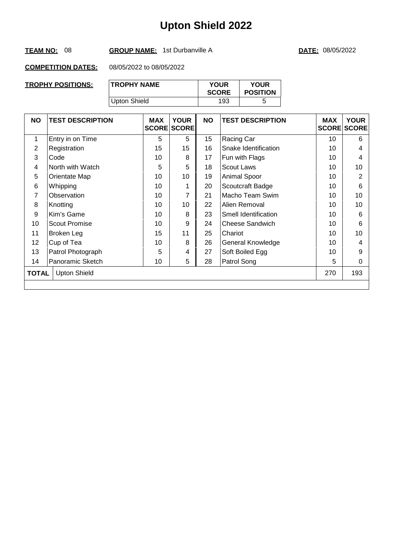#### **TEAM NO:** 08 **GROUP NAME:** 1st Durbanville A **DATE:** 08/05/2022

| TROPHY POSITIONS: | <b>TROPHY NAME</b> | <b>YOUR</b><br><b>SCORE</b> | <b>YOUR</b><br><b>POSITION</b> |
|-------------------|--------------------|-----------------------------|--------------------------------|
|                   | Upton Shield       | 193                         | ∽                              |

| <b>NO</b>    | <b>TEST DESCRIPTION</b> | <b>MAX</b> | <b>YOUR</b><br><b>SCORE SCORE</b> | <b>NO</b> | <b>TEST DESCRIPTION</b> | <b>MAX</b><br><b>SCORE SCORE</b> | <b>YOUR</b> |
|--------------|-------------------------|------------|-----------------------------------|-----------|-------------------------|----------------------------------|-------------|
| 1            | Entry in on Time        | 5          | 5                                 | 15        | Racing Car              | 10                               | 6           |
| 2            | Registration            | 15         | 15                                | 16        | Snake Identification    | 10                               | 4           |
| 3            | Code                    | 10         | 8                                 | 17        | Fun with Flags          | 10                               | 4           |
| 4            | North with Watch        | 5          | 5                                 | 18        | <b>Scout Laws</b>       | 10                               | 10          |
| 5            | Orientate Map           | 10         | 10                                | 19        | Animal Spoor            | 10                               | 2           |
| 6            | Whipping                | 10         |                                   | 20        | Scoutcraft Badge        | 10                               | 6           |
| 7            | Observation             | 10         | 7                                 | 21        | Macho Team Swim         | 10                               | 10          |
| 8            | Knotting                | 10         | 10                                | 22        | Alien Removal           | 10                               | 10          |
| 9            | Kim's Game              | 10         | 8                                 | 23        | Smell Identification    | 10                               | 6           |
| 10           | <b>Scout Promise</b>    | 10         | 9                                 | 24        | <b>Cheese Sandwich</b>  | 10                               | 6           |
| 11           | Broken Leg              | 15         | 11                                | 25        | Chariot                 | 10                               | 10          |
| 12           | Cup of Tea              | 10         | 8                                 | 26        | General Knowledge       | 10                               | 4           |
| 13           | Patrol Photograph       | 5          | 4                                 | 27        | Soft Boiled Egg         | 10                               | 9           |
| 14           | Panoramic Sketch        | 10         | 5                                 | 28        | Patrol Song             | 5                                | 0           |
| <b>TOTAL</b> | <b>Upton Shield</b>     |            |                                   |           |                         | 270                              | 193         |
|              |                         |            |                                   |           |                         |                                  |             |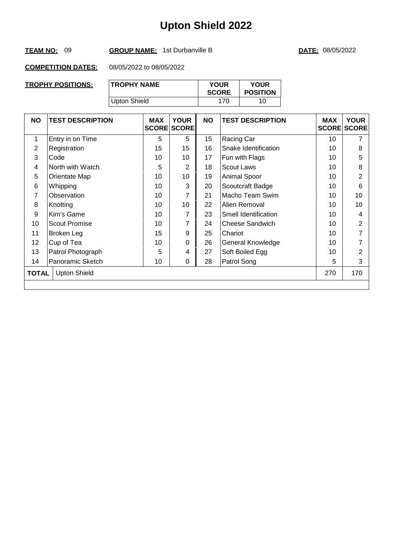#### **TEAM NO:** 09 **GROUP NAME:** 1st Durbanville B **DATE:** 08/05/2022

| <b>TROPHY POSITIONS:</b> | <b>TROPHY NAME</b> | <b>YOUR</b><br><b>SCORE</b> | <b>YOUR</b><br><b>POSITION</b> |
|--------------------------|--------------------|-----------------------------|--------------------------------|
|                          | Upton Shield       | 170                         | 10                             |

| <b>NO</b> | <b>TEST DESCRIPTION</b> | <b>MAX</b> | <b>YOUR</b><br><b>SCORE SCORE</b> | <b>NO</b> | <b>TEST DESCRIPTION</b> | <b>MAX</b><br><b>SCORE SCORE</b> | <b>YOUR</b>    |
|-----------|-------------------------|------------|-----------------------------------|-----------|-------------------------|----------------------------------|----------------|
| 1         | Entry in on Time        | 5          | 5                                 | 15        | Racing Car              | 10                               | 7              |
| 2         | Registration            | 15         | 15                                | 16        | Snake Identification    | 10                               | 8              |
| 3         | Code                    | 10         | 10                                | 17        | Fun with Flags          | 10                               | 5              |
| 4         | North with Watch        | 5          | $\overline{2}$                    | 18        | <b>Scout Laws</b>       | 10                               | 8              |
| 5         | Orientate Map           | 10         | 10                                | 19        | Animal Spoor            | 10                               | $\overline{2}$ |
| 6         | Whipping                | 10         | 3                                 | 20        | Scoutcraft Badge        | 10                               | 6              |
| 7         | Observation             | 10         | 7                                 | 21        | Macho Team Swim         | 10                               | 10             |
| 8         | Knotting                | 10         | 10                                | 22        | Alien Removal           | 10                               | 10             |
| 9         | Kim's Game              | 10         | 7                                 | 23        | Smell Identification    | 10                               | 4              |
| 10        | <b>Scout Promise</b>    | 10         | 7                                 | 24        | <b>Cheese Sandwich</b>  | 10                               | $\overline{2}$ |
| 11        | Broken Leg              | 15         | 9                                 | 25        | Chariot                 | 10                               | 7              |
| 12        | Cup of Tea              | 10         | 0                                 | 26        | General Knowledge       | 10                               | 7              |
| 13        | Patrol Photograph       | 5          | 4                                 | 27        | Soft Boiled Egg         | 10                               | 2              |
| 14        | Panoramic Sketch        | 10         | $\Omega$                          | 28        | Patrol Song             | 5                                | 3              |
| TOTAL     | <b>Upton Shield</b>     |            |                                   |           |                         | 270                              | 170            |
|           |                         |            |                                   |           |                         |                                  |                |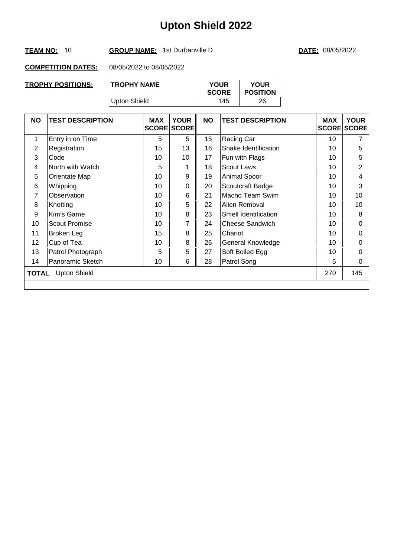#### **TEAM NO:** 10 **GROUP NAME:** 1st Durbanville D **DATE:** 08/05/2022

| <b>TROPHY POSITIONS:</b> | <b>TROPHY NAME</b> | <b>YOUR</b><br><b>SCORE</b> | <b>YOUR</b><br><b>POSITION</b> |
|--------------------------|--------------------|-----------------------------|--------------------------------|
|                          | Upton Shield       | 145                         | 26                             |

| <b>NO</b> | <b>TEST DESCRIPTION</b> | <b>MAX</b> | <b>YOUR</b><br><b>SCORE SCORE</b> | <b>NO</b> | <b>TEST DESCRIPTION</b> | <b>MAX</b><br><b>SCORE SCORE</b> | <b>YOUR</b> |
|-----------|-------------------------|------------|-----------------------------------|-----------|-------------------------|----------------------------------|-------------|
| 1         | Entry in on Time        | 5          | 5                                 | 15        | Racing Car              | 10                               | 7           |
| 2         | Registration            | 15         | 13                                | 16        | Snake Identification    | 10                               | 5           |
| 3         | Code                    | 10         | 10 <sup>°</sup>                   | 17        | Fun with Flags          | 10                               | 5           |
| 4         | North with Watch        | 5          |                                   | 18        | <b>Scout Laws</b>       | 10                               | 2           |
| 5         | Orientate Map           | 10         | 9                                 | 19        | Animal Spoor            | 10                               | 4           |
| 6         | Whipping                | 10         | $\Omega$                          | 20        | Scoutcraft Badge        | 10                               | 3           |
| 7         | Observation             | 10         | 6                                 | 21        | Macho Team Swim         | 10                               | 10          |
| 8         | Knotting                | 10         | 5                                 | 22        | Alien Removal           | 10                               | 10          |
| 9         | Kim's Game              | 10         | 8                                 | 23        | Smell Identification    | 10                               | 8           |
| 10        | Scout Promise           | 10         | 7                                 | 24        | Cheese Sandwich         | 10                               | 0           |
| 11        | Broken Leg              | 15         | 8                                 | 25        | Chariot                 | 10                               | 0           |
| 12        | Cup of Tea              | 10         | 8                                 | 26        | General Knowledge       | 10                               | 0           |
| 13        | Patrol Photograph       | 5          | 5                                 | 27        | Soft Boiled Egg         | 10                               | 0           |
| 14        | Panoramic Sketch        | 10         | 6                                 | 28        | Patrol Song             | 5                                | 0           |
| TOTAL     | <b>Upton Shield</b>     |            |                                   |           |                         | 270                              | 145         |
|           |                         |            |                                   |           |                         |                                  |             |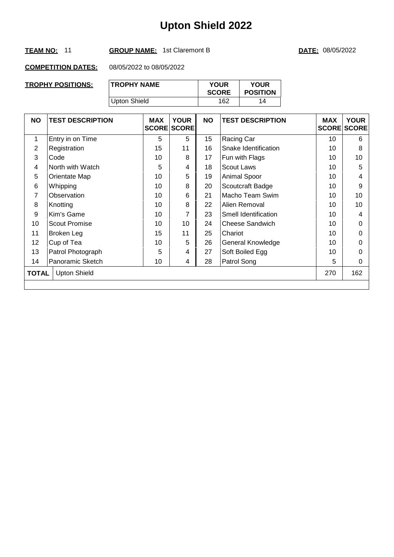#### **TEAM NO:** 11 **GROUP NAME:** 1st Claremont B **DATE:** 08/05/2022

| TROPHY POSITIONS: | <b>TROPHY NAME</b> | <b>YOUR</b><br><b>SCORE</b> | <b>YOUR</b><br><b>POSITION</b> |
|-------------------|--------------------|-----------------------------|--------------------------------|
|                   | Upton Shield       | 162                         | 14                             |

| <b>NO</b> | <b>TEST DESCRIPTION</b> | <b>MAX</b> | <b>YOUR</b><br><b>SCORE SCORE</b> | <b>NO</b> | <b>TEST DESCRIPTION</b> | <b>MAX</b> | <b>YOUR</b><br><b>SCORE SCORE</b> |
|-----------|-------------------------|------------|-----------------------------------|-----------|-------------------------|------------|-----------------------------------|
| 1         | Entry in on Time        | 5          | 5                                 | 15        | Racing Car              | 10         | 6                                 |
| 2         | Registration            | 15         | 11                                | 16        | Snake Identification    | 10         | 8                                 |
| 3         | Code                    | 10         | 8                                 | 17        | Fun with Flags          | 10         | 10                                |
| 4         | North with Watch        | 5          | 4                                 | 18        | <b>Scout Laws</b>       | 10         | 5                                 |
| 5         | Orientate Map           | 10         | 5                                 | 19        | Animal Spoor            | 10         | 4                                 |
| 6         | Whipping                | 10         | 8                                 | 20        | Scoutcraft Badge        | 10         | 9                                 |
| 7         | Observation             | 10         | 6                                 | 21        | Macho Team Swim         | 10         | 10                                |
| 8         | Knotting                | 10         | 8                                 | 22        | Alien Removal           | 10         | 10                                |
| 9         | Kim's Game              | 10         | $\overline{7}$                    | 23        | Smell Identification    | 10         | 4                                 |
| 10        | <b>Scout Promise</b>    | 10         | 10                                | 24        | Cheese Sandwich         | 10         | $\Omega$                          |
| 11        | Broken Leg              | 15         | 11                                | 25        | Chariot                 | 10         | 0                                 |
| 12        | Cup of Tea              | 10         | 5                                 | 26        | General Knowledge       | 10         | 0                                 |
| 13        | Patrol Photograph       | 5          | 4                                 | 27        | Soft Boiled Egg         | 10         | 0                                 |
| 14        | Panoramic Sketch        | 10         | 4                                 | 28        | Patrol Song             | 5          | 0                                 |
| TOTAL     | <b>Upton Shield</b>     |            |                                   |           |                         | 270        | 162                               |
|           |                         |            |                                   |           |                         |            |                                   |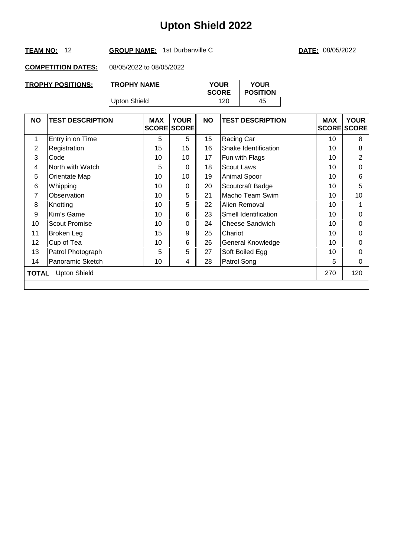#### **TEAM NO:** 12 **GROUP NAME:** 1st Durbanville C **DATE:** 08/05/2022

| TROPHY POSITIONS: | <b>TROPHY NAME</b> | <b>YOUR</b><br><b>SCORE</b> | <b>YOUR</b><br><b>POSITION</b> |
|-------------------|--------------------|-----------------------------|--------------------------------|
|                   | Upton Shield       | 120                         | 45                             |

| <b>NO</b> | <b>TEST DESCRIPTION</b> | <b>MAX</b> | <b>YOUR</b><br><b>SCORE SCORE</b> | <b>NO</b> | <b>TEST DESCRIPTION</b> | <b>MAX</b> | <b>YOUR</b><br><b>SCORE SCORE</b> |
|-----------|-------------------------|------------|-----------------------------------|-----------|-------------------------|------------|-----------------------------------|
| 1         | Entry in on Time        | 5          | 5                                 | 15        | Racing Car              | 10         | 8                                 |
| 2         | Registration            | 15         | 15                                | 16        | Snake Identification    | 10         | 8                                 |
| 3         | Code                    | 10         | 10                                | 17        | Fun with Flags          | 10         | $\overline{2}$                    |
| 4         | North with Watch        | 5          | $\Omega$                          | 18        | <b>Scout Laws</b>       | 10         | 0                                 |
| 5         | Orientate Map           | 10         | 10                                | 19        | Animal Spoor            | 10         | 6                                 |
| 6         | Whipping                | 10         | 0                                 | 20        | Scoutcraft Badge        | 10         | 5                                 |
| 7         | Observation             | 10         | 5                                 | 21        | Macho Team Swim         | 10         | 10                                |
| 8         | Knotting                | 10         | 5                                 | 22        | Alien Removal           | 10         |                                   |
| 9         | Kim's Game              | 10         | 6                                 | 23        | Smell Identification    | 10         | 0                                 |
| 10        | <b>Scout Promise</b>    | 10         | 0                                 | 24        | Cheese Sandwich         | 10         | 0                                 |
| 11        | Broken Leg              | 15         | 9                                 | 25        | Chariot                 | 10         | $\Omega$                          |
| 12        | Cup of Tea              | 10         | 6                                 | 26        | General Knowledge       | 10         | 0                                 |
| 13        | Patrol Photograph       | 5          | 5                                 | 27        | Soft Boiled Egg         | 10         | 0                                 |
| 14        | Panoramic Sketch        | 10         | 4                                 | 28        | Patrol Song             | 5          | 0                                 |
| TOTAL     | <b>Upton Shield</b>     |            |                                   |           |                         | 270        | 120                               |
|           |                         |            |                                   |           |                         |            |                                   |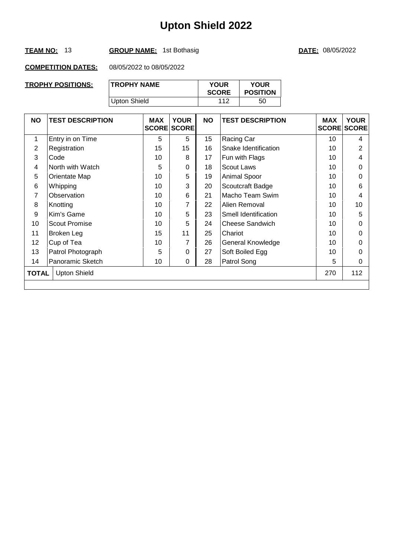#### **TEAM NO:** 13 **GROUP NAME:** 1st Bothasig **DATE:** 08/05/2022

| TROPHY POSITIONS: | <b>TROPHY NAME</b> | <b>YOUR</b><br><b>SCORE</b> | <b>YOUR</b><br><b>POSITION</b> |
|-------------------|--------------------|-----------------------------|--------------------------------|
|                   | Upton Shield       | 112                         | 50                             |

| <b>NO</b>    | <b>TEST DESCRIPTION</b> | <b>MAX</b> | <b>YOUR</b><br><b>SCORE SCORE</b> | <b>NO</b> | <b>TEST DESCRIPTION</b> | <b>MAX</b> | <b>YOUR</b><br><b>SCORE SCORE</b> |
|--------------|-------------------------|------------|-----------------------------------|-----------|-------------------------|------------|-----------------------------------|
| 1            | Entry in on Time        | 5          | 5                                 | 15        | Racing Car              | 10         | 4                                 |
| 2            | Registration            | 15         | 15                                | 16        | Snake Identification    | 10         | $\overline{2}$                    |
| 3            | Code                    | 10         | 8                                 | 17        | Fun with Flags          | 10         | 4                                 |
| 4            | North with Watch        | 5          | 0                                 | 18        | <b>Scout Laws</b>       | 10         | 0                                 |
| 5            | Orientate Map           | 10         | 5                                 | 19        | Animal Spoor            | 10         | 0                                 |
| 6            | Whipping                | 10         | 3                                 | 20        | Scoutcraft Badge        | 10         | 6                                 |
| 7            | Observation             | 10         | 6                                 | 21        | Macho Team Swim         | 10         | 4                                 |
| 8            | Knotting                | 10         | 7                                 | 22        | Alien Removal           | 10         | 10                                |
| 9            | Kim's Game              | 10         | 5                                 | 23        | Smell Identification    | 10         | 5                                 |
| 10           | Scout Promise           | 10         | 5                                 | 24        | <b>Cheese Sandwich</b>  | 10         | $\Omega$                          |
| 11           | Broken Leg              | 15         | 11                                | 25        | Chariot                 | 10         | 0                                 |
| 12           | Cup of Tea              | 10         | 7                                 | 26        | General Knowledge       | 10         | 0                                 |
| 13           | Patrol Photograph       | 5          | 0                                 | 27        | Soft Boiled Egg         | 10         | 0                                 |
| 14           | Panoramic Sketch        | 10         | 0                                 | 28        | Patrol Song             | 5          | 0                                 |
| <b>TOTAL</b> | <b>Upton Shield</b>     |            |                                   |           |                         | 270        | 112                               |
|              |                         |            |                                   |           |                         |            |                                   |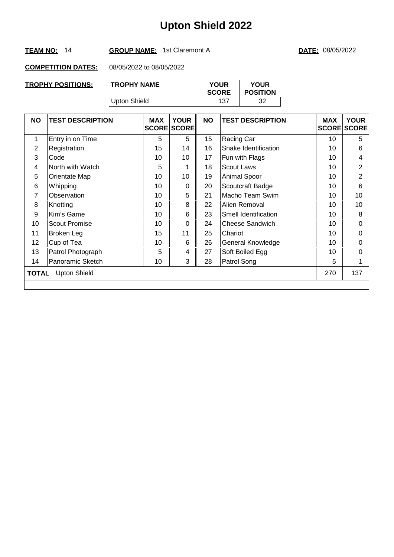#### **TEAM NO:** 14 **GROUP NAME:** 1st Claremont A **DATE:** 08/05/2022

| <b>TROPHY POSITIONS:</b> | <b>TROPHY NAME</b> | <b>YOUR</b><br><b>SCORE</b> | <b>YOUR</b><br><b>POSITION</b> |
|--------------------------|--------------------|-----------------------------|--------------------------------|
|                          | Upton Shield       | 137                         | 32                             |

| <b>NO</b>    | <b>TEST DESCRIPTION</b> | <b>MAX</b> | <b>YOUR</b><br><b>SCORE SCORE</b> | <b>NO</b> | <b>TEST DESCRIPTION</b> | <b>MAX</b> | <b>YOUR</b><br><b>SCORE SCORE</b> |
|--------------|-------------------------|------------|-----------------------------------|-----------|-------------------------|------------|-----------------------------------|
| 1            | Entry in on Time        | 5          | 5                                 | 15        | Racing Car              | 10         | 5                                 |
| 2            | Registration            | 15         | 14                                | 16        | Snake Identification    | 10         | 6                                 |
| 3            | Code                    | 10         | 10                                | 17        | Fun with Flags          | 10         | 4                                 |
| 4            | North with Watch        | 5          |                                   | 18        | <b>Scout Laws</b>       | 10         | $\overline{2}$                    |
| 5            | Orientate Map           | 10         | 10                                | 19        | Animal Spoor            | 10         | $\overline{2}$                    |
| 6            | Whipping                | 10         | 0                                 | 20        | Scoutcraft Badge        | 10         | 6                                 |
| 7            | Observation             | 10         | 5                                 | 21        | Macho Team Swim         | 10         | 10                                |
| 8            | Knotting                | 10         | 8                                 | 22        | Alien Removal           | 10         | 10                                |
| 9            | Kim's Game              | 10         | 6                                 | 23        | Smell Identification    | 10         | 8                                 |
| 10           | <b>Scout Promise</b>    | 10         | $\Omega$                          | 24        | <b>Cheese Sandwich</b>  | 10         | $\Omega$                          |
| 11           | Broken Leg              | 15         | 11                                | 25        | Chariot                 | 10         | 0                                 |
| 12           | Cup of Tea              | 10         | 6                                 | 26        | General Knowledge       | 10         | 0                                 |
| 13           | Patrol Photograph       | 5          | 4                                 | 27        | Soft Boiled Egg         | 10         | 0                                 |
| 14           | Panoramic Sketch        | 10         | 3                                 | 28        | Patrol Song             | 5          |                                   |
| <b>TOTAL</b> | <b>Upton Shield</b>     |            |                                   |           |                         | 270        | 137                               |
|              |                         |            |                                   |           |                         |            |                                   |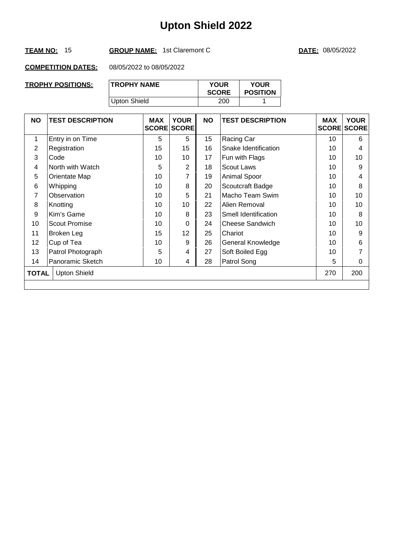#### **TEAM NO:** 15 **GROUP NAME:** 1st Claremont C **DATE:** 08/05/2022

| TROPHY POSITIONS: | <b>TROPHY NAME</b> | <b>YOUR</b><br><b>SCORE</b> | <b>YOUR</b><br><b>POSITION</b> |
|-------------------|--------------------|-----------------------------|--------------------------------|
|                   | Upton Shield       | 200                         |                                |

|                                                   |    | <b>SCORE SCORE</b> |    |                        | <b>MAX</b> | <b>YOUR</b><br><b>SCORE SCORE</b> |
|---------------------------------------------------|----|--------------------|----|------------------------|------------|-----------------------------------|
| Entry in on Time                                  | 5  | 5                  | 15 | Racing Car             | 10         | 6                                 |
| Registration                                      | 15 | 15                 | 16 | Snake Identification   | 10         | 4                                 |
| Code                                              | 10 | 10                 | 17 | Fun with Flags         | 10         | 10                                |
| North with Watch                                  | 5  | $\overline{2}$     | 18 | <b>Scout Laws</b>      | 10         | 9                                 |
| Orientate Map                                     | 10 | 7                  | 19 | Animal Spoor           | 10         | 4                                 |
| Whipping                                          | 10 | 8                  | 20 | Scoutcraft Badge       | 10         | 8                                 |
| Observation                                       | 10 | 5                  | 21 | Macho Team Swim        | 10         | 10                                |
| Knotting                                          | 10 | 10                 | 22 | Alien Removal          | 10         | 10                                |
| Kim's Game                                        | 10 | 8                  | 23 | Smell Identification   | 10         | 8                                 |
| <b>Scout Promise</b>                              | 10 | 0                  | 24 | <b>Cheese Sandwich</b> | 10         | 10                                |
| Broken Leg                                        | 15 | 12                 | 25 | Chariot                | 10         | 9                                 |
| Cup of Tea                                        | 10 | 9                  | 26 | General Knowledge      | 10         | 6                                 |
| Patrol Photograph                                 | 5  | 4                  | 27 | Soft Boiled Egg        | 10         | 7                                 |
| Panoramic Sketch                                  | 10 | 4                  | 28 | Patrol Song            | 5          | 0                                 |
| 270<br>200<br><b>Upton Shield</b><br><b>TOTAL</b> |    |                    |    |                        |            |                                   |
|                                                   |    |                    |    |                        |            |                                   |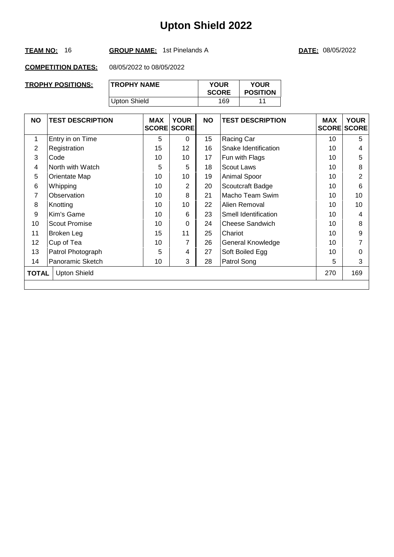#### **TEAM NO:** 16 **GROUP NAME:** 1st Pinelands A **DATE:** 08/05/2022

| TROPHY POSITIONS: | <b>TROPHY NAME</b> | <b>YOUR</b><br><b>SCORE</b> | <b>YOUR</b><br><b>POSITION</b> |
|-------------------|--------------------|-----------------------------|--------------------------------|
|                   | Upton Shield       | 169                         | 44                             |

| <b>NO</b> | <b>TEST DESCRIPTION</b> | <b>MAX</b> | <b>YOUR</b><br><b>SCORE SCORE</b> | <b>NO</b> | <b>TEST DESCRIPTION</b> | <b>MAX</b><br><b>SCORE SCORE</b> | <b>YOUR</b> |
|-----------|-------------------------|------------|-----------------------------------|-----------|-------------------------|----------------------------------|-------------|
| 1         | Entry in on Time        | 5          | $\Omega$                          | 15        | Racing Car              | 10                               | 5           |
| 2         | Registration            | 15         | 12 <sup>2</sup>                   | 16        | Snake Identification    | 10                               | 4           |
| 3         | Code                    | 10         | 10                                | 17        | Fun with Flags          | 10                               | 5           |
| 4         | North with Watch        | 5          | 5                                 | 18        | <b>Scout Laws</b>       | 10                               | 8           |
| 5         | Orientate Map           | 10         | 10                                | 19        | Animal Spoor            | 10                               | 2           |
| 6         | Whipping                | 10         | $\overline{2}$                    | 20        | Scoutcraft Badge        | 10                               | 6           |
| 7         | Observation             | 10         | 8                                 | 21        | Macho Team Swim         | 10                               | 10          |
| 8         | Knotting                | 10         | 10                                | 22        | Alien Removal           | 10                               | 10          |
| 9         | Kim's Game              | 10         | 6                                 | 23        | Smell Identification    | 10                               | 4           |
| 10        | <b>Scout Promise</b>    | 10         | $\Omega$                          | 24        | <b>Cheese Sandwich</b>  | 10                               | 8           |
| 11        | Broken Leg              | 15         | 11                                | 25        | Chariot                 | 10                               | 9           |
| 12        | Cup of Tea              | 10         | 7                                 | 26        | General Knowledge       | 10                               | 7           |
| 13        | Patrol Photograph       | 5          | 4                                 | 27        | Soft Boiled Egg         | 10                               | 0           |
| 14        | Panoramic Sketch        | 10         | 3                                 | 28        | Patrol Song             | 5                                | 3           |
| TOTAL     | <b>Upton Shield</b>     |            |                                   |           |                         | 270                              | 169         |
|           |                         |            |                                   |           |                         |                                  |             |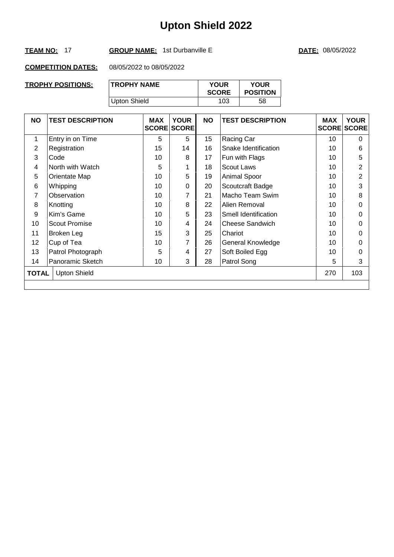#### **TEAM NO:** 17 **GROUP NAME:** 1st Durbanville E **DATE:** 08/05/2022

| TROPHY POSITIONS: | <b>TROPHY NAME</b> | <b>YOUR</b><br><b>SCORE</b> | <b>YOUR</b><br><b>POSITION</b> |
|-------------------|--------------------|-----------------------------|--------------------------------|
|                   | Upton Shield       | 103                         | 58                             |

| <b>NO</b>    | <b>TEST DESCRIPTION</b> | <b>MAX</b> | <b>YOUR</b><br><b>SCORE SCORE</b> | <b>NO</b> | <b>TEST DESCRIPTION</b> | <b>MAX</b> | <b>YOUR</b><br><b>SCORE SCORE</b> |
|--------------|-------------------------|------------|-----------------------------------|-----------|-------------------------|------------|-----------------------------------|
| 1            | Entry in on Time        | 5          | 5                                 | 15        | Racing Car              | 10         | $\Omega$                          |
| 2            | Registration            | 15         | 14                                | 16        | Snake Identification    | 10         | 6                                 |
| 3            | Code                    | 10         | 8                                 | 17        | Fun with Flags          | 10         | 5                                 |
| 4            | North with Watch        | 5          |                                   | 18        | Scout Laws              | 10         | $\overline{2}$                    |
| 5            | Orientate Map           | 10         | 5                                 | 19        | Animal Spoor            | 10         | $\overline{2}$                    |
| 6            | Whipping                | 10         | $\Omega$                          | 20        | Scoutcraft Badge        | 10         | 3                                 |
| 7            | Observation             | 10         | 7                                 | 21        | Macho Team Swim         | 10         | 8                                 |
| 8            | Knotting                | 10         | 8                                 | 22        | Alien Removal           | 10         | 0                                 |
| 9            | Kim's Game              | 10         | 5                                 | 23        | Smell Identification    | 10         | 0                                 |
| 10           | Scout Promise           | 10         | 4                                 | 24        | Cheese Sandwich         | 10         | 0                                 |
| 11           | Broken Leg              | 15         | 3                                 | 25        | Chariot                 | 10         | 0                                 |
| 12           | Cup of Tea              | 10         | 7                                 | 26        | General Knowledge       | 10         | 0                                 |
| 13           | Patrol Photograph       | 5          | 4                                 | 27        | Soft Boiled Egg         | 10         | 0                                 |
| 14           | Panoramic Sketch        | 10         | 3                                 | 28        | Patrol Song             | 5          | 3                                 |
| <b>TOTAL</b> | <b>Upton Shield</b>     |            |                                   |           |                         | 270        | 103                               |
|              |                         |            |                                   |           |                         |            |                                   |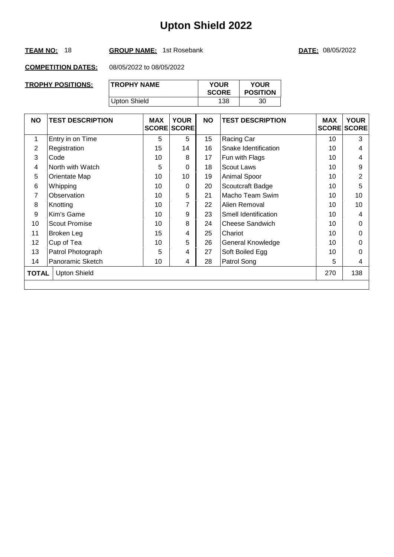#### TEAM NO: 18 **GROUP NAME:** 1st Rosebank **DATE: 08/05/2022**

| TROPHY POSITIONS: | <b>TROPHY NAME</b> | <b>YOUR</b><br><b>SCORE</b> | <b>YOUR</b><br><b>POSITION</b> |
|-------------------|--------------------|-----------------------------|--------------------------------|
|                   | Upton Shield       | 138                         | 30                             |

| <b>NO</b> | <b>TEST DESCRIPTION</b> | <b>MAX</b> | <b>YOUR</b><br><b>SCORE SCORE</b> | <b>NO</b> | <b>TEST DESCRIPTION</b> | <b>MAX</b> | <b>YOUR</b><br><b>SCORE SCORE</b> |
|-----------|-------------------------|------------|-----------------------------------|-----------|-------------------------|------------|-----------------------------------|
| 1         | Entry in on Time        | 5          | 5                                 | 15        | Racing Car              | 10         | 3                                 |
| 2         | Registration            | 15         | 14                                | 16        | Snake Identification    | 10         | 4                                 |
| 3         | Code                    | 10         | 8                                 | 17        | Fun with Flags          | 10         | 4                                 |
| 4         | North with Watch        | 5          | $\overline{0}$                    | 18        | <b>Scout Laws</b>       | 10         | 9                                 |
| 5         | Orientate Map           | 10         | 10                                | 19        | Animal Spoor            | 10         | $\overline{2}$                    |
| 6         | Whipping                | 10         | $\Omega$                          | 20        | Scoutcraft Badge        | 10         | 5                                 |
| 7         | Observation             | 10         | 5                                 | 21        | Macho Team Swim         | 10         | 10                                |
| 8         | Knotting                | 10         | $\overline{7}$                    | 22        | Alien Removal           | 10         | 10                                |
| 9         | Kim's Game              | 10         | 9                                 | 23        | Smell Identification    | 10         | 4                                 |
| 10        | <b>Scout Promise</b>    | 10         | 8                                 | 24        | <b>Cheese Sandwich</b>  | 10         | $\Omega$                          |
| 11        | Broken Leg              | 15         | 4                                 | 25        | Chariot                 | 10         | 0                                 |
| 12        | Cup of Tea              | 10         | 5                                 | 26        | General Knowledge       | 10         | 0                                 |
| 13        | Patrol Photograph       | 5          | 4                                 | 27        | Soft Boiled Egg         | 10         | 0                                 |
| 14        | Panoramic Sketch        | 10         | 4                                 | 28        | Patrol Song             | 5          | 4                                 |
| TOTAL     | <b>Upton Shield</b>     |            |                                   |           |                         | 270        | 138                               |
|           |                         |            |                                   |           |                         |            |                                   |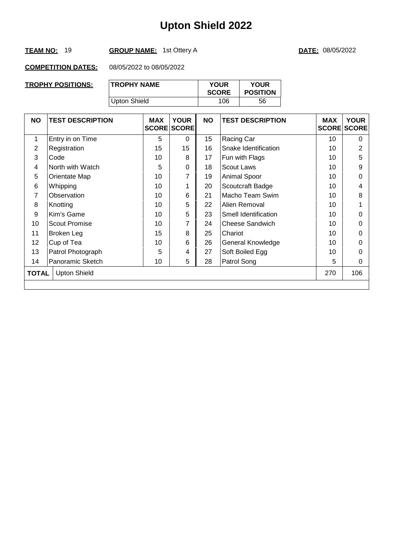#### **TEAM NO:** 19 **GROUP NAME:** 1st Ottery A **DATE:** 08/05/2022

| TROPHY POSITIONS: | <b>TROPHY NAME</b> | <b>YOUR</b><br><b>SCORE</b> | <b>YOUR</b><br><b>POSITION</b> |
|-------------------|--------------------|-----------------------------|--------------------------------|
|                   | Upton Shield       | 106                         | 56                             |

| <b>NO</b>                           | <b>TEST DESCRIPTION</b> | <b>MAX</b> | <b>YOUR</b><br><b>SCORE SCORE</b> | <b>NO</b> | <b>TEST DESCRIPTION</b> | <b>MAX</b> | <b>YOUR</b><br><b>SCORE SCORE</b> |
|-------------------------------------|-------------------------|------------|-----------------------------------|-----------|-------------------------|------------|-----------------------------------|
| 1                                   | Entry in on Time        | 5          | $\Omega$                          | 15        | Racing Car              | 10         | $\Omega$                          |
| 2                                   | Registration            | 15         | 15                                | 16        | Snake Identification    | 10         | $\overline{2}$                    |
| 3                                   | Code                    | 10         | 8                                 | 17        | Fun with Flags          | 10         | 5                                 |
| 4                                   | North with Watch        | 5          | 0                                 | 18        | <b>Scout Laws</b>       | 10         | 9                                 |
| 5                                   | Orientate Map           | 10         |                                   | 19        | Animal Spoor            | 10         | 0                                 |
| 6                                   | Whipping                | 10         |                                   | 20        | Scoutcraft Badge        | 10         | 4                                 |
| 7                                   | Observation             | 10         | 6                                 | 21        | Macho Team Swim         | 10         | 8                                 |
| 8                                   | Knotting                | 10         | 5                                 | 22        | Alien Removal           | 10         |                                   |
| 9                                   | Kim's Game              | 10         | 5                                 | 23        | Smell Identification    | 10         | 0                                 |
| 10                                  | Scout Promise           | 10         | 7                                 | 24        | <b>Cheese Sandwich</b>  | 10         | 0                                 |
| 11                                  | Broken Leg              | 15         | 8                                 | 25        | Chariot                 | 10         | 0                                 |
| 12                                  | Cup of Tea              | 10         | 6                                 | 26        | General Knowledge       | 10         | 0                                 |
| 13                                  | Patrol Photograph       | 5          | 4                                 | 27        | Soft Boiled Egg         | 10         | 0                                 |
| 14                                  | Panoramic Sketch        | 10         | 5                                 | 28        | Patrol Song             | 5          | 0                                 |
| <b>Upton Shield</b><br><b>TOTAL</b> |                         |            |                                   |           |                         | 270        | 106                               |
|                                     |                         |            |                                   |           |                         |            |                                   |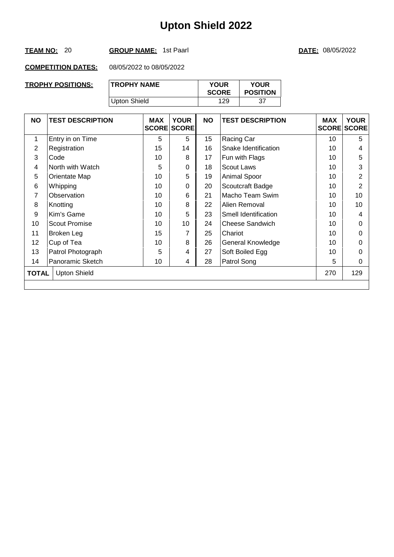#### **TEAM NO:** 20 **GROUP NAME:** 1st Paarl **DATE:** 08/05/2022

| <b>TROPHY POSITIONS:</b> | <b>TROPHY NAME</b> | <b>YOUR</b><br><b>SCORE</b> | <b>YOUR</b><br><b>POSITION</b> |
|--------------------------|--------------------|-----------------------------|--------------------------------|
|                          | Upton Shield       | 129                         |                                |

| <b>NO</b>    | <b>TEST DESCRIPTION</b> | <b>MAX</b> | <b>YOUR</b><br><b>SCORE SCORE</b> | <b>NO</b> | <b>TEST DESCRIPTION</b> | <b>MAX</b> | <b>YOUR</b><br><b>SCORE SCORE</b> |
|--------------|-------------------------|------------|-----------------------------------|-----------|-------------------------|------------|-----------------------------------|
| 1            | Entry in on Time        | 5          | 5                                 | 15        | Racing Car              | 10         | 5                                 |
| 2            | Registration            | 15         | 14                                | 16        | Snake Identification    | 10         | 4                                 |
| 3            | Code                    | 10         | 8                                 | 17        | Fun with Flags          | 10         | 5                                 |
| 4            | North with Watch        | 5          | 0                                 | 18        | <b>Scout Laws</b>       | 10         | 3                                 |
| 5            | Orientate Map           | 10         | 5                                 | 19        | Animal Spoor            | 10         | 2                                 |
| 6            | Whipping                | 10         | 0                                 | 20        | Scoutcraft Badge        | 10         | $\overline{2}$                    |
| 7            | Observation             | 10         | 6                                 | 21        | Macho Team Swim         | 10         | 10                                |
| 8            | Knotting                | 10         | 8                                 | 22        | Alien Removal           | 10         | 10                                |
| 9            | Kim's Game              | 10         | 5                                 | 23        | Smell Identification    | 10         | 4                                 |
| 10           | <b>Scout Promise</b>    | 10         | 10                                | 24        | <b>Cheese Sandwich</b>  | 10         | $\Omega$                          |
| 11           | Broken Leg              | 15         | 7                                 | 25        | Chariot                 | 10         | $\Omega$                          |
| 12           | Cup of Tea              | 10         | 8                                 | 26        | General Knowledge       | 10         | $\Omega$                          |
| 13           | Patrol Photograph       | 5          | 4                                 | 27        | Soft Boiled Egg         | 10         | 0                                 |
| 14           | Panoramic Sketch        | 10         | 4                                 | 28        | Patrol Song             | 5          | 0                                 |
| <b>TOTAL</b> | <b>Upton Shield</b>     |            |                                   |           |                         | 270        | 129                               |
|              |                         |            |                                   |           |                         |            |                                   |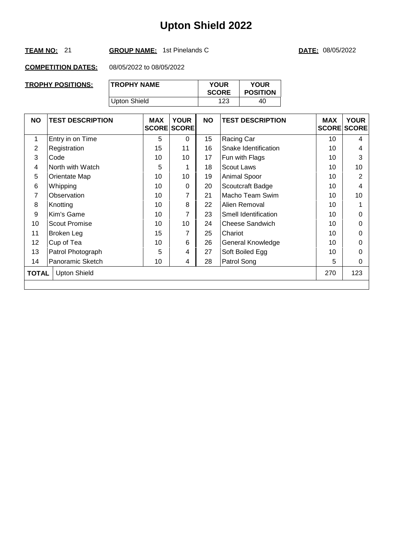#### **TEAM NO:** 21 **GROUP NAME:** 1st Pinelands C **DATE:** 08/05/2022

| <b>TROPHY POSITIONS:</b> | <b>TROPHY NAME</b> | <b>YOUR</b><br><b>SCORE</b> | <b>YOUR</b><br><b>POSITION</b> |
|--------------------------|--------------------|-----------------------------|--------------------------------|
|                          | Upton Shield       | 123                         | 40                             |

| <b>NO</b> | <b>TEST DESCRIPTION</b> | <b>MAX</b> | <b>YOUR</b><br><b>SCORE SCORE</b> | <b>NO</b> | <b>TEST DESCRIPTION</b> | <b>MAX</b> | <b>YOUR</b><br><b>SCORE SCORE</b> |
|-----------|-------------------------|------------|-----------------------------------|-----------|-------------------------|------------|-----------------------------------|
| 1         | Entry in on Time        | 5          | $\Omega$                          | 15        | Racing Car              | 10         | 4                                 |
| 2         | Registration            | 15         | 11                                | 16        | Snake Identification    | 10         | 4                                 |
| 3         | Code                    | 10         | 10                                | 17        | Fun with Flags          | 10         | 3                                 |
| 4         | North with Watch        | 5          |                                   | 18        | Scout Laws              | 10         | 10                                |
| 5         | Orientate Map           | 10         | 10                                | 19        | Animal Spoor            | 10         | 2                                 |
| 6         | Whipping                | 10         | $\Omega$                          | 20        | Scoutcraft Badge        | 10         | 4                                 |
| 7         | Observation             | 10         | 7                                 | 21        | Macho Team Swim         | 10         | 10                                |
| 8         | Knotting                | 10         | 8                                 | 22        | Alien Removal           | 10         |                                   |
| 9         | Kim's Game              | 10         | $\overline{7}$                    | 23        | Smell Identification    | 10         | 0                                 |
| 10        | <b>Scout Promise</b>    | 10         | 10                                | 24        | Cheese Sandwich         | 10         | 0                                 |
| 11        | Broken Leg              | 15         | 7                                 | 25        | Chariot                 | 10         | $\Omega$                          |
| 12        | Cup of Tea              | 10         | 6                                 | 26        | General Knowledge       | 10         | 0                                 |
| 13        | Patrol Photograph       | 5          | 4                                 | 27        | Soft Boiled Egg         | 10         | 0                                 |
| 14        | Panoramic Sketch        | 10         | 4                                 | 28        | Patrol Song             | 5          | 0                                 |
| TOTAL     | <b>Upton Shield</b>     |            |                                   |           |                         | 270        | 123                               |
|           |                         |            |                                   |           |                         |            |                                   |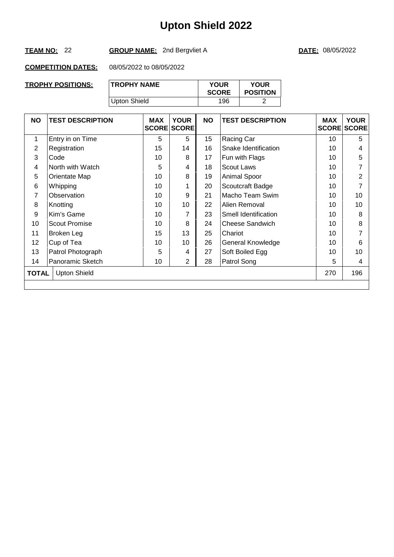#### **TEAM NO:** 22 **GROUP NAME:** 2nd Bergvliet A **DATE:** 08/05/2022

| TROPHY POSITIONS: | <b>TROPHY NAME</b> | <b>YOUR</b><br><b>SCORE</b> | <b>YOUR</b><br><b>POSITION</b> |
|-------------------|--------------------|-----------------------------|--------------------------------|
|                   | Upton Shield       | 196                         |                                |

| <b>NO</b>       | <b>TEST DESCRIPTION</b> | <b>MAX</b> | <b>YOUR</b><br><b>SCORE SCORE</b> | <b>NO</b> | <b>TEST DESCRIPTION</b> | <b>MAX</b><br><b>SCORE SCORE</b> | <b>YOUR</b> |
|-----------------|-------------------------|------------|-----------------------------------|-----------|-------------------------|----------------------------------|-------------|
| 1               | Entry in on Time        | 5          | 5                                 | 15        | Racing Car              | 10                               | 5           |
| 2               | Registration            | 15         | 14                                | 16        | Snake Identification    | 10                               | 4           |
| 3               | Code                    | 10         | 8                                 | 17        | Fun with Flags          | 10                               | 5           |
| 4               | North with Watch        | 5          | 4                                 | 18        | <b>Scout Laws</b>       | 10                               | 7           |
| 5               | Orientate Map           | 10         | 8                                 | 19        | Animal Spoor            | 10                               | 2           |
| 6               | Whipping                | 10         |                                   | 20        | Scoutcraft Badge        | 10                               | 7           |
| 7               | Observation             | 10         | 9                                 | 21        | Macho Team Swim         | 10                               | 10          |
| 8               | Knotting                | 10         | 10                                | 22        | Alien Removal           | 10                               | 10          |
| 9               | Kim's Game              | 10         | 7                                 | 23        | Smell Identification    | 10                               | 8           |
| 10              | <b>Scout Promise</b>    | 10         | 8                                 | 24        | <b>Cheese Sandwich</b>  | 10                               | 8           |
| 11              | Broken Leg              | 15         | 13                                | 25        | Chariot                 | 10                               | 7           |
| 12 <sup>°</sup> | Cup of Tea              | 10         | 10                                | 26        | General Knowledge       | 10                               | 6           |
| 13              | Patrol Photograph       | 5          | 4                                 | 27        | Soft Boiled Egg         | 10                               | 10          |
| 14              | Panoramic Sketch        | 10         | $\overline{2}$                    | 28        | Patrol Song             | 5                                | 4           |
| TOTAL           | <b>Upton Shield</b>     |            |                                   |           |                         | 270                              | 196         |
|                 |                         |            |                                   |           |                         |                                  |             |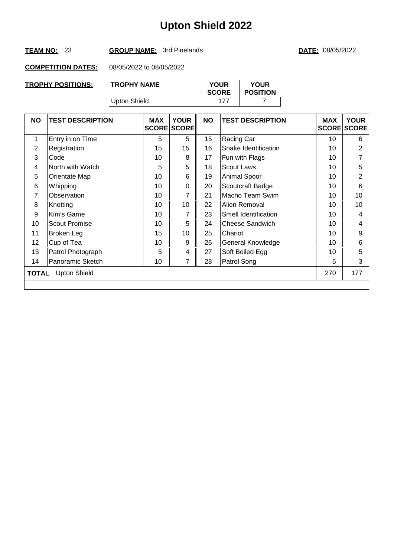#### **TEAM NO:** 23 **GROUP NAME:** 3rd Pinelands **DATE:** 08/05/2022

| TROPHY POSITIONS: | 'TROPHY NAME | <b>YOUR</b><br><b>SCORE</b> | <b>YOUR</b><br><b>POSITION</b> |
|-------------------|--------------|-----------------------------|--------------------------------|
|                   | Upton Shield | 177                         |                                |

| <b>NO</b>                                  | <b>TEST DESCRIPTION</b> | <b>MAX</b> | <b>YOUR</b><br><b>SCORE SCORE</b> | <b>NO</b> | <b>TEST DESCRIPTION</b> | <b>MAX</b> | <b>YOUR</b><br><b>SCORE SCORE</b> |
|--------------------------------------------|-------------------------|------------|-----------------------------------|-----------|-------------------------|------------|-----------------------------------|
| 1                                          | Entry in on Time        | 5          | 5                                 | 15        | Racing Car              | 10         | 6                                 |
| 2                                          | Registration            | 15         | 15                                | 16        | Snake Identification    | 10         | $\overline{2}$                    |
| 3                                          | Code                    | 10         | 8                                 | 17        | Fun with Flags          | 10         |                                   |
| 4                                          | North with Watch        | 5          | 5                                 | 18        | <b>Scout Laws</b>       | 10         | 5                                 |
| 5                                          | Orientate Map           | 10         | 6                                 | 19        | Animal Spoor            | 10         | $\overline{2}$                    |
| 6                                          | Whipping                | 10         | $\Omega$                          | 20        | Scoutcraft Badge        | 10         | 6                                 |
| 7                                          | Observation             | 10         | 7                                 | 21        | Macho Team Swim         | 10         | 10                                |
| 8                                          | Knotting                | 10         | 10                                | 22        | Alien Removal           | 10         | 10                                |
| 9                                          | Kim's Game              | 10         | 7                                 | 23        | Smell Identification    | 10         | 4                                 |
| 10                                         | <b>Scout Promise</b>    | 10         | 5                                 | 24        | <b>Cheese Sandwich</b>  | 10         | 4                                 |
| 11                                         | Broken Leg              | 15         | 10                                | 25        | Chariot                 | 10         | 9                                 |
| 12                                         | Cup of Tea              | 10         | 9                                 | 26        | General Knowledge       | 10         | 6                                 |
| 13                                         | Patrol Photograph       | 5          | 4                                 | 27        | Soft Boiled Egg         | 10         | 5                                 |
| 14                                         | Panoramic Sketch        | 10         |                                   | 28        | Patrol Song             | 5          | 3                                 |
| 270<br><b>Upton Shield</b><br><b>TOTAL</b> |                         |            |                                   |           |                         | 177        |                                   |
|                                            |                         |            |                                   |           |                         |            |                                   |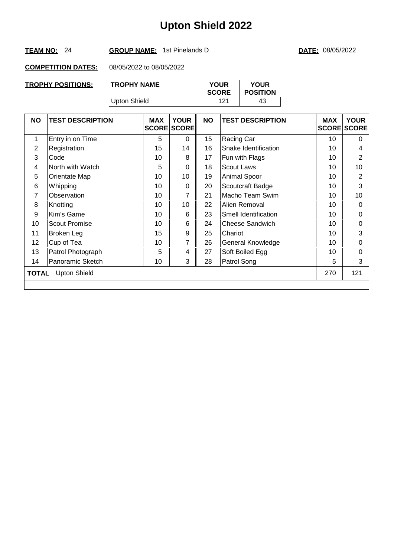#### **TEAM NO:** 24 **GROUP NAME:** 1st Pinelands D **DATE:** 08/05/2022

| TROPHY POSITIONS: | <b>TROPHY NAME</b> | <b>YOUR</b><br><b>SCORE</b> | <b>YOUR</b><br><b>POSITION</b> |
|-------------------|--------------------|-----------------------------|--------------------------------|
|                   | Upton Shield       | 121                         | 43                             |

| <b>NO</b> | <b>TEST DESCRIPTION</b> | <b>MAX</b> | <b>YOUR</b><br><b>SCORE SCORE</b> | <b>NO</b> | <b>TEST DESCRIPTION</b> | <b>MAX</b> | <b>YOUR</b><br><b>SCORE SCORE</b> |
|-----------|-------------------------|------------|-----------------------------------|-----------|-------------------------|------------|-----------------------------------|
| 1         | Entry in on Time        | 5          | $\Omega$                          | 15        | Racing Car              | 10         | $\Omega$                          |
| 2         | Registration            | 15         | 14                                | 16        | Snake Identification    | 10         | 4                                 |
| 3         | Code                    | 10         | 8                                 | 17        | Fun with Flags          | 10         | $\overline{2}$                    |
| 4         | North with Watch        | 5          | 0                                 | 18        | Scout Laws              | 10         | 10                                |
| 5         | Orientate Map           | 10         | 10                                | 19        | Animal Spoor            | 10         | 2                                 |
| 6         | Whipping                | 10         | $\Omega$                          | 20        | Scoutcraft Badge        | 10         | 3                                 |
| 7         | Observation             | 10         | 7                                 | 21        | Macho Team Swim         | 10         | 10                                |
| 8         | Knotting                | 10         | 10                                | 22        | Alien Removal           | 10         | $\Omega$                          |
| 9         | Kim's Game              | 10         | 6                                 | 23        | Smell Identification    | 10         | $\Omega$                          |
| 10        | <b>Scout Promise</b>    | 10         | 6                                 | 24        | Cheese Sandwich         | 10         | $\Omega$                          |
| 11        | Broken Leg              | 15         | 9                                 | 25        | Chariot                 | 10         | 3                                 |
| 12        | Cup of Tea              | 10         | $\overline{7}$                    | 26        | General Knowledge       | 10         | $\Omega$                          |
| 13        | Patrol Photograph       | 5          | 4                                 | 27        | Soft Boiled Egg         | 10         | 0                                 |
| 14        | Panoramic Sketch        | 10         | 3                                 | 28        | Patrol Song             | 5          | 3                                 |
| TOTAL     | <b>Upton Shield</b>     |            |                                   |           |                         | 270        | 121                               |
|           |                         |            |                                   |           |                         |            |                                   |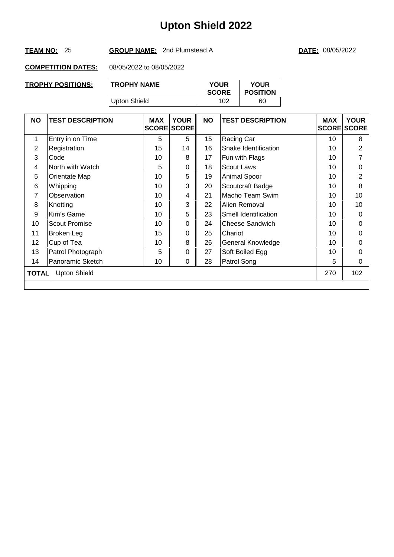#### **TEAM NO:** 25 **GROUP NAME:** 2nd Plumstead A **DATE:** 08/05/2022

| <b>TROPHY POSITIONS:</b> | <b>TROPHY NAME</b> | <b>YOUR</b><br><b>SCORE</b> | <b>YOUR</b><br><b>POSITION</b> |
|--------------------------|--------------------|-----------------------------|--------------------------------|
|                          | Upton Shield       | 102                         | 60                             |

| <b>NO</b>    | <b>TEST DESCRIPTION</b> | <b>MAX</b> | <b>YOUR</b><br><b>SCORE SCORE</b> | <b>NO</b> | <b>TEST DESCRIPTION</b> | <b>MAX</b> | <b>YOUR</b><br><b>SCORE SCORE</b> |
|--------------|-------------------------|------------|-----------------------------------|-----------|-------------------------|------------|-----------------------------------|
| 1            | Entry in on Time        | 5          | 5                                 | 15        | Racing Car              | 10         | 8                                 |
| 2            | Registration            | 15         | 14                                | 16        | Snake Identification    | 10         | $\overline{2}$                    |
| 3            | Code                    | 10         | 8                                 | 17        | Fun with Flags          | 10         |                                   |
| 4            | North with Watch        | 5          | 0                                 | 18        | <b>Scout Laws</b>       | 10         | 0                                 |
| 5            | Orientate Map           | 10         | 5                                 | 19        | Animal Spoor            | 10         | $\overline{2}$                    |
| 6            | Whipping                | 10         | 3                                 | 20        | Scoutcraft Badge        | 10         | 8                                 |
| 7            | Observation             | 10         | 4                                 | 21        | Macho Team Swim         | 10         | 10                                |
| 8            | Knotting                | 10         | 3                                 | 22        | Alien Removal           | 10         | 10                                |
| 9            | Kim's Game              | 10         | 5                                 | 23        | Smell Identification    | 10         | $\Omega$                          |
| 10           | <b>Scout Promise</b>    | 10         | $\Omega$                          | 24        | <b>Cheese Sandwich</b>  | 10         | $\Omega$                          |
| 11           | Broken Leg              | 15         | 0                                 | 25        | Chariot                 | 10         | 0                                 |
| 12           | Cup of Tea              | 10         | 8                                 | 26        | General Knowledge       | 10         | 0                                 |
| 13           | Patrol Photograph       | 5          | 0                                 | 27        | Soft Boiled Egg         | 10         | 0                                 |
| 14           | Panoramic Sketch        | 10         | 0                                 | 28        | Patrol Song             | 5          | 0                                 |
| <b>TOTAL</b> | <b>Upton Shield</b>     |            |                                   |           |                         | 270        | 102                               |
|              |                         |            |                                   |           |                         |            |                                   |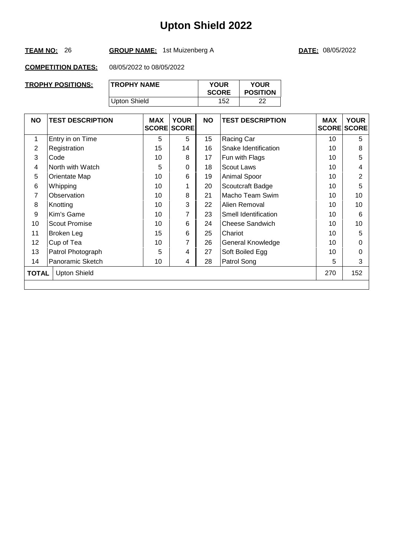#### **TEAM NO:** 26 **GROUP NAME:** 1st Muizenberg A **DATE:** 08/05/2022

| TROPHY POSITIONS: | <b>TROPHY NAME</b> | <b>YOUR</b><br><b>SCORE</b> | <b>YOUR</b><br><b>POSITION</b> |
|-------------------|--------------------|-----------------------------|--------------------------------|
|                   | Upton Shield       | 152                         | າາ                             |

| <b>NO</b> | <b>TEST DESCRIPTION</b> | <b>MAX</b> | <b>YOUR</b><br><b>SCORE SCORE</b> | <b>NO</b> | <b>TEST DESCRIPTION</b> | <b>MAX</b><br><b>SCORE SCORE</b> | <b>YOUR</b> |
|-----------|-------------------------|------------|-----------------------------------|-----------|-------------------------|----------------------------------|-------------|
| 1         | Entry in on Time        | 5          | 5                                 | 15        | Racing Car              | 10                               | 5           |
| 2         | Registration            | 15         | 14                                | 16        | Snake Identification    | 10                               | 8           |
| 3         | Code                    | 10         | 8                                 | 17        | Fun with Flags          | 10                               | 5           |
| 4         | North with Watch        | 5          | $\Omega$                          | 18        | <b>Scout Laws</b>       | 10                               | 4           |
| 5         | Orientate Map           | 10         | 6                                 | 19        | Animal Spoor            | 10                               | 2           |
| 6         | Whipping                | 10         |                                   | 20        | Scoutcraft Badge        | 10                               | 5           |
| 7         | Observation             | 10         | 8                                 | 21        | Macho Team Swim         | 10                               | 10          |
| 8         | Knotting                | 10         | 3                                 | 22        | Alien Removal           | 10                               | 10          |
| 9         | Kim's Game              | 10         | 7                                 | 23        | Smell Identification    | 10                               | 6           |
| 10        | <b>Scout Promise</b>    | 10         | 6                                 | 24        | <b>Cheese Sandwich</b>  | 10                               | 10          |
| 11        | Broken Leg              | 15         | 6                                 | 25        | Chariot                 | 10                               | 5           |
| 12        | Cup of Tea              | 10         | 7                                 | 26        | General Knowledge       | 10                               | 0           |
| 13        | Patrol Photograph       | 5          | 4                                 | 27        | Soft Boiled Egg         | 10                               | 0           |
| 14        | Panoramic Sketch        | 10         | 4                                 | 28        | Patrol Song             | 5                                | 3           |
| TOTAL     | <b>Upton Shield</b>     |            |                                   |           |                         | 270                              | 152         |
|           |                         |            |                                   |           |                         |                                  |             |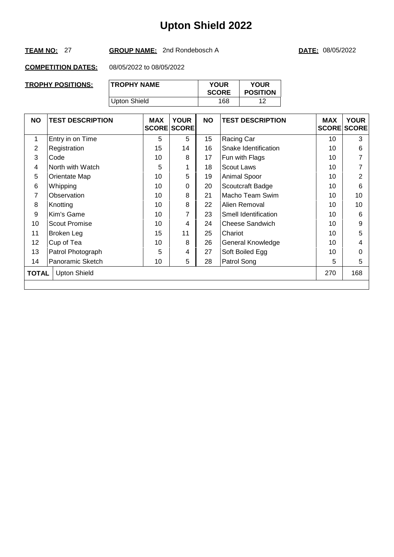#### **TEAM NO:** 27 **GROUP NAME:** 2nd Rondebosch A **DATE:** 08/05/2022

| TROPHY POSITIONS: | <b>TROPHY NAME</b> | <b>YOUR</b><br><b>SCORE</b> | <b>YOUR</b><br><b>POSITION</b> |
|-------------------|--------------------|-----------------------------|--------------------------------|
|                   | Upton Shield       | 168                         | 10                             |

| <b>NO</b>    | <b>TEST DESCRIPTION</b> | <b>MAX</b> | <b>YOUR</b><br><b>SCORE SCORE</b> | <b>NO</b> | <b>TEST DESCRIPTION</b> | <b>MAX</b> | <b>YOUR</b><br><b>SCORE SCORE</b> |
|--------------|-------------------------|------------|-----------------------------------|-----------|-------------------------|------------|-----------------------------------|
| 1            | Entry in on Time        | 5          | 5                                 | 15        | Racing Car              | 10         | 3                                 |
| 2            | Registration            | 15         | 14                                | 16        | Snake Identification    | 10         | 6                                 |
| 3            | Code                    | 10         | 8                                 | 17        | Fun with Flags          | 10         |                                   |
| 4            | North with Watch        | 5          |                                   | 18        | <b>Scout Laws</b>       | 10         |                                   |
| 5            | Orientate Map           | 10         | 5                                 | 19        | Animal Spoor            | 10         | $\overline{2}$                    |
| 6            | Whipping                | 10         | 0                                 | 20        | Scoutcraft Badge        | 10         | 6                                 |
| 7            | Observation             | 10         | 8                                 | 21        | Macho Team Swim         | 10         | 10                                |
| 8            | Knotting                | 10         | 8                                 | 22        | Alien Removal           | 10         | 10                                |
| 9            | Kim's Game              | 10         | 7                                 | 23        | Smell Identification    | 10         | 6                                 |
| 10           | Scout Promise           | 10         | 4                                 | 24        | Cheese Sandwich         | 10         | 9                                 |
| 11           | Broken Leg              | 15         | 11                                | 25        | Chariot                 | 10         | 5                                 |
| 12           | Cup of Tea              | 10         | 8                                 | 26        | General Knowledge       | 10         | 4                                 |
| 13           | Patrol Photograph       | 5          | 4                                 | 27        | Soft Boiled Egg         | 10         | 0                                 |
| 14           | Panoramic Sketch        | 10         | 5                                 | 28        | Patrol Song             | 5          | 5                                 |
| <b>TOTAL</b> | <b>Upton Shield</b>     |            |                                   |           |                         | 270        | 168                               |
|              |                         |            |                                   |           |                         |            |                                   |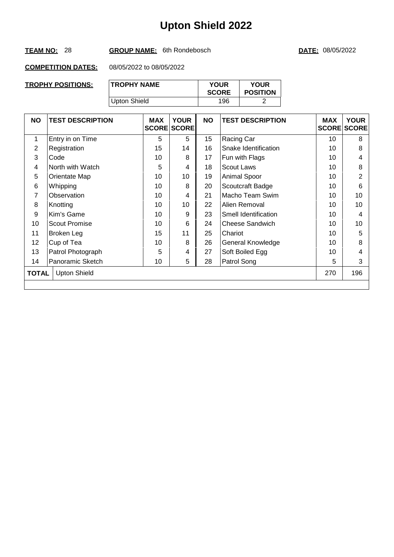#### **TEAM NO:** 28 **GROUP NAME:** 6th Rondebosch **DATE:** 08/05/2022

| TROPHY POSITIONS: | 'TROPHY NAME | <b>YOUR</b><br><b>SCORE</b> | <b>YOUR</b><br><b>POSITION</b> |
|-------------------|--------------|-----------------------------|--------------------------------|
|                   | Upton Shield | 196                         | ◠                              |

| <b>NO</b>                           | <b>TEST DESCRIPTION</b> | <b>MAX</b> | <b>YOUR</b><br><b>SCORE SCORE</b> | <b>NO</b> | <b>TEST DESCRIPTION</b> | <b>MAX</b><br><b>SCORE SCORE</b> | <b>YOUR</b> |
|-------------------------------------|-------------------------|------------|-----------------------------------|-----------|-------------------------|----------------------------------|-------------|
| 1                                   | Entry in on Time        | 5          | 5                                 | 15        | Racing Car              | 10                               | 8           |
| 2                                   | Registration            | 15         | 14                                | 16        | Snake Identification    | 10                               | 8           |
| 3                                   | Code                    | 10         | 8                                 | 17        | Fun with Flags          | 10                               | 4           |
| 4                                   | North with Watch        | 5          | 4                                 | 18        | <b>Scout Laws</b>       | 10                               | 8           |
| 5                                   | Orientate Map           | 10         | 10                                | 19        | Animal Spoor            | 10                               | 2           |
| 6                                   | Whipping                | 10         | 8                                 | 20        | Scoutcraft Badge        | 10                               | 6           |
| 7                                   | Observation             | 10         | 4                                 | 21        | Macho Team Swim         | 10                               | 10          |
| 8                                   | Knotting                | 10         | 10                                | 22        | Alien Removal           | 10                               | 10          |
| 9                                   | Kim's Game              | 10         | 9                                 | 23        | Smell Identification    | 10                               | 4           |
| 10                                  | Scout Promise           | 10         | 6                                 | 24        | Cheese Sandwich         | 10                               | 10          |
| 11                                  | Broken Leg              | 15         | 11                                | 25        | Chariot                 | 10                               | 5           |
| 12                                  | Cup of Tea              | 10         | 8                                 | 26        | General Knowledge       | 10                               | 8           |
| 13                                  | Patrol Photograph       | 5          | 4                                 | 27        | Soft Boiled Egg         | 10                               | 4           |
| 14                                  | Panoramic Sketch        | 10         | 5                                 | 28        | Patrol Song             | 5                                | 3           |
| 270<br><b>Upton Shield</b><br>TOTAL |                         |            |                                   |           |                         | 196                              |             |
|                                     |                         |            |                                   |           |                         |                                  |             |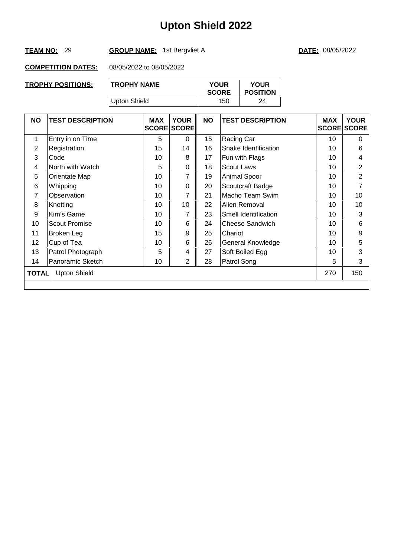#### **TEAM NO:** 29 **GROUP NAME:** 1st Bergvliet A **DATE:** 08/05/2022

| TROPHY POSITIONS: | <b>TROPHY NAME</b> | <b>YOUR</b><br><b>SCORE</b> | <b>YOUR</b><br><b>POSITION</b> |
|-------------------|--------------------|-----------------------------|--------------------------------|
|                   | Upton Shield       | 150                         | 24                             |

| <b>NO</b>                           | <b>TEST DESCRIPTION</b> | <b>MAX</b> | <b>YOUR</b><br><b>SCORE SCORE</b> | <b>NO</b> | <b>TEST DESCRIPTION</b> | <b>MAX</b> | <b>YOUR</b><br><b>SCORE SCORE</b> |
|-------------------------------------|-------------------------|------------|-----------------------------------|-----------|-------------------------|------------|-----------------------------------|
| 1                                   | Entry in on Time        | 5          | $\Omega$                          | 15        | Racing Car              | 10         | $\Omega$                          |
| 2                                   | Registration            | 15         | 14                                | 16        | Snake Identification    | 10         | 6                                 |
| 3                                   | Code                    | 10         | 8                                 | 17        | Fun with Flags          | 10         | 4                                 |
| 4                                   | North with Watch        | 5          | 0                                 | 18        | <b>Scout Laws</b>       | 10         | $\overline{2}$                    |
| 5                                   | Orientate Map           | 10         |                                   | 19        | Animal Spoor            | 10         | $\overline{2}$                    |
| 6                                   | Whipping                | 10         | 0                                 | 20        | Scoutcraft Badge        | 10         | 7                                 |
| 7                                   | Observation             | 10         | 7                                 | 21        | Macho Team Swim         | 10         | 10                                |
| 8                                   | Knotting                | 10         | 10                                | 22        | Alien Removal           | 10         | 10                                |
| 9                                   | Kim's Game              | 10         | 7                                 | 23        | Smell Identification    | 10         | 3                                 |
| 10                                  | Scout Promise           | 10         | 6                                 | 24        | <b>Cheese Sandwich</b>  | 10         | 6                                 |
| 11                                  | Broken Leg              | 15         | 9                                 | 25        | Chariot                 | 10         | 9                                 |
| 12 <sub>2</sub>                     | Cup of Tea              | 10         | 6                                 | 26        | General Knowledge       | 10         | 5                                 |
| 13                                  | Patrol Photograph       | 5          | 4                                 | 27        | Soft Boiled Egg         | 10         | 3                                 |
| 14                                  | Panoramic Sketch        | 10         | 2                                 | 28        | Patrol Song             | 5          | 3                                 |
| <b>Upton Shield</b><br><b>TOTAL</b> |                         |            |                                   |           |                         | 270        | 150                               |
|                                     |                         |            |                                   |           |                         |            |                                   |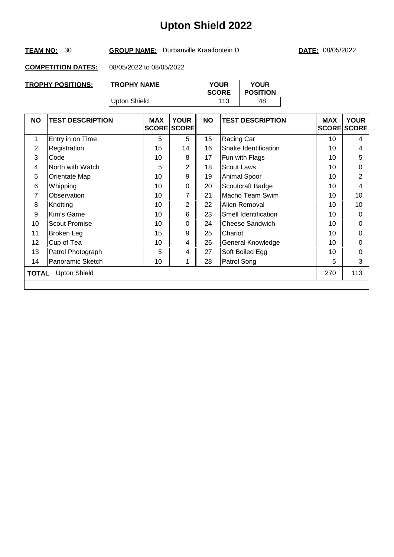#### **TEAM NO:** 30 **GROUP NAME:** Durbanville Kraaifontein D **DATE:** 08/05/2022

| <b>TROPHY POSITIONS:</b> | <b>TROPHY NAME</b> | <b>YOUR</b><br><b>SCORE</b> | <b>YOUR</b><br><b>POSITION</b> |
|--------------------------|--------------------|-----------------------------|--------------------------------|
|                          | Upton Shield       | 113                         | 48                             |

| <b>NO</b>       | <b>TEST DESCRIPTION</b> | <b>MAX</b> | <b>YOUR</b><br><b>SCORE SCORE</b> | <b>NO</b> | <b>TEST DESCRIPTION</b> | <b>MAX</b><br><b>SCORE SCORE</b> | <b>YOUR</b> |
|-----------------|-------------------------|------------|-----------------------------------|-----------|-------------------------|----------------------------------|-------------|
| 1               | Entry in on Time        | 5          | 5                                 | 15        | Racing Car              | 10 <sup>1</sup>                  | 4           |
| 2               | Registration            | 15         | 14                                | 16        | Snake Identification    | 10                               | 4           |
| 3               | Code                    | 10         | 8                                 | 17        | Fun with Flags          | 10                               | 5           |
| 4               | North with Watch        | 5          | $\overline{2}$                    | 18        | <b>Scout Laws</b>       | 10                               | 0           |
| 5               | Orientate Map           | 10         | 9                                 | 19        | Animal Spoor            | 10                               | 2           |
| 6               | Whipping                | 10         | $\Omega$                          | 20        | Scoutcraft Badge        | 10                               | 4           |
| 7               | Observation             | 10         | 7                                 | 21        | Macho Team Swim         | 10                               | 10          |
| 8               | Knotting                | 10         | $\overline{2}$                    | 22        | Alien Removal           | 10                               | 10          |
| 9               | Kim's Game              | 10         | 6                                 | 23        | Smell Identification    | 10                               | $\Omega$    |
| 10              | <b>Scout Promise</b>    | 10         | $\Omega$                          | 24        | <b>Cheese Sandwich</b>  | 10                               | 0           |
| 11              | Broken Leg              | 15         | 9                                 | 25        | Chariot                 | 10                               | 0           |
| 12 <sup>°</sup> | Cup of Tea              | 10         | 4                                 | 26        | General Knowledge       | 10                               | 0           |
| 13              | Patrol Photograph       | 5          | 4                                 | 27        | Soft Boiled Egg         | 10                               | 0           |
| 14              | Panoramic Sketch        | 10         |                                   | 28        | Patrol Song             | 5                                | 3           |
| <b>TOTAL</b>    | <b>Upton Shield</b>     |            |                                   |           |                         | 270                              | 113         |
|                 |                         |            |                                   |           |                         |                                  |             |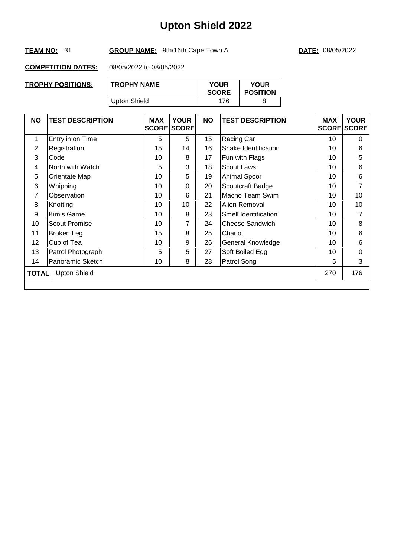#### TEAM NO: 31 **GROUP NAME:** 9th/16th Cape Town A **DATE: 08/05/2022**

| <b>TROPHY POSITIONS:</b> | <b>TROPHY NAME</b> | <b>YOUR</b><br><b>SCORE</b> | <b>YOUR</b><br><b>POSITION</b> |
|--------------------------|--------------------|-----------------------------|--------------------------------|
|                          | Upton Shield       | 176                         |                                |

| <b>NO</b>       | <b>TEST DESCRIPTION</b> | <b>MAX</b> | <b>YOUR</b><br><b>SCORE SCORE</b> | <b>NO</b> | <b>TEST DESCRIPTION</b> | <b>MAX</b><br><b>SCORE SCORE</b> | <b>YOUR</b> |
|-----------------|-------------------------|------------|-----------------------------------|-----------|-------------------------|----------------------------------|-------------|
| 1               | Entry in on Time        | 5          | 5                                 | 15        | Racing Car              | 10                               | $\Omega$    |
| 2               | Registration            | 15         | 14                                | 16        | Snake Identification    | 10                               | 6           |
| 3               | Code                    | 10         | 8                                 | 17        | Fun with Flags          | 10                               | 5           |
| 4               | North with Watch        | 5          | 3                                 | 18        | <b>Scout Laws</b>       | 10                               | 6           |
| 5               | Orientate Map           | 10         | 5                                 | 19        | Animal Spoor            | 10                               | 6           |
| 6               | Whipping                | 10         | $\Omega$                          | 20        | Scoutcraft Badge        | 10                               | 7           |
| 7               | Observation             | 10         | 6                                 | 21        | Macho Team Swim         | 10                               | 10          |
| 8               | Knotting                | 10         | 10                                | 22        | Alien Removal           | 10                               | 10          |
| 9               | Kim's Game              | 10         | 8                                 | 23        | Smell Identification    | 10                               | 7           |
| 10              | <b>Scout Promise</b>    | 10         | 7                                 | 24        | <b>Cheese Sandwich</b>  | 10                               | 8           |
| 11              | Broken Leg              | 15         | 8                                 | 25        | Chariot                 | 10                               | 6           |
| 12 <sub>2</sub> | Cup of Tea              | 10         | 9                                 | 26        | General Knowledge       | 10                               | 6           |
| 13              | Patrol Photograph       | 5          | 5                                 | 27        | Soft Boiled Egg         | 10                               | 0           |
| 14              | Panoramic Sketch        | 10         | 8                                 | 28        | Patrol Song             | 5                                | 3           |
| TOTAL           | <b>Upton Shield</b>     |            |                                   |           |                         | 270                              | 176         |
|                 |                         |            |                                   |           |                         |                                  |             |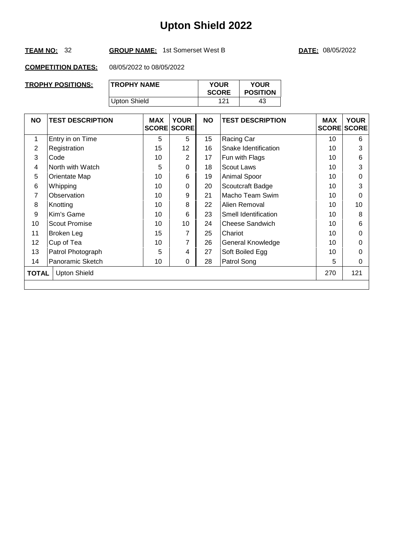#### **TEAM NO:** 32 **GROUP NAME:** 1st Somerset West B **DATE:** 08/05/2022

| TROPHY POSITIONS: | <b>TROPHY NAME</b> | <b>YOUR</b><br><b>SCORE</b> | <b>YOUR</b><br><b>POSITION</b> |
|-------------------|--------------------|-----------------------------|--------------------------------|
|                   | Upton Shield       | 121                         | 43                             |

| <b>NO</b> | <b>TEST DESCRIPTION</b> | <b>MAX</b> | <b>YOUR</b><br><b>SCORE SCORE</b> | <b>NO</b> | <b>TEST DESCRIPTION</b> | <b>MAX</b><br><b>SCORE SCORE</b> | <b>YOUR</b> |
|-----------|-------------------------|------------|-----------------------------------|-----------|-------------------------|----------------------------------|-------------|
| 1         | Entry in on Time        | 5          | 5                                 | 15        | Racing Car              | 10                               | 6           |
| 2         | Registration            | 15         | 12 <sup>2</sup>                   | 16        | Snake Identification    | 10                               | 3           |
| 3         | Code                    | 10         | $\overline{2}$                    | 17        | Fun with Flags          | 10                               | 6           |
| 4         | North with Watch        | 5          | $\Omega$                          | 18        | <b>Scout Laws</b>       | 10                               | 3           |
| 5         | Orientate Map           | 10         | 6                                 | 19        | Animal Spoor            | 10                               | $\Omega$    |
| 6         | Whipping                | 10         | $\Omega$                          | 20        | Scoutcraft Badge        | 10                               | 3           |
| 7         | Observation             | 10         | 9                                 | 21        | Macho Team Swim         | 10                               | 0           |
| 8         | Knotting                | 10         | 8                                 | 22        | Alien Removal           | 10                               | 10          |
| 9         | Kim's Game              | 10         | 6                                 | 23        | Smell Identification    | 10                               | 8           |
| 10        | <b>Scout Promise</b>    | 10         | 10                                | 24        | <b>Cheese Sandwich</b>  | 10                               | 6           |
| 11        | Broken Leg              | 15         | 7                                 | 25        | Chariot                 | 10                               | 0           |
| 12        | Cup of Tea              | 10         | 7                                 | 26        | General Knowledge       | 10                               | 0           |
| 13        | Patrol Photograph       | 5          | 4                                 | 27        | Soft Boiled Egg         | 10                               | 0           |
| 14        | Panoramic Sketch        | 10         | $\Omega$                          | 28        | Patrol Song             | 5                                | $\Omega$    |
| TOTAL     | <b>Upton Shield</b>     |            |                                   |           |                         | 270                              | 121         |
|           |                         |            |                                   |           |                         |                                  |             |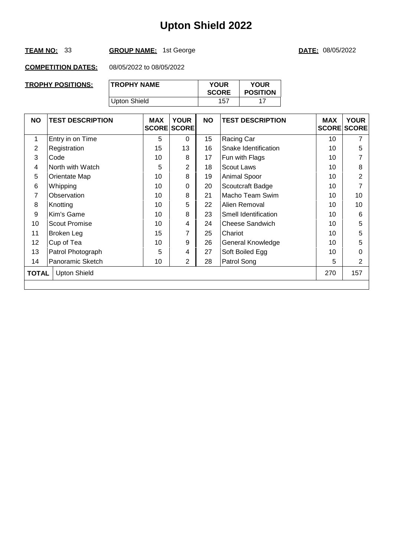#### TEAM NO: 33 GROUP NAME: 1st George **DATE: 08/05/2022**

| TROPHY POSITIONS: | <b>TROPHY NAME</b> | <b>YOUR</b><br><b>SCORE</b> | <b>YOUR</b><br><b>POSITION</b> |
|-------------------|--------------------|-----------------------------|--------------------------------|
|                   | Upton Shield       | 157                         |                                |

| <b>NO</b> | <b>TEST DESCRIPTION</b> | <b>MAX</b> | <b>YOUR</b><br><b>SCORE SCORE</b> | <b>NO</b> | <b>TEST DESCRIPTION</b> | <b>MAX</b><br><b>SCORE SCORE</b> | <b>YOUR</b> |
|-----------|-------------------------|------------|-----------------------------------|-----------|-------------------------|----------------------------------|-------------|
| 1         | Entry in on Time        | 5          | $\Omega$                          | 15        | Racing Car              | 10                               | 7           |
| 2         | Registration            | 15         | 13                                | 16        | Snake Identification    | 10                               | 5           |
| 3         | Code                    | 10         | 8                                 | 17        | Fun with Flags          | 10                               | 7           |
| 4         | North with Watch        | 5          | $\overline{2}$                    | 18        | <b>Scout Laws</b>       | 10                               | 8           |
| 5         | Orientate Map           | 10         | 8                                 | 19        | Animal Spoor            | 10                               | 2           |
| 6         | Whipping                | 10         | $\Omega$                          | 20        | Scoutcraft Badge        | 10                               | 7           |
| 7         | Observation             | 10         | 8                                 | 21        | Macho Team Swim         | 10                               | 10          |
| 8         | Knotting                | 10         | 5                                 | 22        | Alien Removal           | 10                               | 10          |
| 9         | Kim's Game              | 10         | 8                                 | 23        | Smell Identification    | 10                               | 6           |
| 10        | <b>Scout Promise</b>    | 10         | 4                                 | 24        | <b>Cheese Sandwich</b>  | 10                               | 5           |
| 11        | Broken Leg              | 15         | 7                                 | 25        | Chariot                 | 10                               | 5           |
| 12        | Cup of Tea              | 10         | 9                                 | 26        | General Knowledge       | 10                               | 5           |
| 13        | Patrol Photograph       | 5          | 4                                 | 27        | Soft Boiled Egg         | 10                               | 0           |
| 14        | Panoramic Sketch        | 10         | $\overline{2}$                    | 28        | Patrol Song             | 5                                | 2           |
| TOTAL     | <b>Upton Shield</b>     |            |                                   |           |                         | 270                              | 157         |
|           |                         |            |                                   |           |                         |                                  |             |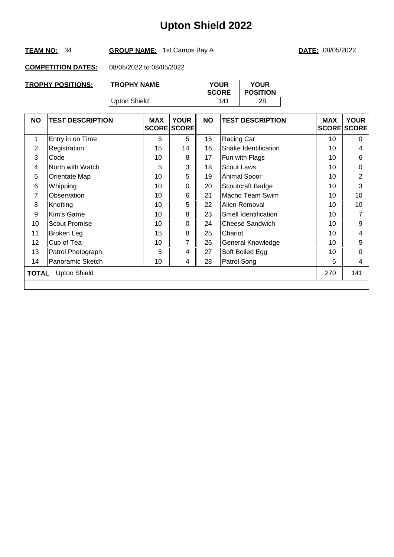#### **TEAM NO:** 34 **GROUP NAME:** 1st Camps Bay A **DATE:** 08/05/2022

| TROPHY POSITIONS: | <b>TROPHY NAME</b> | <b>YOUR</b><br><b>SCORE</b> | <b>YOUR</b><br><b>POSITION</b> |
|-------------------|--------------------|-----------------------------|--------------------------------|
|                   | Upton Shield       | 141                         | 28                             |

| <b>NO</b>    | <b>TEST DESCRIPTION</b> | <b>MAX</b> | <b>YOUR</b><br><b>SCORE SCORE</b> | <b>NO</b> | <b>TEST DESCRIPTION</b> | <b>MAX</b> | <b>YOUR</b><br><b>SCORE SCORE</b> |
|--------------|-------------------------|------------|-----------------------------------|-----------|-------------------------|------------|-----------------------------------|
| $\mathbf{1}$ | Entry in on Time        | 5          | 5                                 | 15        | Racing Car              | 10         | $\Omega$                          |
| 2            | Registration            | 15         | 14                                | 16        | Snake Identification    | 10         | 4                                 |
| 3            | Code                    | 10         | 8                                 | 17        | Fun with Flags          | 10         | 6                                 |
| 4            | North with Watch        | 5          | 3                                 | 18        | <b>Scout Laws</b>       | 10         | $\Omega$                          |
| 5            | Orientate Map           | 10         | 5                                 | 19        | Animal Spoor            | 10         | $\overline{2}$                    |
| 6            | Whipping                | 10         | 0                                 | 20        | Scoutcraft Badge        | 10         | 3                                 |
| 7            | Observation             | 10         | 6                                 | 21        | Macho Team Swim         | 10         | 10                                |
| 8            | Knotting                | 10         | 5                                 | 22        | Alien Removal           | 10         | 10                                |
| 9            | Kim's Game              | 10         | 8                                 | 23        | Smell Identification    | 10         | 7                                 |
| 10           | <b>Scout Promise</b>    | 10         | 0                                 | 24        | <b>Cheese Sandwich</b>  | 10         | 9                                 |
| 11           | Broken Leg              | 15         | 8                                 | 25        | Chariot                 | 10         | 4                                 |
| 12           | Cup of Tea              | 10         | 7                                 | 26        | General Knowledge       | 10         | 5                                 |
| 13           | Patrol Photograph       | 5          | 4                                 | 27        | Soft Boiled Egg         | 10         | 0                                 |
| 14           | Panoramic Sketch        | 10         | 4                                 | 28        | Patrol Song             | 5          | 4                                 |
| <b>TOTAL</b> | <b>Upton Shield</b>     |            |                                   |           |                         | 270        | 141                               |
|              |                         |            |                                   |           |                         |            |                                   |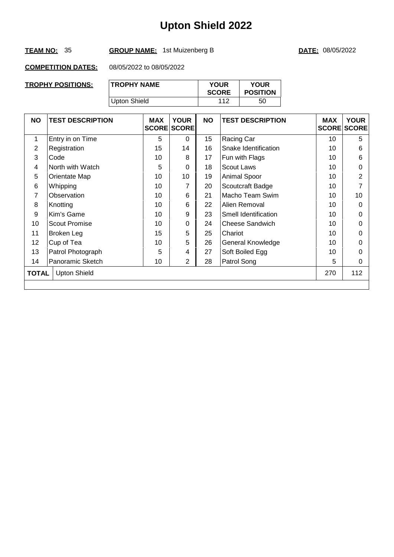#### **TEAM NO:** 35 **GROUP NAME:** 1st Muizenberg B **DATE:** 08/05/2022

| <b>TROPHY POSITIONS:</b> | <b>TROPHY NAME</b> | <b>YOUR</b><br><b>SCORE</b> | <b>YOUR</b><br><b>POSITION</b> |
|--------------------------|--------------------|-----------------------------|--------------------------------|
|                          | Upton Shield       | 112                         | 50                             |

| <b>NO</b> | <b>TEST DESCRIPTION</b> | <b>MAX</b> | <b>YOUR</b><br><b>SCORE SCORE</b> | <b>NO</b> | <b>TEST DESCRIPTION</b> | <b>MAX</b> | <b>YOUR</b><br><b>SCORE SCORE</b> |
|-----------|-------------------------|------------|-----------------------------------|-----------|-------------------------|------------|-----------------------------------|
| 1         | Entry in on Time        | 5          | $\Omega$                          | 15        | Racing Car              | 10         | 5                                 |
| 2         | Registration            | 15         | 14                                | 16        | Snake Identification    | 10         | 6                                 |
| 3         | Code                    | 10         | 8                                 | 17        | Fun with Flags          | 10         | 6                                 |
| 4         | North with Watch        | 5          | 0                                 | 18        | Scout Laws              | 10         | 0                                 |
| 5         | Orientate Map           | 10         | 10                                | 19        | Animal Spoor            | 10         | $\overline{2}$                    |
| 6         | Whipping                | 10         | 7                                 | 20        | Scoutcraft Badge        | 10         | 7                                 |
| 7         | Observation             | 10         | 6                                 | 21        | Macho Team Swim         | 10         | 10                                |
| 8         | Knotting                | 10         | 6                                 | 22        | Alien Removal           | 10         | $\Omega$                          |
| 9         | Kim's Game              | 10         | 9                                 | 23        | Smell Identification    | 10         | $\Omega$                          |
| 10        | <b>Scout Promise</b>    | 10         | 0                                 | 24        | Cheese Sandwich         | 10         | 0                                 |
| 11        | Broken Leg              | 15         | 5                                 | 25        | Chariot                 | 10         | 0                                 |
| 12        | Cup of Tea              | 10         | 5                                 | 26        | General Knowledge       | 10         | 0                                 |
| 13        | Patrol Photograph       | 5          | 4                                 | 27        | Soft Boiled Egg         | 10         | 0                                 |
| 14        | Panoramic Sketch        | 10         | $\overline{2}$                    | 28        | Patrol Song             | 5          | 0                                 |
| TOTAL     | <b>Upton Shield</b>     |            |                                   |           |                         | 270        | 112                               |
|           |                         |            |                                   |           |                         |            |                                   |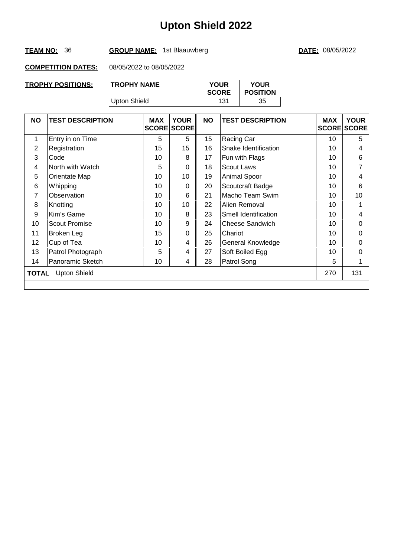#### **TEAM NO:** 36 **GROUP NAME:** 1st Blaauwberg **DATE:** 08/05/2022

| TROPHY POSITIONS: | <b>TROPHY NAME</b> | <b>YOUR</b><br><b>SCORE</b> | <b>YOUR</b><br><b>POSITION</b> |
|-------------------|--------------------|-----------------------------|--------------------------------|
|                   | Upton Shield       | 131                         | 35                             |

| <b>NO</b>                                  | <b>TEST DESCRIPTION</b> | <b>MAX</b> | <b>YOUR</b><br><b>SCORE SCORE</b> | <b>NO</b> | <b>TEST DESCRIPTION</b> | <b>MAX</b> | <b>YOUR</b><br><b>SCORE SCORE</b> |
|--------------------------------------------|-------------------------|------------|-----------------------------------|-----------|-------------------------|------------|-----------------------------------|
| 1                                          | Entry in on Time        | 5          | 5                                 | 15        | Racing Car              | 10         | 5                                 |
| 2                                          | Registration            | 15         | 15                                | 16        | Snake Identification    | 10         | 4                                 |
| 3                                          | Code                    | 10         | 8                                 | 17        | Fun with Flags          | 10         | 6                                 |
| 4                                          | North with Watch        | 5          | 0                                 | 18        | Scout Laws              | 10         | 7                                 |
| 5                                          | Orientate Map           | 10         | 10                                | 19        | Animal Spoor            | 10         | 4                                 |
| 6                                          | Whipping                | 10         | 0                                 | 20        | Scoutcraft Badge        | 10         | 6                                 |
| 7                                          | Observation             | 10         | 6                                 | 21        | Macho Team Swim         | 10         | 10                                |
| 8                                          | Knotting                | 10         | 10                                | 22        | Alien Removal           | 10         |                                   |
| 9                                          | Kim's Game              | 10         | 8                                 | 23        | Smell Identification    | 10         | 4                                 |
| 10                                         | Scout Promise           | 10         | 9                                 | 24        | Cheese Sandwich         | 10         | 0                                 |
| 11                                         | Broken Leg              | 15         | 0                                 | 25        | Chariot                 | 10         | 0                                 |
| 12                                         | Cup of Tea              | 10         | 4                                 | 26        | General Knowledge       | 10         | 0                                 |
| 13                                         | Patrol Photograph       | 5          | 4                                 | 27        | Soft Boiled Egg         | 10         | 0                                 |
| 14                                         | Panoramic Sketch        | 10         | 4                                 | 28        | Patrol Song             | 5          |                                   |
| 270<br><b>Upton Shield</b><br><b>TOTAL</b> |                         |            |                                   |           |                         | 131        |                                   |
|                                            |                         |            |                                   |           |                         |            |                                   |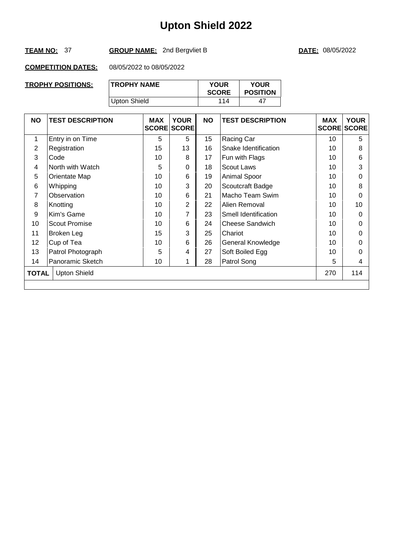#### **TEAM NO:** 37 **GROUP NAME:** 2nd Bergvliet B **DATE:** 08/05/2022

| TROPHY POSITIONS: | <b>TROPHY NAME</b> | <b>YOUR</b><br><b>SCORE</b> | <b>YOUR</b><br><b>POSITION</b> |
|-------------------|--------------------|-----------------------------|--------------------------------|
|                   | Upton Shield       | 114                         |                                |

| <b>NO</b>                                  | <b>TEST DESCRIPTION</b> | <b>MAX</b> | <b>YOUR</b><br><b>SCORE SCORE</b> | <b>NO</b> | <b>TEST DESCRIPTION</b> | <b>MAX</b> | <b>YOUR</b><br><b>SCORE SCORE</b> |
|--------------------------------------------|-------------------------|------------|-----------------------------------|-----------|-------------------------|------------|-----------------------------------|
| 1                                          | Entry in on Time        | 5          | 5                                 | 15        | Racing Car              | 10         | 5                                 |
| 2                                          | Registration            | 15         | 13                                | 16        | Snake Identification    | 10         | 8                                 |
| 3                                          | Code                    | 10         | 8                                 | 17        | Fun with Flags          | 10         | 6                                 |
| 4                                          | North with Watch        | 5          | 0                                 | 18        | <b>Scout Laws</b>       | 10         | 3                                 |
| 5                                          | Orientate Map           | 10         | 6                                 | 19        | Animal Spoor            | 10         | 0                                 |
| 6                                          | Whipping                | 10         | 3                                 | 20        | Scoutcraft Badge        | 10         | 8                                 |
| 7                                          | Observation             | 10         | 6                                 | 21        | Macho Team Swim         | 10         | $\Omega$                          |
| 8                                          | Knotting                | 10         | $\overline{2}$                    | 22        | Alien Removal           | 10         | 10                                |
| 9                                          | Kim's Game              | 10         | 7                                 | 23        | Smell Identification    | 10         | $\Omega$                          |
| 10                                         | Scout Promise           | 10         | 6                                 | 24        | <b>Cheese Sandwich</b>  | 10         | $\Omega$                          |
| 11                                         | Broken Leg              | 15         | 3                                 | 25        | Chariot                 | 10         | 0                                 |
| 12                                         | Cup of Tea              | 10         | 6                                 | 26        | General Knowledge       | 10         | 0                                 |
| 13                                         | Patrol Photograph       | 5          | 4                                 | 27        | Soft Boiled Egg         | 10         | 0                                 |
| 14                                         | Panoramic Sketch        | 10         |                                   | 28        | Patrol Song             | 5          | 4                                 |
| 270<br><b>Upton Shield</b><br><b>TOTAL</b> |                         |            |                                   |           |                         | 114        |                                   |
|                                            |                         |            |                                   |           |                         |            |                                   |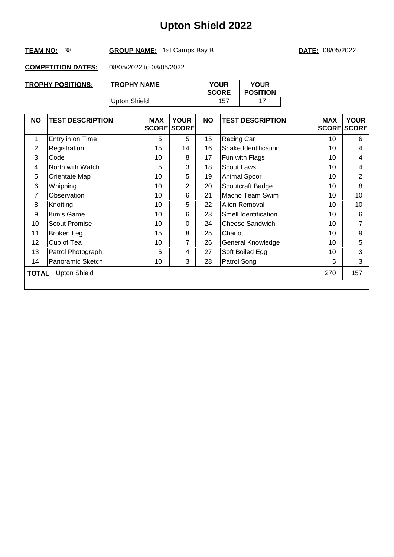#### **TEAM NO:** 38 **GROUP NAME:** 1st Camps Bay B **DATE:** 08/05/2022

| TROPHY POSITIONS: | <b>TROPHY NAME</b> | <b>YOUR</b><br><b>SCORE</b> | <b>YOUR</b><br><b>POSITION</b> |
|-------------------|--------------------|-----------------------------|--------------------------------|
|                   | Upton Shield       | 157                         |                                |

| <b>NO</b>                                  | <b>TEST DESCRIPTION</b> | <b>MAX</b> | <b>YOUR</b><br><b>SCORE SCORE</b> | <b>NO</b> | <b>TEST DESCRIPTION</b> | <b>MAX</b> | <b>YOUR</b><br><b>SCORE SCORE</b> |
|--------------------------------------------|-------------------------|------------|-----------------------------------|-----------|-------------------------|------------|-----------------------------------|
| 1                                          | Entry in on Time        | 5          | 5                                 | 15        | Racing Car              | 10         | 6                                 |
| 2                                          | Registration            | 15         | 14                                | 16        | Snake Identification    | 10         | 4                                 |
| 3                                          | Code                    | 10         | 8                                 | 17        | Fun with Flags          | 10         | 4                                 |
| 4                                          | North with Watch        | 5          | 3                                 | 18        | <b>Scout Laws</b>       | 10         | 4                                 |
| 5                                          | Orientate Map           | 10         | 5                                 | 19        | Animal Spoor            | 10         | $\overline{2}$                    |
| 6                                          | Whipping                | 10         | $\overline{2}$                    | 20        | Scoutcraft Badge        | 10         | 8                                 |
| 7                                          | Observation             | 10         | 6                                 | 21        | Macho Team Swim         | 10         | 10                                |
| 8                                          | Knotting                | 10         | 5                                 | 22        | Alien Removal           | 10         | 10                                |
| 9                                          | Kim's Game              | 10         | 6                                 | 23        | Smell Identification    | 10         | 6                                 |
| 10                                         | <b>Scout Promise</b>    | 10         | 0                                 | 24        | <b>Cheese Sandwich</b>  | 10         | $\overline{7}$                    |
| 11                                         | Broken Leg              | 15         | 8                                 | 25        | Chariot                 | 10         | 9                                 |
| 12                                         | Cup of Tea              | 10         | 7                                 | 26        | General Knowledge       | 10         | 5                                 |
| 13                                         | Patrol Photograph       | 5          | 4                                 | 27        | Soft Boiled Egg         | 10         | 3                                 |
| 14                                         | Panoramic Sketch        | 10         | 3                                 | 28        | Patrol Song             | 5          | 3                                 |
| 270<br><b>Upton Shield</b><br><b>TOTAL</b> |                         |            |                                   |           |                         | 157        |                                   |
|                                            |                         |            |                                   |           |                         |            |                                   |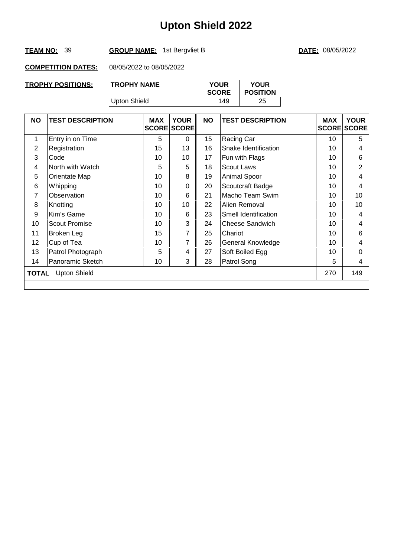#### **TEAM NO:** 39 **GROUP NAME:** 1st Bergvliet B **DATE:** 08/05/2022

| TROPHY POSITIONS: | <b>TROPHY NAME</b> | <b>YOUR</b><br><b>SCORE</b> | <b>YOUR</b><br><b>POSITION</b> |
|-------------------|--------------------|-----------------------------|--------------------------------|
|                   | Upton Shield       | 149                         | 25                             |

| <b>NO</b>       | <b>TEST DESCRIPTION</b> | <b>MAX</b> | <b>YOUR</b><br><b>SCORE SCORE</b> | <b>NO</b> | <b>TEST DESCRIPTION</b> | <b>MAX</b><br><b>SCORE SCORE</b> | <b>YOUR</b> |
|-----------------|-------------------------|------------|-----------------------------------|-----------|-------------------------|----------------------------------|-------------|
| 1               | Entry in on Time        | 5          | $\Omega$                          | 15        | Racing Car              | 10                               | 5           |
| 2               | Registration            | 15         | 13                                | 16        | Snake Identification    | 10                               | 4           |
| 3               | Code                    | 10         | 10                                | 17        | Fun with Flags          | 10                               | 6           |
| 4               | North with Watch        | 5          | 5                                 | 18        | <b>Scout Laws</b>       | 10                               | 2           |
| 5               | Orientate Map           | 10         | 8                                 | 19        | Animal Spoor            | 10                               | 4           |
| 6               | Whipping                | 10         | $\Omega$                          | 20        | Scoutcraft Badge        | 10                               | 4           |
| 7               | Observation             | 10         | 6                                 | 21        | Macho Team Swim         | 10                               | 10          |
| 8               | Knotting                | 10         | 10                                | 22        | Alien Removal           | 10                               | 10          |
| 9               | Kim's Game              | 10         | 6                                 | 23        | Smell Identification    | 10                               | 4           |
| 10              | <b>Scout Promise</b>    | 10         | 3                                 | 24        | <b>Cheese Sandwich</b>  | 10                               | 4           |
| 11              | Broken Leg              | 15         | 7                                 | 25        | Chariot                 | 10                               | 6           |
| 12 <sub>2</sub> | Cup of Tea              | 10         | 7                                 | 26        | General Knowledge       | 10                               | 4           |
| 13              | Patrol Photograph       | 5          | 4                                 | 27        | Soft Boiled Egg         | 10                               | 0           |
| 14              | Panoramic Sketch        | 10         | 3                                 | 28        | Patrol Song             | 5                                | 4           |
| <b>TOTAL</b>    | <b>Upton Shield</b>     |            |                                   |           |                         | 270                              | 149         |
|                 |                         |            |                                   |           |                         |                                  |             |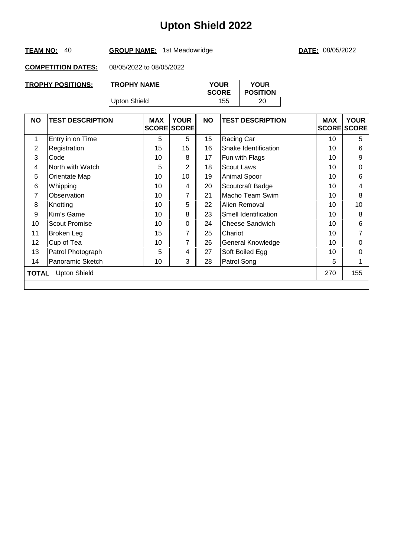#### **TEAM NO:** 40 **GROUP NAME:** 1st Meadowridge **DATE:** 08/05/2022

| <b>TROPHY POSITIONS:</b> | <b>TROPHY NAME</b> | <b>YOUR</b><br><b>SCORE</b> | <b>YOUR</b><br><b>POSITION</b> |
|--------------------------|--------------------|-----------------------------|--------------------------------|
|                          | Upton Shield       | 155                         | 20                             |

| <b>NO</b>    | <b>TEST DESCRIPTION</b> | <b>MAX</b> | <b>YOUR</b><br><b>SCORE SCORE</b> | <b>NO</b> | <b>TEST DESCRIPTION</b> | <b>MAX</b> | <b>YOUR</b><br><b>SCORE SCORE</b> |
|--------------|-------------------------|------------|-----------------------------------|-----------|-------------------------|------------|-----------------------------------|
| 1            | Entry in on Time        | 5          | 5                                 | 15        | Racing Car              | 10         | 5                                 |
| 2            | Registration            | 15         | 15                                | 16        | Snake Identification    | 10         | 6                                 |
| 3            | Code                    | 10         | 8                                 | 17        | Fun with Flags          | 10         | 9                                 |
| 4            | North with Watch        | 5          | $\overline{2}$                    | 18        | Scout Laws              | 10         | 0                                 |
| 5            | Orientate Map           | 10         | 10                                | 19        | Animal Spoor            | 10         | 6                                 |
| 6            | Whipping                | 10         | 4                                 | 20        | Scoutcraft Badge        | 10         | 4                                 |
| 7            | Observation             | 10         | 7                                 | 21        | Macho Team Swim         | 10         | 8                                 |
| 8            | Knotting                | 10         | 5                                 | 22        | Alien Removal           | 10         | 10                                |
| 9            | Kim's Game              | 10         | 8                                 | 23        | Smell Identification    | 10         | 8                                 |
| 10           | Scout Promise           | 10         | 0                                 | 24        | Cheese Sandwich         | 10         | 6                                 |
| 11           | Broken Leg              | 15         | 7                                 | 25        | Chariot                 | 10         | 7                                 |
| 12           | Cup of Tea              | 10         | 7                                 | 26        | General Knowledge       | 10         | 0                                 |
| 13           | Patrol Photograph       | 5          | 4                                 | 27        | Soft Boiled Egg         | 10         | 0                                 |
| 14           | Panoramic Sketch        | 10         | 3                                 | 28        | Patrol Song             | 5          |                                   |
| <b>TOTAL</b> | <b>Upton Shield</b>     |            |                                   |           |                         | 270        | 155                               |
|              |                         |            |                                   |           |                         |            |                                   |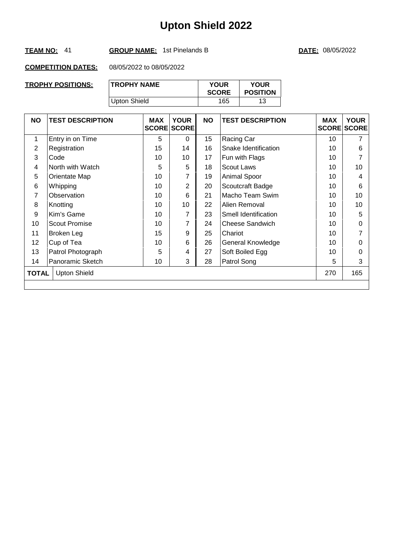#### **TEAM NO:** 41 **GROUP NAME:** 1st Pinelands B **DATE:** 08/05/2022

| TROPHY POSITIONS: | <b>TROPHY NAME</b> | <b>YOUR</b><br><b>SCORE</b> | <b>YOUR</b><br><b>POSITION</b> |
|-------------------|--------------------|-----------------------------|--------------------------------|
|                   | Upton Shield       | 165                         | 13                             |

| <b>NO</b>    | <b>TEST DESCRIPTION</b> | <b>MAX</b> | <b>YOUR</b><br><b>SCORE SCORE</b> | <b>NO</b> | <b>TEST DESCRIPTION</b> | <b>MAX</b> | <b>YOUR</b><br><b>SCORE SCORE</b> |
|--------------|-------------------------|------------|-----------------------------------|-----------|-------------------------|------------|-----------------------------------|
| 1            | Entry in on Time        | 5          | $\Omega$                          | 15        | Racing Car              | 10         | 7                                 |
| 2            | Registration            | 15         | 14                                | 16        | Snake Identification    | 10         | 6                                 |
| 3            | Code                    | 10         | 10                                | 17        | Fun with Flags          | 10         |                                   |
| 4            | North with Watch        | 5          | 5                                 | 18        | <b>Scout Laws</b>       | 10         | 10                                |
| 5            | Orientate Map           | 10         |                                   | 19        | Animal Spoor            | 10         | 4                                 |
| 6            | Whipping                | 10         | $\overline{2}$                    | 20        | Scoutcraft Badge        | 10         | 6                                 |
| 7            | Observation             | 10         | 6                                 | 21        | Macho Team Swim         | 10         | 10                                |
| 8            | Knotting                | 10         | 10                                | 22        | Alien Removal           | 10         | 10                                |
| 9            | Kim's Game              | 10         | 7                                 | 23        | Smell Identification    | 10         | 5                                 |
| 10           | <b>Scout Promise</b>    | 10         | 7                                 | 24        | <b>Cheese Sandwich</b>  | 10         | $\Omega$                          |
| 11           | Broken Leg              | 15         | 9                                 | 25        | Chariot                 | 10         | 7                                 |
| 12           | Cup of Tea              | 10         | 6                                 | 26        | General Knowledge       | 10         | 0                                 |
| 13           | Patrol Photograph       | 5          | 4                                 | 27        | Soft Boiled Egg         | 10         | 0                                 |
| 14           | Panoramic Sketch        | 10         | 3                                 | 28        | Patrol Song             | 5          | 3                                 |
| <b>TOTAL</b> | <b>Upton Shield</b>     |            |                                   |           |                         | 270        | 165                               |
|              |                         |            |                                   |           |                         |            |                                   |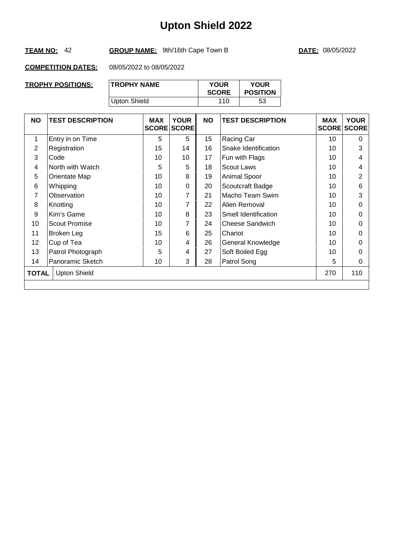#### **TEAM NO:** 42 **GROUP NAME:** 9th/16th Cape Town B **DATE:** 08/05/2022

| <b>TROPHY POSITIONS:</b> | <b>TROPHY NAME</b> | <b>YOUR</b><br><b>SCORE</b> | <b>YOUR</b><br><b>POSITION</b> |
|--------------------------|--------------------|-----------------------------|--------------------------------|
|                          | Upton Shield       | 110                         | 53                             |

| <b>NO</b> | <b>TEST DESCRIPTION</b> | <b>MAX</b> | <b>YOUR</b><br><b>SCORE SCORE</b> | <b>NO</b> | <b>TEST DESCRIPTION</b> | <b>MAX</b> | <b>YOUR</b><br><b>SCORE SCORE</b> |
|-----------|-------------------------|------------|-----------------------------------|-----------|-------------------------|------------|-----------------------------------|
| 1         | Entry in on Time        | 5          | 5                                 | 15        | Racing Car              | 10         | $\Omega$                          |
| 2         | Registration            | 15         | 14                                | 16        | Snake Identification    | 10         | 3                                 |
| 3         | Code                    | 10         | 10                                | 17        | Fun with Flags          | 10         | 4                                 |
| 4         | North with Watch        | 5          | 5                                 | 18        | <b>Scout Laws</b>       | 10         | 4                                 |
| 5         | Orientate Map           | 10         | 8                                 | 19        | Animal Spoor            | 10         | 2                                 |
| 6         | Whipping                | 10         | 0                                 | 20        | Scoutcraft Badge        | 10         | 6                                 |
| 7         | Observation             | 10         | 7                                 | 21        | Macho Team Swim         | 10         | 3                                 |
| 8         | Knotting                | 10         | 7                                 | 22        | Alien Removal           | 10         | 0                                 |
| 9         | Kim's Game              | 10         | 8                                 | 23        | Smell Identification    | 10         | 0                                 |
| 10        | <b>Scout Promise</b>    | 10         | 7                                 | 24        | Cheese Sandwich         | 10         | 0                                 |
| 11        | Broken Leg              | 15         | 6                                 | 25        | Chariot                 | 10         | $\Omega$                          |
| 12        | Cup of Tea              | 10         | 4                                 | 26        | General Knowledge       | 10         | 0                                 |
| 13        | Patrol Photograph       | 5          | 4                                 | 27        | Soft Boiled Egg         | 10         | 0                                 |
| 14        | Panoramic Sketch        | 10         | 3                                 | 28        | Patrol Song             | 5          | 0                                 |
| TOTAL     | <b>Upton Shield</b>     |            |                                   |           |                         | 270        | 110                               |
|           |                         |            |                                   |           |                         |            |                                   |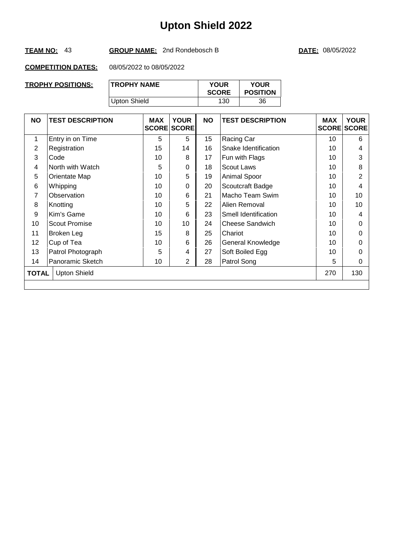#### **TEAM NO:** 43 **GROUP NAME:** 2nd Rondebosch B **DATE:** 08/05/2022

| <b>TROPHY POSITIONS:</b> | <b>TROPHY NAME</b> | <b>YOUR</b><br><b>SCORE</b> | <b>YOUR</b><br><b>POSITION</b> |
|--------------------------|--------------------|-----------------------------|--------------------------------|
|                          | Upton Shield       | 130                         | 36                             |

| <b>NO</b> | <b>TEST DESCRIPTION</b> | <b>MAX</b> | <b>YOUR</b><br><b>SCORE SCORE</b> | <b>NO</b> | <b>TEST DESCRIPTION</b> | <b>MAX</b><br><b>SCORE SCORE</b> | <b>YOUR</b> |
|-----------|-------------------------|------------|-----------------------------------|-----------|-------------------------|----------------------------------|-------------|
| 1         | Entry in on Time        | 5          | 5                                 | 15        | Racing Car              | 10                               | 6           |
| 2         | Registration            | 15         | 14                                | 16        | Snake Identification    | 10                               | 4           |
| 3         | Code                    | 10         | 8                                 | 17        | Fun with Flags          | 10                               | 3           |
| 4         | North with Watch        | 5          | $\Omega$                          | 18        | <b>Scout Laws</b>       | 10                               | 8           |
| 5         | Orientate Map           | 10         | 5                                 | 19        | Animal Spoor            | 10                               | 2           |
| 6         | Whipping                | 10         | $\Omega$                          | 20        | Scoutcraft Badge        | 10                               | 4           |
| 7         | Observation             | 10         | 6                                 | 21        | Macho Team Swim         | 10                               | 10          |
| 8         | Knotting                | 10         | 5                                 | 22        | Alien Removal           | 10                               | 10          |
| 9         | Kim's Game              | 10         | 6                                 | 23        | Smell Identification    | 10                               | 4           |
| 10        | <b>Scout Promise</b>    | 10         | 10                                | 24        | <b>Cheese Sandwich</b>  | 10                               | 0           |
| 11        | Broken Leg              | 15         | 8                                 | 25        | Chariot                 | 10                               | 0           |
| 12        | Cup of Tea              | 10         | 6                                 | 26        | General Knowledge       | 10                               | 0           |
| 13        | Patrol Photograph       | 5          | 4                                 | 27        | Soft Boiled Egg         | 10                               | 0           |
| 14        | Panoramic Sketch        | 10         | $\overline{2}$                    | 28        | Patrol Song             | 5                                | 0           |
| TOTAL     | <b>Upton Shield</b>     |            |                                   |           |                         | 270                              | 130         |
|           |                         |            |                                   |           |                         |                                  |             |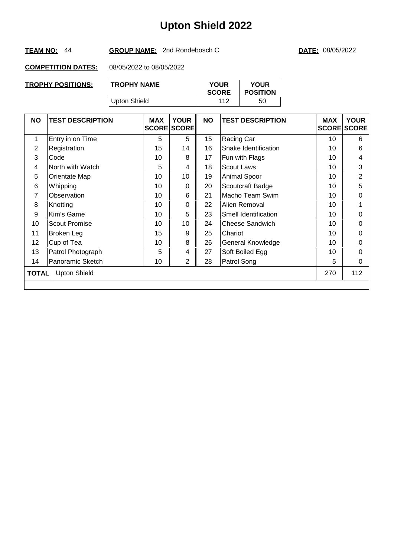#### **TEAM NO:** 44 **GROUP NAME:** 2nd Rondebosch C **DATE:** 08/05/2022

| TROPHY POSITIONS: | <b>TROPHY NAME</b> | <b>YOUR</b><br><b>SCORE</b> | <b>YOUR</b><br><b>POSITION</b> |
|-------------------|--------------------|-----------------------------|--------------------------------|
|                   | Upton Shield       | 112                         | 50                             |

| <b>NO</b> | <b>TEST DESCRIPTION</b> | <b>MAX</b> | <b>YOUR</b><br><b>SCORE SCORE</b> | <b>NO</b> | <b>TEST DESCRIPTION</b> | <b>MAX</b><br><b>SCORE SCORE</b> | <b>YOUR</b>    |
|-----------|-------------------------|------------|-----------------------------------|-----------|-------------------------|----------------------------------|----------------|
| 1         | Entry in on Time        | 5          | 5                                 | 15        | Racing Car              | 10                               | 6              |
| 2         | Registration            | 15         | 14                                | 16        | Snake Identification    | 10                               | 6              |
| 3         | Code                    | 10         | 8                                 | 17        | Fun with Flags          | 10                               | 4              |
| 4         | North with Watch        | 5          | 4                                 | 18        | <b>Scout Laws</b>       | 10                               | 3              |
| 5         | Orientate Map           | 10         | 10                                | 19        | Animal Spoor            | 10                               | $\overline{2}$ |
| 6         | Whipping                | 10         | $\Omega$                          | 20        | Scoutcraft Badge        | 10                               | 5              |
| 7         | Observation             | 10         | 6                                 | 21        | Macho Team Swim         | 10                               | 0              |
| 8         | Knotting                | 10         | $\Omega$                          | 22        | Alien Removal           | 10                               |                |
| 9         | Kim's Game              | 10         | 5                                 | 23        | Smell Identification    | 10                               | 0              |
| 10        | <b>Scout Promise</b>    | 10         | 10                                | 24        | <b>Cheese Sandwich</b>  | 10                               | 0              |
| 11        | Broken Leg              | 15         | 9                                 | 25        | Chariot                 | 10                               | 0              |
| 12        | Cup of Tea              | 10         | 8                                 | 26        | General Knowledge       | 10                               | 0              |
| 13        | Patrol Photograph       | 5          | 4                                 | 27        | Soft Boiled Egg         | 10                               | 0              |
| 14        | Panoramic Sketch        | 10         | $\overline{2}$                    | 28        | Patrol Song             | 5                                | $\Omega$       |
| TOTAL     | <b>Upton Shield</b>     |            |                                   |           |                         | 270                              | 112            |
|           |                         |            |                                   |           |                         |                                  |                |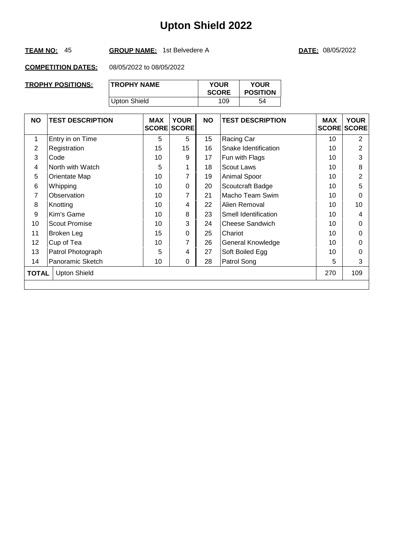#### **TEAM NO:** 45 **GROUP NAME:** 1st Belvedere A **DATE:** 08/05/2022

| TROPHY POSITIONS: | <b>TROPHY NAME</b> | <b>YOUR</b><br><b>SCORE</b> | <b>YOUR</b><br><b>POSITION</b> |
|-------------------|--------------------|-----------------------------|--------------------------------|
|                   | Upton Shield       | 109                         | 54                             |

| <b>NO</b>       | <b>TEST DESCRIPTION</b> | <b>MAX</b> | <b>YOUR</b><br><b>SCORE SCORE</b> | <b>NO</b> | <b>TEST DESCRIPTION</b> | <b>MAX</b> | <b>YOUR</b><br><b>SCORE SCORE</b> |
|-----------------|-------------------------|------------|-----------------------------------|-----------|-------------------------|------------|-----------------------------------|
| 1               | Entry in on Time        | 5          | 5                                 | 15        | Racing Car              | 10         | 2                                 |
| 2               | Registration            | 15         | 15                                | 16        | Snake Identification    | 10         | $\overline{2}$                    |
| 3               | Code                    | 10         | 9                                 | 17        | Fun with Flags          | 10         | 3                                 |
| 4               | North with Watch        | 5          |                                   | 18        | <b>Scout Laws</b>       | 10         | 8                                 |
| 5               | Orientate Map           | 10         |                                   | 19        | Animal Spoor            | 10         | $\overline{2}$                    |
| 6               | Whipping                | 10         | $\Omega$                          | 20        | Scoutcraft Badge        | 10         | 5                                 |
| 7               | Observation             | 10         | 7                                 | 21        | Macho Team Swim         | 10         | 0                                 |
| 8               | Knotting                | 10         | 4                                 | 22        | Alien Removal           | 10         | 10                                |
| 9               | Kim's Game              | 10         | 8                                 | 23        | Smell Identification    | 10         | 4                                 |
| 10              | <b>Scout Promise</b>    | 10         | 3                                 | 24        | <b>Cheese Sandwich</b>  | 10         | $\Omega$                          |
| 11              | Broken Leg              | 15         | 0                                 | 25        | Chariot                 | 10         | 0                                 |
| 12 <sub>2</sub> | Cup of Tea              | 10         | 7                                 | 26        | General Knowledge       | 10         | 0                                 |
| 13              | Patrol Photograph       | 5          | 4                                 | 27        | Soft Boiled Egg         | 10         | 0                                 |
| 14              | Panoramic Sketch        | 10         | 0                                 | 28        | Patrol Song             | 5          | 3                                 |
| <b>TOTAL</b>    | <b>Upton Shield</b>     |            |                                   |           |                         | 270        | 109                               |
|                 |                         |            |                                   |           |                         |            |                                   |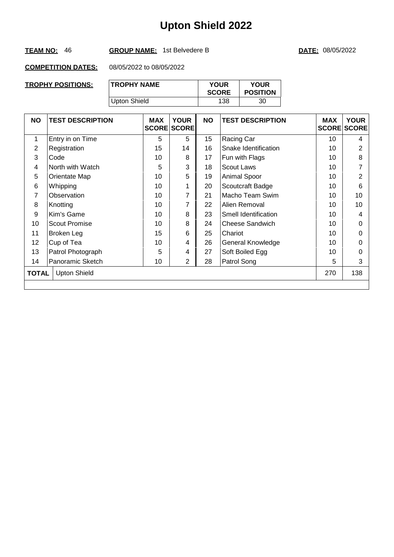#### **TEAM NO:** 46 **GROUP NAME:** 1st Belvedere B **DATE:** 08/05/2022

| <b>TROPHY POSITIONS:</b> | <b>TROPHY NAME</b> | <b>YOUR</b><br><b>SCORE</b> | <b>YOUR</b><br><b>POSITION</b> |
|--------------------------|--------------------|-----------------------------|--------------------------------|
|                          | Upton Shield       | 138                         | 30                             |

| <b>NO</b>                           | <b>TEST DESCRIPTION</b> | <b>MAX</b> | <b>YOUR</b><br><b>SCORE SCORE</b> | <b>NO</b> | <b>TEST DESCRIPTION</b> | <b>MAX</b> | <b>YOUR</b><br><b>SCORE SCORE</b> |
|-------------------------------------|-------------------------|------------|-----------------------------------|-----------|-------------------------|------------|-----------------------------------|
| 1                                   | Entry in on Time        | 5          | 5                                 | 15        | Racing Car              | 10         | 4                                 |
| $\overline{2}$                      | Registration            | 15         | 14                                | 16        | Snake Identification    | 10         | $\overline{2}$                    |
| 3                                   | Code                    | 10         | 8                                 | 17        | Fun with Flags          | 10         | 8                                 |
| 4                                   | North with Watch        | 5          | 3                                 | 18        | <b>Scout Laws</b>       | 10         | 7                                 |
| 5                                   | Orientate Map           | 10         | 5                                 | 19        | Animal Spoor            | 10         | $\overline{2}$                    |
| 6                                   | Whipping                | 10         |                                   | 20        | Scoutcraft Badge        | 10         | 6                                 |
| 7                                   | Observation             | 10         | 7                                 | 21        | Macho Team Swim         | 10         | 10                                |
| 8                                   | Knotting                | 10         | 7                                 | 22        | Alien Removal           | 10         | 10                                |
| 9                                   | Kim's Game              | 10         | 8                                 | 23        | Smell Identification    | 10         | 4                                 |
| 10                                  | <b>Scout Promise</b>    | 10         | 8                                 | 24        | <b>Cheese Sandwich</b>  | 10         | $\Omega$                          |
| 11                                  | Broken Leg              | 15         | 6                                 | 25        | Chariot                 | 10         | 0                                 |
| 12                                  | Cup of Tea              | 10         | 4                                 | 26        | General Knowledge       | 10         | 0                                 |
| 13                                  | Patrol Photograph       | 5          | 4                                 | 27        | Soft Boiled Egg         | 10         | 0                                 |
| 14                                  | Panoramic Sketch        | 10         | 2                                 | 28        | Patrol Song             | 5          | 3                                 |
| <b>Upton Shield</b><br><b>TOTAL</b> |                         |            |                                   |           |                         | 270        | 138                               |
|                                     |                         |            |                                   |           |                         |            |                                   |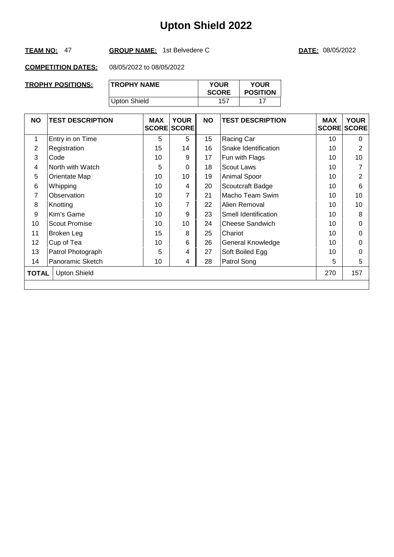#### **TEAM NO:** 47 **GROUP NAME:** 1st Belvedere C **DATE:** 08/05/2022

| TROPHY POSITIONS: | <b>TROPHY NAME</b> | <b>YOUR</b><br><b>SCORE</b> | <b>YOUR</b><br><b>POSITION</b> |
|-------------------|--------------------|-----------------------------|--------------------------------|
|                   | Upton Shield       | 157                         |                                |

| <b>NO</b>       | <b>TEST DESCRIPTION</b> | <b>MAX</b> | <b>YOUR</b><br><b>SCORE SCORE</b> | <b>NO</b> | <b>TEST DESCRIPTION</b> | <b>MAX</b> | <b>YOUR</b><br><b>SCORE SCORE</b> |
|-----------------|-------------------------|------------|-----------------------------------|-----------|-------------------------|------------|-----------------------------------|
| 1               | Entry in on Time        | 5          | 5                                 | 15        | Racing Car              | 10         | $\Omega$                          |
| 2               | Registration            | 15         | 14                                | 16        | Snake Identification    | 10         | 2                                 |
| 3               | Code                    | 10         | 9                                 | 17        | Fun with Flags          | 10         | 10                                |
| 4               | North with Watch        | 5          | $\Omega$                          | 18        | <b>Scout Laws</b>       | 10         |                                   |
| 5               | Orientate Map           | 10         | 10                                | 19        | Animal Spoor            | 10         | $\overline{2}$                    |
| 6               | Whipping                | 10         | 4                                 | 20        | Scoutcraft Badge        | 10         | 6                                 |
| 7               | Observation             | 10         | 7                                 | 21        | Macho Team Swim         | 10         | 10                                |
| 8               | Knotting                | 10         | 7                                 | 22        | Alien Removal           | 10         | 10                                |
| 9               | Kim's Game              | 10         | 9                                 | 23        | Smell Identification    | 10         | 8                                 |
| 10              | Scout Promise           | 10         | 10                                | 24        | <b>Cheese Sandwich</b>  | 10         | $\Omega$                          |
| 11              | Broken Leg              | 15         | 8                                 | 25        | Chariot                 | 10         | 0                                 |
| 12 <sub>2</sub> | Cup of Tea              | 10         | 6                                 | 26        | General Knowledge       | 10         | 0                                 |
| 13              | Patrol Photograph       | 5          | 4                                 | 27        | Soft Boiled Egg         | 10         | 0                                 |
| 14              | Panoramic Sketch        | 10         | 4                                 | 28        | Patrol Song             | 5          | 5                                 |
| <b>TOTAL</b>    | <b>Upton Shield</b>     |            |                                   |           |                         | 270        | 157                               |
|                 |                         |            |                                   |           |                         |            |                                   |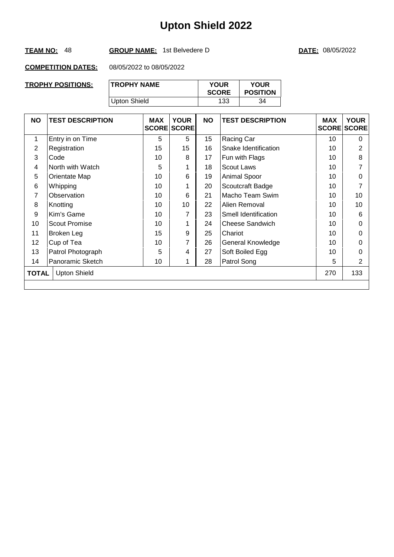#### **TEAM NO:** 48 **GROUP NAME:** 1st Belvedere D **DATE:** 08/05/2022

| TROPHY POSITIONS: | <b>TROPHY NAME</b> | <b>YOUR</b><br><b>SCORE</b> | <b>YOUR</b><br><b>POSITION</b> |
|-------------------|--------------------|-----------------------------|--------------------------------|
|                   | Upton Shield       | 133                         | 34                             |

| <b>NO</b> | <b>TEST DESCRIPTION</b> | <b>MAX</b> | <b>YOUR</b><br><b>SCORE SCORE</b> | <b>NO</b> | <b>TEST DESCRIPTION</b> | <b>MAX</b><br><b>SCORE SCORE</b> | <b>YOUR</b> |
|-----------|-------------------------|------------|-----------------------------------|-----------|-------------------------|----------------------------------|-------------|
| 1         | Entry in on Time        | 5          | 5                                 | 15        | Racing Car              | 10                               | $\Omega$    |
| 2         | Registration            | 15         | 15                                | 16        | Snake Identification    | 10                               | 2           |
| 3         | Code                    | 10         | 8                                 | 17        | Fun with Flags          | 10                               | 8           |
| 4         | North with Watch        | 5          |                                   | 18        | <b>Scout Laws</b>       | 10                               | 7           |
| 5         | Orientate Map           | 10         | 6                                 | 19        | Animal Spoor            | 10                               | 0           |
| 6         | Whipping                | 10         |                                   | 20        | Scoutcraft Badge        | 10                               | 7           |
| 7         | Observation             | 10         | 6                                 | 21        | Macho Team Swim         | 10                               | 10          |
| 8         | Knotting                | 10         | 10                                | 22        | Alien Removal           | 10                               | 10          |
| 9         | Kim's Game              | 10         | 7                                 | 23        | Smell Identification    | 10                               | 6           |
| 10        | <b>Scout Promise</b>    | 10         |                                   | 24        | <b>Cheese Sandwich</b>  | 10                               | 0           |
| 11        | Broken Leg              | 15         | 9                                 | 25        | Chariot                 | 10                               | 0           |
| 12        | Cup of Tea              | 10         | 7                                 | 26        | General Knowledge       | 10                               | 0           |
| 13        | Patrol Photograph       | 5          | 4                                 | 27        | Soft Boiled Egg         | 10                               | 0           |
| 14        | Panoramic Sketch        | 10         |                                   | 28        | Patrol Song             | 5                                | 2           |
| TOTAL     | <b>Upton Shield</b>     |            |                                   |           |                         | 270                              | 133         |
|           |                         |            |                                   |           |                         |                                  |             |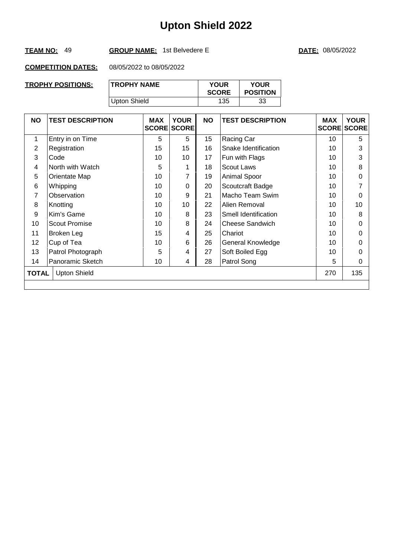#### **TEAM NO:** 49 **GROUP NAME:** 1st Belvedere E **DATE:** 08/05/2022

| <b>TROPHY POSITIONS:</b> | <b>TROPHY NAME</b> | <b>YOUR</b><br><b>SCORE</b> | <b>YOUR</b><br><b>POSITION</b> |
|--------------------------|--------------------|-----------------------------|--------------------------------|
|                          | Upton Shield       | 135                         | 33                             |

| <b>NO</b>                                  | <b>TEST DESCRIPTION</b> | <b>MAX</b> | <b>YOUR</b><br><b>SCORE SCORE</b> | <b>NO</b> | <b>TEST DESCRIPTION</b> | <b>MAX</b> | <b>YOUR</b><br><b>SCORE SCORE</b> |
|--------------------------------------------|-------------------------|------------|-----------------------------------|-----------|-------------------------|------------|-----------------------------------|
| 1                                          | Entry in on Time        | 5          | 5                                 | 15        | Racing Car              | 10         | 5                                 |
| 2                                          | Registration            | 15         | 15                                | 16        | Snake Identification    | 10         | 3                                 |
| 3                                          | Code                    | 10         | 10 <sup>°</sup>                   | 17        | Fun with Flags          | 10         | 3                                 |
| 4                                          | North with Watch        | 5          |                                   | 18        | <b>Scout Laws</b>       | 10         | 8                                 |
| 5                                          | Orientate Map           | 10         |                                   | 19        | Animal Spoor            | 10         | 0                                 |
| 6                                          | Whipping                | 10         | 0                                 | 20        | Scoutcraft Badge        | 10         |                                   |
| 7                                          | Observation             | 10         | 9                                 | 21        | Macho Team Swim         | 10         | 0                                 |
| 8                                          | Knotting                | 10         | 10                                | 22        | Alien Removal           | 10         | 10                                |
| 9                                          | Kim's Game              | 10         | 8                                 | 23        | Smell Identification    | 10         | 8                                 |
| 10                                         | Scout Promise           | 10         | 8                                 | 24        | Cheese Sandwich         | 10         | $\Omega$                          |
| 11                                         | Broken Leg              | 15         | 4                                 | 25        | Chariot                 | 10         | 0                                 |
| 12                                         | Cup of Tea              | 10         | 6                                 | 26        | General Knowledge       | 10         | 0                                 |
| 13                                         | Patrol Photograph       | 5          | 4                                 | 27        | Soft Boiled Egg         | 10         | 0                                 |
| 14                                         | Panoramic Sketch        | 10         | 4                                 | 28        | Patrol Song             | 5          | 0                                 |
| 270<br><b>Upton Shield</b><br><b>TOTAL</b> |                         |            |                                   |           |                         | 135        |                                   |
|                                            |                         |            |                                   |           |                         |            |                                   |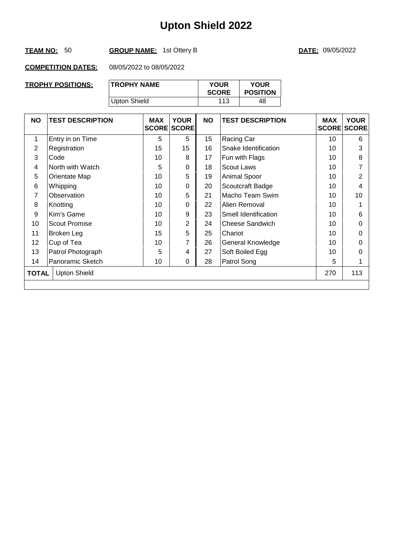#### **TEAM NO:** 50 **GROUP NAME:** 1st Ottery B **DATE:** 09/05/2022

| TROPHY POSITIONS: | <b>TROPHY NAME</b> | <b>YOUR</b><br><b>SCORE</b> | <b>YOUR</b><br><b>POSITION</b> |
|-------------------|--------------------|-----------------------------|--------------------------------|
|                   | Upton Shield       | 113                         | 48                             |

| <b>NO</b>       | <b>TEST DESCRIPTION</b> | <b>MAX</b> | <b>YOUR</b><br><b>SCORE SCORE</b> | <b>NO</b> | <b>TEST DESCRIPTION</b> | <b>MAX</b> | <b>YOUR</b><br><b>SCORE SCORE</b> |
|-----------------|-------------------------|------------|-----------------------------------|-----------|-------------------------|------------|-----------------------------------|
| 1               | Entry in on Time        | 5          | 5                                 | 15        | Racing Car              | 10         | 6                                 |
| 2               | Registration            | 15         | 15                                | 16        | Snake Identification    | 10         | 3                                 |
| 3               | Code                    | 10         | 8                                 | 17        | Fun with Flags          | 10         | 8                                 |
| 4               | North with Watch        | 5          | 0                                 | 18        | <b>Scout Laws</b>       | 10         | 7                                 |
| 5               | Orientate Map           | 10         | 5                                 | 19        | Animal Spoor            | 10         | $\overline{2}$                    |
| 6               | Whipping                | 10         | 0                                 | 20        | Scoutcraft Badge        | 10         | 4                                 |
| 7               | Observation             | 10         | 5                                 | 21        | Macho Team Swim         | 10         | 10                                |
| 8               | Knotting                | 10         | 0                                 | 22        | Alien Removal           | 10         |                                   |
| 9               | Kim's Game              | 10         | 9                                 | 23        | Smell Identification    | 10         | 6                                 |
| 10              | Scout Promise           | 10         | $\overline{2}$                    | 24        | <b>Cheese Sandwich</b>  | 10         | 0                                 |
| 11              | Broken Leg              | 15         | 5                                 | 25        | Chariot                 | 10         | 0                                 |
| 12 <sub>2</sub> | Cup of Tea              | 10         | 7                                 | 26        | General Knowledge       | 10         | 0                                 |
| 13              | Patrol Photograph       | 5          | 4                                 | 27        | Soft Boiled Egg         | 10         | 0                                 |
| 14              | Panoramic Sketch        | 10         | 0                                 | 28        | Patrol Song             | 5          |                                   |
| <b>TOTAL</b>    | <b>Upton Shield</b>     |            |                                   |           |                         | 270        | 113                               |
|                 |                         |            |                                   |           |                         |            |                                   |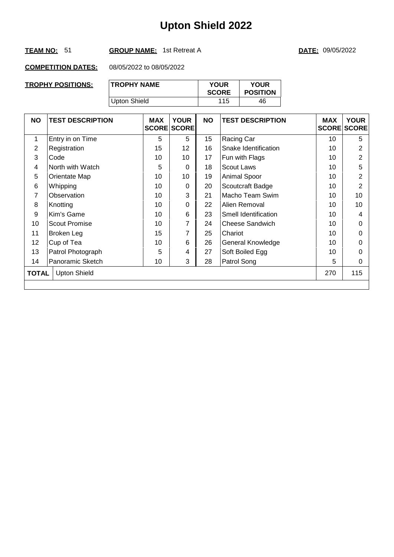#### **TEAM NO:** 51 **GROUP NAME:** 1st Retreat A **DATE:** 09/05/2022

| TROPHY POSITIONS: | <b>TROPHY NAME</b> | <b>YOUR</b><br><b>SCORE</b> | <b>YOUR</b><br><b>POSITION</b> |
|-------------------|--------------------|-----------------------------|--------------------------------|
|                   | Upton Shield       | 115                         | 46                             |

| <b>NO</b> | <b>TEST DESCRIPTION</b> | <b>MAX</b> | <b>YOUR</b><br><b>SCORE SCORE</b> | <b>NO</b> | <b>TEST DESCRIPTION</b> | <b>MAX</b> | <b>YOUR</b><br><b>SCORE SCORE</b> |
|-----------|-------------------------|------------|-----------------------------------|-----------|-------------------------|------------|-----------------------------------|
| 1         | Entry in on Time        | 5          | 5                                 | 15        | Racing Car              | 10         | 5                                 |
| 2         | Registration            | 15         | 12                                | 16        | Snake Identification    | 10         | $\overline{2}$                    |
| 3         | Code                    | 10         | 10                                | 17        | Fun with Flags          | 10         | $\overline{2}$                    |
| 4         | North with Watch        | 5          | $\Omega$                          | 18        | <b>Scout Laws</b>       | 10         | 5                                 |
| 5         | Orientate Map           | 10         | 10                                | 19        | Animal Spoor            | 10         | 2                                 |
| 6         | Whipping                | 10         | $\Omega$                          | 20        | Scoutcraft Badge        | 10         | $\overline{2}$                    |
| 7         | Observation             | 10         | 3                                 | 21        | Macho Team Swim         | 10         | 10                                |
| 8         | Knotting                | 10         | 0                                 | 22        | Alien Removal           | 10         | 10                                |
| 9         | Kim's Game              | 10         | 6                                 | 23        | Smell Identification    | 10         | 4                                 |
| 10        | <b>Scout Promise</b>    | 10         | 7                                 | 24        | Cheese Sandwich         | 10         | $\Omega$                          |
| 11        | Broken Leg              | 15         | 7                                 | 25        | Chariot                 | 10         | 0                                 |
| 12        | Cup of Tea              | 10         | 6                                 | 26        | General Knowledge       | 10         | 0                                 |
| 13        | Patrol Photograph       | 5          | 4                                 | 27        | Soft Boiled Egg         | 10         | 0                                 |
| 14        | Panoramic Sketch        | 10         | 3                                 | 28        | Patrol Song             | 5          | 0                                 |
| TOTAL     | <b>Upton Shield</b>     |            |                                   |           |                         | 270        | 115                               |
|           |                         |            |                                   |           |                         |            |                                   |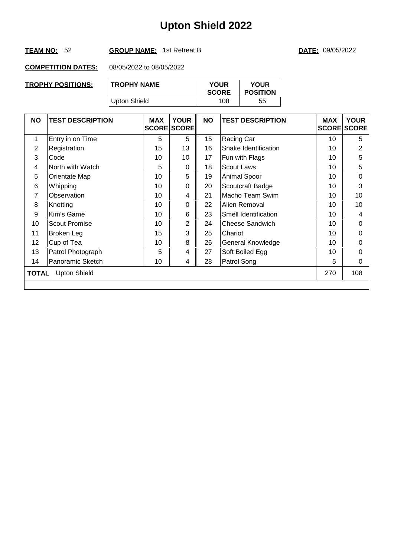#### **TEAM NO:** 52 **GROUP NAME:** 1st Retreat B **DATE:** 09/05/2022

| TROPHY POSITIONS: | <b>TROPHY NAME</b> | <b>YOUR</b><br><b>SCORE</b> | <b>YOUR</b><br><b>POSITION</b> |
|-------------------|--------------------|-----------------------------|--------------------------------|
|                   | Upton Shield       | 108                         | 55                             |

| <b>NO</b> | <b>TEST DESCRIPTION</b> | <b>MAX</b> | <b>YOUR</b><br><b>SCORE SCORE</b> | <b>NO</b> | <b>TEST DESCRIPTION</b> | <b>MAX</b><br><b>SCORE SCORE</b> | <b>YOUR</b> |
|-----------|-------------------------|------------|-----------------------------------|-----------|-------------------------|----------------------------------|-------------|
| 1         | Entry in on Time        | 5          | 5                                 | 15        | Racing Car              | 10                               | 5           |
| 2         | Registration            | 15         | 13                                | 16        | Snake Identification    | 10                               | 2           |
| 3         | Code                    | 10         | 10                                | 17        | Fun with Flags          | 10                               | 5           |
| 4         | North with Watch        | 5          | $\Omega$                          | 18        | <b>Scout Laws</b>       | 10                               | 5           |
| 5         | Orientate Map           | 10         | 5                                 | 19        | Animal Spoor            | 10                               | 0           |
| 6         | Whipping                | 10         | $\Omega$                          | 20        | Scoutcraft Badge        | 10                               | 3           |
| 7         | Observation             | 10         | 4                                 | 21        | Macho Team Swim         | 10                               | 10          |
| 8         | Knotting                | 10         | $\Omega$                          | 22        | Alien Removal           | 10                               | 10          |
| 9         | Kim's Game              | 10         | 6                                 | 23        | Smell Identification    | 10                               | 4           |
| 10        | Scout Promise           | 10         | $\overline{2}$                    | 24        | Cheese Sandwich         | 10                               | 0           |
| 11        | Broken Leg              | 15         | 3                                 | 25        | Chariot                 | 10                               | 0           |
| 12        | Cup of Tea              | 10         | 8                                 | 26        | General Knowledge       | 10                               | 0           |
| 13        | Patrol Photograph       | 5          | 4                                 | 27        | Soft Boiled Egg         | 10                               | 0           |
| 14        | Panoramic Sketch        | 10         | 4                                 | 28        | Patrol Song             | 5                                | $\Omega$    |
| TOTAL     | <b>Upton Shield</b>     |            |                                   |           |                         | 270                              | 108         |
|           |                         |            |                                   |           |                         |                                  |             |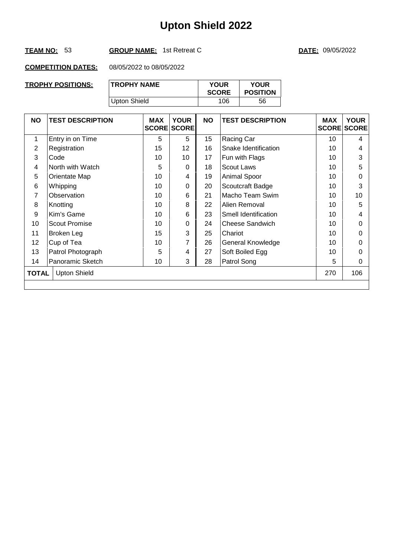#### **TEAM NO:** 53 **GROUP NAME:** 1st Retreat C **DATE:** 09/05/2022

| TROPHY POSITIONS: | <b>TROPHY NAME</b> | <b>YOUR</b><br><b>SCORE</b> | <b>YOUR</b><br><b>POSITION</b> |
|-------------------|--------------------|-----------------------------|--------------------------------|
|                   | Upton Shield       | 106                         | 56                             |

| <b>NO</b>    | <b>TEST DESCRIPTION</b> | <b>MAX</b> | <b>YOUR</b><br><b>SCORE SCORE</b> | <b>NO</b> | <b>TEST DESCRIPTION</b> | <b>MAX</b> | <b>YOUR</b><br><b>SCORE SCORE</b> |
|--------------|-------------------------|------------|-----------------------------------|-----------|-------------------------|------------|-----------------------------------|
| 1            | Entry in on Time        | 5          | 5                                 | 15        | Racing Car              | 10         | 4                                 |
| 2            | Registration            | 15         | 12                                | 16        | Snake Identification    | 10         | 4                                 |
| 3            | Code                    | 10         | 10                                | 17        | Fun with Flags          | 10         | 3                                 |
| 4            | North with Watch        | 5          | 0                                 | 18        | <b>Scout Laws</b>       | 10         | 5                                 |
| 5            | Orientate Map           | 10         | 4                                 | 19        | Animal Spoor            | 10         | 0                                 |
| 6            | Whipping                | 10         | $\Omega$                          | 20        | Scoutcraft Badge        | 10         | 3                                 |
| 7            | Observation             | 10         | 6                                 | 21        | Macho Team Swim         | 10         | 10                                |
| 8            | Knotting                | 10         | 8                                 | 22        | Alien Removal           | 10         | 5                                 |
| 9            | Kim's Game              | 10         | 6                                 | 23        | Smell Identification    | 10         | 4                                 |
| 10           | <b>Scout Promise</b>    | 10         | 0                                 | 24        | <b>Cheese Sandwich</b>  | 10         | $\Omega$                          |
| 11           | Broken Leg              | 15         | 3                                 | 25        | Chariot                 | 10         | 0                                 |
| 12           | Cup of Tea              | 10         | 7                                 | 26        | General Knowledge       | 10         | 0                                 |
| 13           | Patrol Photograph       | 5          | 4                                 | 27        | Soft Boiled Egg         | 10         | 0                                 |
| 14           | Panoramic Sketch        | 10         | 3                                 | 28        | Patrol Song             | 5          | 0                                 |
| <b>TOTAL</b> | <b>Upton Shield</b>     |            |                                   |           |                         | 270        | 106                               |
|              |                         |            |                                   |           |                         |            |                                   |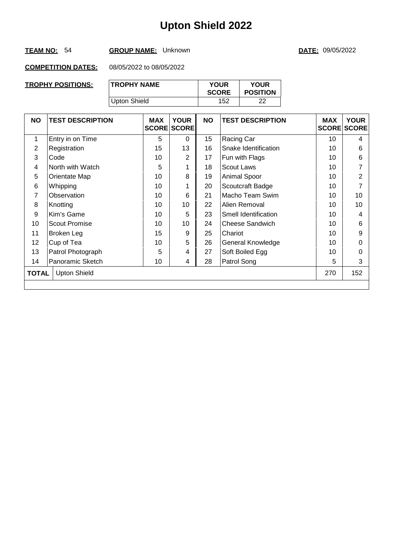#### **TEAM NO:** 54 **GROUP NAME:** Unknown **DATE:** 09/05/2022

| <b>TROPHY POSITIONS:</b> | <b>TROPHY NAME</b> | <b>YOUR</b><br><b>SCORE</b> | <b>YOUR</b><br><b>POSITION</b> |
|--------------------------|--------------------|-----------------------------|--------------------------------|
|                          | Upton Shield       | 152                         | າາ                             |

| <b>NO</b> | <b>TEST DESCRIPTION</b> | <b>MAX</b> | <b>YOUR</b><br><b>SCORE SCORE</b> | <b>NO</b> | <b>TEST DESCRIPTION</b> | <b>MAX</b><br><b>SCORE SCORE</b> | <b>YOUR</b> |
|-----------|-------------------------|------------|-----------------------------------|-----------|-------------------------|----------------------------------|-------------|
| 1         | Entry in on Time        | 5          | $\Omega$                          | 15        | Racing Car              | 10                               | 4           |
| 2         | Registration            | 15         | 13                                | 16        | Snake Identification    | 10                               | 6           |
| 3         | Code                    | 10         | $\overline{2}$                    | 17        | Fun with Flags          | 10                               | 6           |
| 4         | North with Watch        | 5          |                                   | 18        | <b>Scout Laws</b>       | 10                               | 7           |
| 5         | Orientate Map           | 10         | 8                                 | 19        | Animal Spoor            | 10                               | 2           |
| 6         | Whipping                | 10         |                                   | 20        | Scoutcraft Badge        | 10                               | 7           |
| 7         | Observation             | 10         | 6                                 | 21        | Macho Team Swim         | 10                               | 10          |
| 8         | Knotting                | 10         | 10                                | 22        | Alien Removal           | 10                               | 10          |
| 9         | Kim's Game              | 10         | 5                                 | 23        | Smell Identification    | 10                               | 4           |
| 10        | Scout Promise           | 10         | 10                                | 24        | Cheese Sandwich         | 10                               | 6           |
| 11        | Broken Leg              | 15         | 9                                 | 25        | Chariot                 | 10                               | 9           |
| 12        | Cup of Tea              | 10         | 5                                 | 26        | General Knowledge       | 10                               | 0           |
| 13        | Patrol Photograph       | 5          | 4                                 | 27        | Soft Boiled Egg         | 10                               | 0           |
| 14        | Panoramic Sketch        | 10         | 4                                 | 28        | Patrol Song             | 5                                | 3           |
| TOTAL     | <b>Upton Shield</b>     |            |                                   |           |                         | 270                              | 152         |
|           |                         |            |                                   |           |                         |                                  |             |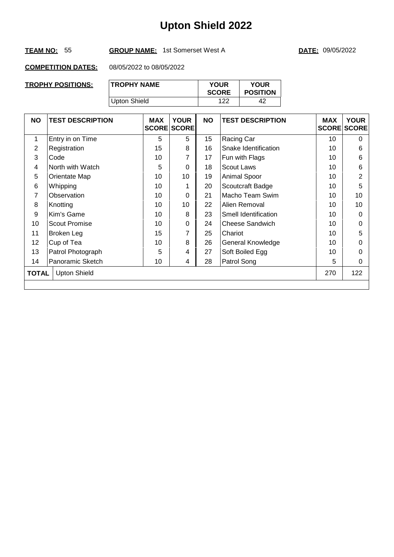#### **TEAM NO:** 55 **GROUP NAME:** 1st Somerset West A **DATE:** 09/05/2022

| TROPHY POSITIONS: | <b>TROPHY NAME</b> | <b>YOUR</b><br><b>SCORE</b> | <b>YOUR</b><br><b>POSITION</b> |
|-------------------|--------------------|-----------------------------|--------------------------------|
|                   | Upton Shield       | 122                         | 42                             |

| <b>NO</b>    | <b>TEST DESCRIPTION</b> | <b>MAX</b> | <b>YOUR</b><br><b>SCORE SCORE</b> | <b>NO</b> | <b>TEST DESCRIPTION</b> | <b>MAX</b> | <b>YOUR</b><br><b>SCORE SCORE</b> |
|--------------|-------------------------|------------|-----------------------------------|-----------|-------------------------|------------|-----------------------------------|
| $\mathbf{1}$ | Entry in on Time        | 5          | 5                                 | 15        | Racing Car              | 10         | $\Omega$                          |
| 2            | Registration            | 15         | 8                                 | 16        | Snake Identification    | 10         | 6                                 |
| 3            | Code                    | 10         | 7                                 | 17        | Fun with Flags          | 10         | 6                                 |
| 4            | North with Watch        | 5          | 0                                 | 18        | <b>Scout Laws</b>       | 10         | 6                                 |
| 5            | Orientate Map           | 10         | 10                                | 19        | Animal Spoor            | 10         | $\overline{2}$                    |
| 6            | Whipping                | 10         |                                   | 20        | Scoutcraft Badge        | 10         | 5                                 |
| 7            | Observation             | 10         | 0                                 | 21        | Macho Team Swim         | 10         | 10                                |
| 8            | Knotting                | 10         | 10                                | 22        | Alien Removal           | 10         | 10                                |
| 9            | Kim's Game              | 10         | 8                                 | 23        | Smell Identification    | 10         | 0                                 |
| 10           | <b>Scout Promise</b>    | 10         | 0                                 | 24        | <b>Cheese Sandwich</b>  | 10         | 0                                 |
| 11           | Broken Leg              | 15         | 7                                 | 25        | Chariot                 | 10         | 5                                 |
| 12           | Cup of Tea              | 10         | 8                                 | 26        | General Knowledge       | 10         | 0                                 |
| 13           | Patrol Photograph       | 5          | 4                                 | 27        | Soft Boiled Egg         | 10         | 0                                 |
| 14           | Panoramic Sketch        | 10         | 4                                 | 28        | Patrol Song             | 5          | 0                                 |
| <b>TOTAL</b> | <b>Upton Shield</b>     |            |                                   |           |                         | 270        | 122                               |
|              |                         |            |                                   |           |                         |            |                                   |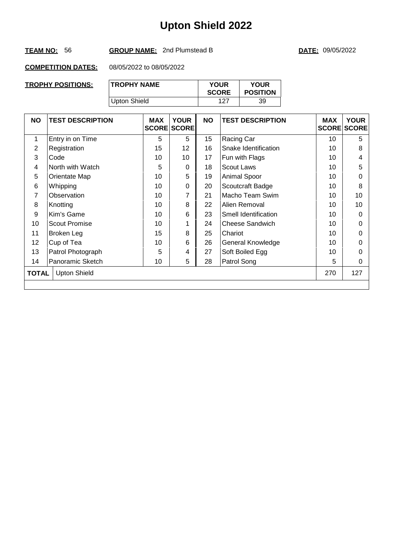#### **TEAM NO:** 56 **GROUP NAME:** 2nd Plumstead B **DATE:** 09/05/2022

| <b>TROPHY POSITIONS:</b> | <b>TROPHY NAME</b> | <b>YOUR</b><br><b>SCORE</b> | <b>YOUR</b><br><b>POSITION</b> |
|--------------------------|--------------------|-----------------------------|--------------------------------|
|                          | Upton Shield       | 127                         | 39                             |

| <b>NO</b>    | <b>TEST DESCRIPTION</b> | <b>MAX</b> | <b>YOUR</b><br><b>SCORE SCORE</b> | <b>NO</b> | <b>TEST DESCRIPTION</b> | <b>MAX</b> | <b>YOUR</b><br><b>SCORE SCORE</b> |
|--------------|-------------------------|------------|-----------------------------------|-----------|-------------------------|------------|-----------------------------------|
| $\mathbf{1}$ | Entry in on Time        | 5          | 5                                 | 15        | Racing Car              | 10         | 5                                 |
| 2            | Registration            | 15         | 12                                | 16        | Snake Identification    | 10         | 8                                 |
| 3            | Code                    | 10         | 10                                | 17        | Fun with Flags          | 10         | 4                                 |
| 4            | North with Watch        | 5          | 0                                 | 18        | <b>Scout Laws</b>       | 10         | 5                                 |
| 5            | Orientate Map           | 10         | 5                                 | 19        | Animal Spoor            | 10         | $\Omega$                          |
| 6            | Whipping                | 10         | 0                                 | 20        | Scoutcraft Badge        | 10         | 8                                 |
| 7            | Observation             | 10         | 7                                 | 21        | Macho Team Swim         | 10         | 10                                |
| 8            | Knotting                | 10         | 8                                 | 22        | Alien Removal           | 10         | 10                                |
| 9            | Kim's Game              | 10         | 6                                 | 23        | Smell Identification    | 10         | 0                                 |
| 10           | <b>Scout Promise</b>    | 10         |                                   | 24        | <b>Cheese Sandwich</b>  | 10         | $\Omega$                          |
| 11           | Broken Leg              | 15         | 8                                 | 25        | Chariot                 | 10         | 0                                 |
| 12           | Cup of Tea              | 10         | 6                                 | 26        | General Knowledge       | 10         | 0                                 |
| 13           | Patrol Photograph       | 5          | 4                                 | 27        | Soft Boiled Egg         | 10         | 0                                 |
| 14           | Panoramic Sketch        | 10         | 5                                 | 28        | Patrol Song             | 5          | 0                                 |
| <b>TOTAL</b> | <b>Upton Shield</b>     |            |                                   |           |                         | 270        | 127                               |
|              |                         |            |                                   |           |                         |            |                                   |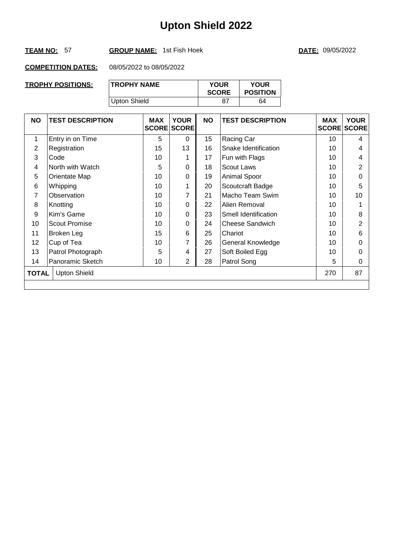#### TEAM NO: 57 **GROUP NAME:** 1st Fish Hoek **DATE:** 09/05/2022

| <b>TROPHY POSITIONS:</b> | <b>TROPHY NAME</b> | <b>YOUR</b><br><b>SCORE</b> | <b>YOUR</b><br><b>POSITION</b> |
|--------------------------|--------------------|-----------------------------|--------------------------------|
|                          | Upton Shield       | 87                          | 64                             |

| <b>NO</b>    | <b>TEST DESCRIPTION</b> | <b>MAX</b> | <b>YOUR</b><br><b>SCORE SCORE</b> | <b>NO</b> | <b>TEST DESCRIPTION</b> | <b>MAX</b> | <b>YOUR</b><br><b>SCORE SCORE</b> |
|--------------|-------------------------|------------|-----------------------------------|-----------|-------------------------|------------|-----------------------------------|
| 1            | Entry in on Time        | 5          | $\Omega$                          | 15        | Racing Car              | 10         | 4                                 |
| 2            | Registration            | 15         | 13                                | 16        | Snake Identification    | 10         | 4                                 |
| 3            | Code                    | 10         |                                   | 17        | Fun with Flags          | 10         | 4                                 |
| 4            | North with Watch        | 5          | 0                                 | 18        | <b>Scout Laws</b>       | 10         | $\overline{2}$                    |
| 5            | Orientate Map           | 10         | $\Omega$                          | 19        | Animal Spoor            | 10         | 0                                 |
| 6            | Whipping                | 10         |                                   | 20        | Scoutcraft Badge        | 10         | 5                                 |
| 7            | Observation             | 10         | 7                                 | 21        | Macho Team Swim         | 10         | 10                                |
| 8            | Knotting                | 10         | $\Omega$                          | 22        | Alien Removal           | 10         |                                   |
| 9            | Kim's Game              | 10         | 0                                 | 23        | Smell Identification    | 10         | 8                                 |
| 10           | Scout Promise           | 10         | 0                                 | 24        | <b>Cheese Sandwich</b>  | 10         | $\overline{2}$                    |
| 11           | Broken Leg              | 15         | 6                                 | 25        | Chariot                 | 10         | 6                                 |
| 12           | Cup of Tea              | 10         | 7                                 | 26        | General Knowledge       | 10         | 0                                 |
| 13           | Patrol Photograph       | 5          | 4                                 | 27        | Soft Boiled Egg         | 10         | 0                                 |
| 14           | Panoramic Sketch        | 10         | 2                                 | 28        | Patrol Song             | 5          | 0                                 |
| <b>TOTAL</b> | <b>Upton Shield</b>     |            |                                   |           |                         | 270        | 87                                |
|              |                         |            |                                   |           |                         |            |                                   |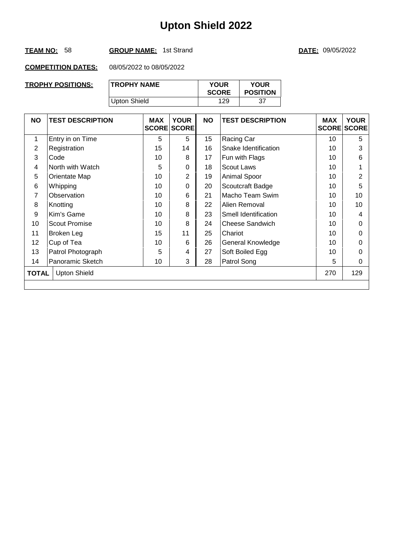#### **TEAM NO:** 58 **GROUP NAME:** 1st Strand **DATE:** 09/05/2022

| <b>TROPHY POSITIONS:</b> | <b>TROPHY NAME</b> | <b>YOUR</b><br><b>SCORE</b> | <b>YOUR</b><br><b>POSITION</b> |
|--------------------------|--------------------|-----------------------------|--------------------------------|
|                          | Upton Shield       | 129                         |                                |

| <b>NO</b>                           | <b>TEST DESCRIPTION</b> | <b>MAX</b> | <b>YOUR</b><br><b>SCORE SCORE</b> | <b>NO</b> | <b>TEST DESCRIPTION</b> | <b>MAX</b><br><b>SCORE SCORE</b> | <b>YOUR</b> |
|-------------------------------------|-------------------------|------------|-----------------------------------|-----------|-------------------------|----------------------------------|-------------|
| 1                                   | Entry in on Time        | 5          | 5                                 | 15        | Racing Car              | 10                               | 5           |
| 2                                   | Registration            | 15         | 14                                | 16        | Snake Identification    | 10                               | 3           |
| 3                                   | Code                    | 10         | 8                                 | 17        | Fun with Flags          | 10                               | 6           |
| 4                                   | North with Watch        | 5          | $\Omega$                          | 18        | <b>Scout Laws</b>       | 10                               |             |
| 5                                   | Orientate Map           | 10         | $\overline{2}$                    | 19        | Animal Spoor            | 10                               | 2           |
| 6                                   | Whipping                | 10         | $\Omega$                          | 20        | Scoutcraft Badge        | 10                               | 5           |
| 7                                   | Observation             | 10         | 6                                 | 21        | Macho Team Swim         | 10                               | 10          |
| 8                                   | Knotting                | 10         | 8                                 | 22        | Alien Removal           | 10                               | 10          |
| 9                                   | Kim's Game              | 10         | 8                                 | 23        | Smell Identification    | 10                               | 4           |
| 10                                  | Scout Promise           | 10         | 8                                 | 24        | Cheese Sandwich         | 10                               | 0           |
| 11                                  | Broken Leg              | 15         | 11                                | 25        | Chariot                 | 10                               | 0           |
| 12                                  | Cup of Tea              | 10         | 6                                 | 26        | General Knowledge       | 10                               | 0           |
| 13                                  | Patrol Photograph       | 5          | 4                                 | 27        | Soft Boiled Egg         | 10                               | 0           |
| 14                                  | Panoramic Sketch        | 10         | 3                                 | 28        | Patrol Song             | 5                                | 0           |
| 270<br><b>Upton Shield</b><br>TOTAL |                         |            |                                   |           |                         | 129                              |             |
|                                     |                         |            |                                   |           |                         |                                  |             |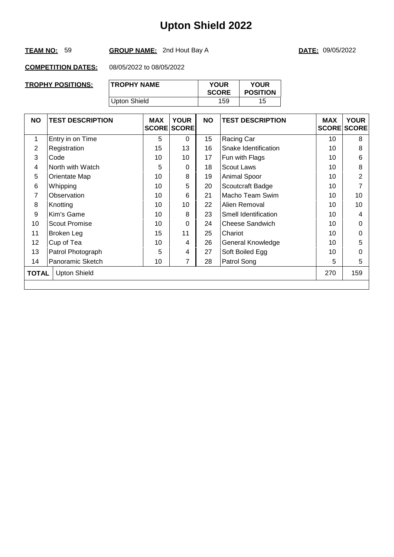#### **TEAM NO:** 59 **GROUP NAME:** 2nd Hout Bay A **DATE:** 09/05/2022

| TROPHY POSITIONS: | <b>TROPHY NAME</b> | <b>YOUR</b><br><b>SCORE</b> | <b>YOUR</b><br><b>POSITION</b> |
|-------------------|--------------------|-----------------------------|--------------------------------|
|                   | Upton Shield       | 159                         | 15                             |

| Entry in on Time             |    |          |    |                        |     | <b>SCORE SCORE</b> |
|------------------------------|----|----------|----|------------------------|-----|--------------------|
|                              | 5  | $\Omega$ | 15 | Racing Car             | 10  | 8                  |
| Registration                 | 15 | 13       | 16 | Snake Identification   | 10  | 8                  |
| Code                         | 10 | 10       | 17 | Fun with Flags         | 10  | 6                  |
| North with Watch             | 5  | $\Omega$ | 18 | <b>Scout Laws</b>      | 10  | 8                  |
| Orientate Map                | 10 | 8        | 19 | Animal Spoor           | 10  | $\overline{2}$     |
| Whipping                     | 10 | 5        | 20 | Scoutcraft Badge       | 10  | 7                  |
| Observation                  | 10 | 6        | 21 | Macho Team Swim        | 10  | 10                 |
| Knotting                     | 10 | 10       | 22 | Alien Removal          | 10  | 10                 |
| Kim's Game                   | 10 | 8        | 23 | Smell Identification   | 10  | 4                  |
| <b>Scout Promise</b>         | 10 | $\Omega$ | 24 | <b>Cheese Sandwich</b> | 10  | 0                  |
| Broken Leg                   | 15 | 11       | 25 | Chariot                | 10  | 0                  |
| Cup of Tea                   | 10 | 4        | 26 | General Knowledge      | 10  | 5                  |
| Patrol Photograph            | 5  | 4        | 27 | Soft Boiled Egg        | 10  | 0                  |
| Panoramic Sketch             | 10 | 7        | 28 | Patrol Song            | 5   | 5                  |
| <b>Upton Shield</b><br>TOTAL |    |          |    |                        | 270 | 159                |
|                              |    |          |    |                        |     |                    |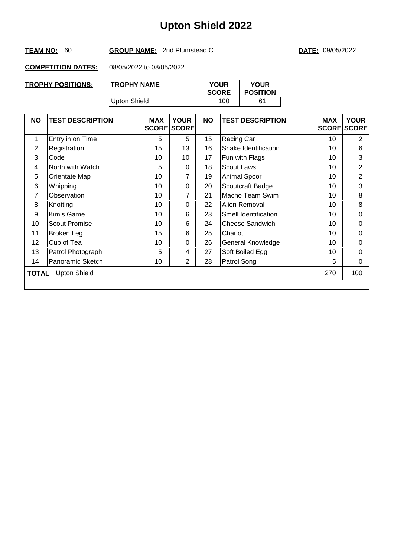#### **TEAM NO:** 60 **GROUP NAME:** 2nd Plumstead C **DATE:** 09/05/2022

| TROPHY POSITIONS: | <b>TROPHY NAME</b> | <b>YOUR</b><br><b>SCORE</b> | <b>YOUR</b><br><b>POSITION</b> |
|-------------------|--------------------|-----------------------------|--------------------------------|
|                   | Upton Shield       | 100                         | 61                             |

| <b>NO</b>    | <b>TEST DESCRIPTION</b> | <b>MAX</b> | <b>YOUR</b><br><b>SCORE SCORE</b> | <b>NO</b> | <b>TEST DESCRIPTION</b> | <b>MAX</b> | <b>YOUR</b><br><b>SCORE SCORE</b> |
|--------------|-------------------------|------------|-----------------------------------|-----------|-------------------------|------------|-----------------------------------|
| 1            | Entry in on Time        | 5          | 5                                 | 15        | Racing Car              | 10         | 2                                 |
| 2            | Registration            | 15         | 13                                | 16        | Snake Identification    | 10         | 6                                 |
| 3            | Code                    | 10         | 10                                | 17        | Fun with Flags          | 10         | 3                                 |
| 4            | North with Watch        | 5          | 0                                 | 18        | <b>Scout Laws</b>       | 10         | $\overline{2}$                    |
| 5            | Orientate Map           | 10         |                                   | 19        | Animal Spoor            | 10         | $\overline{2}$                    |
| 6            | Whipping                | 10         | $\Omega$                          | 20        | Scoutcraft Badge        | 10         | 3                                 |
| 7            | Observation             | 10         | 7                                 | 21        | Macho Team Swim         | 10         | 8                                 |
| 8            | Knotting                | 10         | 0                                 | 22        | Alien Removal           | 10         | 8                                 |
| 9            | Kim's Game              | 10         | 6                                 | 23        | Smell Identification    | 10         | 0                                 |
| 10           | <b>Scout Promise</b>    | 10         | 6                                 | 24        | <b>Cheese Sandwich</b>  | 10         | $\Omega$                          |
| 11           | Broken Leg              | 15         | 6                                 | 25        | Chariot                 | 10         | 0                                 |
| 12           | Cup of Tea              | 10         | $\Omega$                          | 26        | General Knowledge       | 10         | 0                                 |
| 13           | Patrol Photograph       | 5          | 4                                 | 27        | Soft Boiled Egg         | 10         | 0                                 |
| 14           | Panoramic Sketch        | 10         | 2                                 | 28        | Patrol Song             | 5          | 0                                 |
| <b>TOTAL</b> | <b>Upton Shield</b>     |            |                                   |           |                         | 270        | 100                               |
|              |                         |            |                                   |           |                         |            |                                   |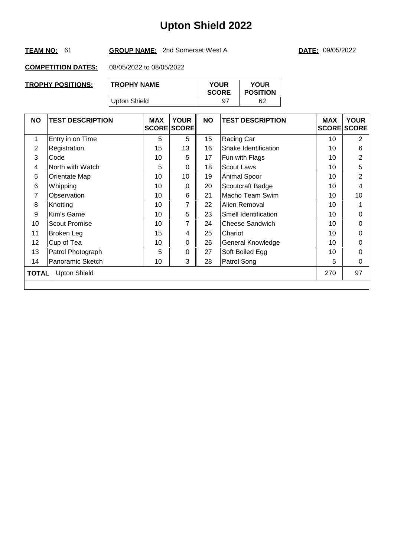#### TEAM NO: 61 **GROUP NAME:** 2nd Somerset West A **DATE:** 09/05/2022

| TROPHY POSITIONS: | <b>TROPHY NAME</b> | <b>YOUR</b><br><b>SCORE</b> | <b>YOUR</b><br><b>POSITION</b> |
|-------------------|--------------------|-----------------------------|--------------------------------|
|                   | Upton Shield       | 97                          | 62                             |

| <b>NO</b>    | <b>TEST DESCRIPTION</b> | <b>MAX</b> | <b>YOUR</b><br><b>SCORE SCORE</b> | <b>NO</b> | <b>TEST DESCRIPTION</b> | <b>MAX</b> | <b>YOUR</b><br><b>SCORE SCORE</b> |
|--------------|-------------------------|------------|-----------------------------------|-----------|-------------------------|------------|-----------------------------------|
| 1            | Entry in on Time        | 5          | 5                                 | 15        | Racing Car              | 10         | 2                                 |
| 2            | Registration            | 15         | 13                                | 16        | Snake Identification    | 10         | 6                                 |
| 3            | Code                    | 10         | 5                                 | 17        | Fun with Flags          | 10         | 2                                 |
| 4            | North with Watch        | 5          | 0                                 | 18        | <b>Scout Laws</b>       | 10         | 5                                 |
| 5            | Orientate Map           | 10         | 10                                | 19        | Animal Spoor            | 10         | $\overline{2}$                    |
| 6            | Whipping                | 10         | 0                                 | 20        | Scoutcraft Badge        | 10         | 4                                 |
| 7            | Observation             | 10         | 6                                 | 21        | Macho Team Swim         | 10         | 10                                |
| 8            | Knotting                | 10         | 7                                 | 22        | Alien Removal           | 10         |                                   |
| 9            | Kim's Game              | 10         | 5                                 | 23        | Smell Identification    | 10         | $\Omega$                          |
| 10           | <b>Scout Promise</b>    | 10         | $\overline{7}$                    | 24        | <b>Cheese Sandwich</b>  | 10         | 0                                 |
| 11           | Broken Leg              | 15         | 4                                 | 25        | Chariot                 | 10         | 0                                 |
| 12           | Cup of Tea              | 10         | 0                                 | 26        | General Knowledge       | 10         | 0                                 |
| 13           | Patrol Photograph       | 5          | 0                                 | 27        | Soft Boiled Egg         | 10         | 0                                 |
| 14           | Panoramic Sketch        | 10         | 3                                 | 28        | Patrol Song             | 5          | 0                                 |
| <b>TOTAL</b> | <b>Upton Shield</b>     |            |                                   |           |                         | 270        | 97                                |
|              |                         |            |                                   |           |                         |            |                                   |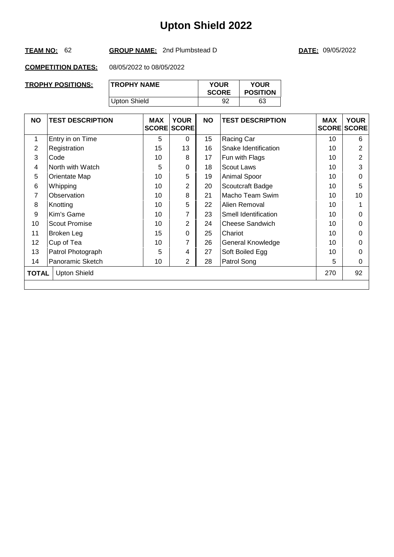#### **TEAM NO:** 62 **GROUP NAME:** 2nd Plumbstead D **DATE:** 09/05/2022

| <b>TROPHY POSITIONS:</b> | <b>TROPHY NAME</b> | <b>YOUR</b><br><b>SCORE</b> | <b>YOUR</b><br><b>POSITION</b> |
|--------------------------|--------------------|-----------------------------|--------------------------------|
|                          | Upton Shield       | 92                          | 63                             |

| <b>NO</b> | <b>TEST DESCRIPTION</b> | <b>MAX</b> | <b>YOUR</b><br><b>SCORE SCORE</b> | <b>NO</b> | <b>TEST DESCRIPTION</b> | <b>MAX</b><br><b>SCORE SCORE</b> | <b>YOUR</b>    |
|-----------|-------------------------|------------|-----------------------------------|-----------|-------------------------|----------------------------------|----------------|
| 1         | Entry in on Time        | 5          | $\Omega$                          | 15        | Racing Car              | 10                               | 6              |
| 2         | Registration            | 15         | 13                                | 16        | Snake Identification    | 10                               | 2              |
| 3         | Code                    | 10         | 8                                 | 17        | Fun with Flags          | 10                               | $\overline{2}$ |
| 4         | North with Watch        | 5          | $\Omega$                          | 18        | <b>Scout Laws</b>       | 10                               | 3              |
| 5         | Orientate Map           | 10         | 5                                 | 19        | Animal Spoor            | 10                               | 0              |
| 6         | Whipping                | 10         | $\overline{2}$                    | 20        | Scoutcraft Badge        | 10                               | 5              |
| 7         | Observation             | 10         | 8                                 | 21        | Macho Team Swim         | 10                               | 10             |
| 8         | Knotting                | 10         | 5                                 | 22        | Alien Removal           | 10                               |                |
| 9         | Kim's Game              | 10         | 7                                 | 23        | Smell Identification    | 10                               | 0              |
| 10        | <b>Scout Promise</b>    | 10         | $\overline{2}$                    | 24        | <b>Cheese Sandwich</b>  | 10                               | 0              |
| 11        | Broken Leg              | 15         | $\Omega$                          | 25        | Chariot                 | 10                               | 0              |
| 12        | Cup of Tea              | 10         | 7                                 | 26        | General Knowledge       | 10                               | 0              |
| 13        | Patrol Photograph       | 5          | 4                                 | 27        | Soft Boiled Egg         | 10                               | 0              |
| 14        | Panoramic Sketch        | 10         | $\overline{2}$                    | 28        | Patrol Song             | 5                                | $\Omega$       |
| TOTAL     | <b>Upton Shield</b>     |            |                                   |           |                         | 270                              | 92             |
|           |                         |            |                                   |           |                         |                                  |                |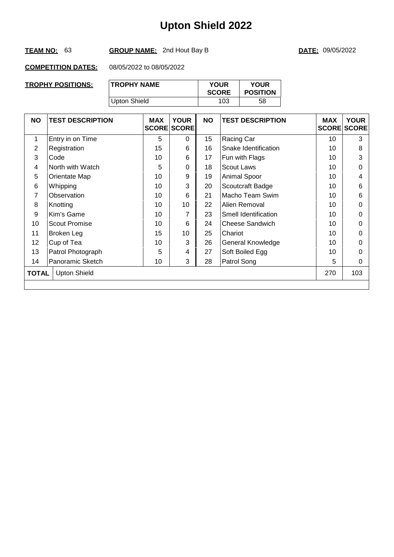#### **TEAM NO:** 63 **GROUP NAME:** 2nd Hout Bay B **DATE:** 09/05/2022

| TROPHY POSITIONS: | <b>TROPHY NAME</b> | <b>YOUR</b><br><b>SCORE</b> | <b>YOUR</b><br><b>POSITION</b> |
|-------------------|--------------------|-----------------------------|--------------------------------|
|                   | Upton Shield       | 103                         | 58                             |

| <b>NO</b>      | <b>TEST DESCRIPTION</b> | <b>MAX</b> | <b>YOUR</b><br><b>SCORE SCORE</b> | <b>NO</b> | <b>TEST DESCRIPTION</b> | <b>MAX</b> | <b>YOUR</b><br><b>SCORE SCORE</b> |
|----------------|-------------------------|------------|-----------------------------------|-----------|-------------------------|------------|-----------------------------------|
| 1              | Entry in on Time        | 5          | 0                                 | 15        | Racing Car              | 10         | 3                                 |
| $\overline{2}$ | Registration            | 15         | 6                                 | 16        | Snake Identification    | 10         | 8                                 |
| 3              | Code                    | 10         | 6                                 | 17        | Fun with Flags          | 10         | 3                                 |
| 4              | North with Watch        | 5          | 0                                 | 18        | <b>Scout Laws</b>       | 10         | 0                                 |
| 5              | Orientate Map           | 10         | 9                                 | 19        | Animal Spoor            | 10         | 4                                 |
| 6              | Whipping                | 10         | 3                                 | 20        | Scoutcraft Badge        | 10         | 6                                 |
| 7              | Observation             | 10         | 6                                 | 21        | Macho Team Swim         | 10         | 6                                 |
| 8              | Knotting                | 10         | 10                                | 22        | Alien Removal           | 10         | 0                                 |
| 9              | Kim's Game              | 10         | 7                                 | 23        | Smell Identification    | 10         | 0                                 |
| 10             | <b>Scout Promise</b>    | 10         | 6                                 | 24        | <b>Cheese Sandwich</b>  | 10         | 0                                 |
| 11             | Broken Leg              | 15         | 10                                | 25        | Chariot                 | 10         | 0                                 |
| 12             | Cup of Tea              | 10         | 3                                 | 26        | General Knowledge       | 10         | 0                                 |
| 13             | Patrol Photograph       | 5          | 4                                 | 27        | Soft Boiled Egg         | 10         | 0                                 |
| 14             | Panoramic Sketch        | 10         | 3                                 | 28        | Patrol Song             | 5          | 0                                 |
| <b>TOTAL</b>   | <b>Upton Shield</b>     |            |                                   |           |                         | 270        | 103                               |
|                |                         |            |                                   |           |                         |            |                                   |